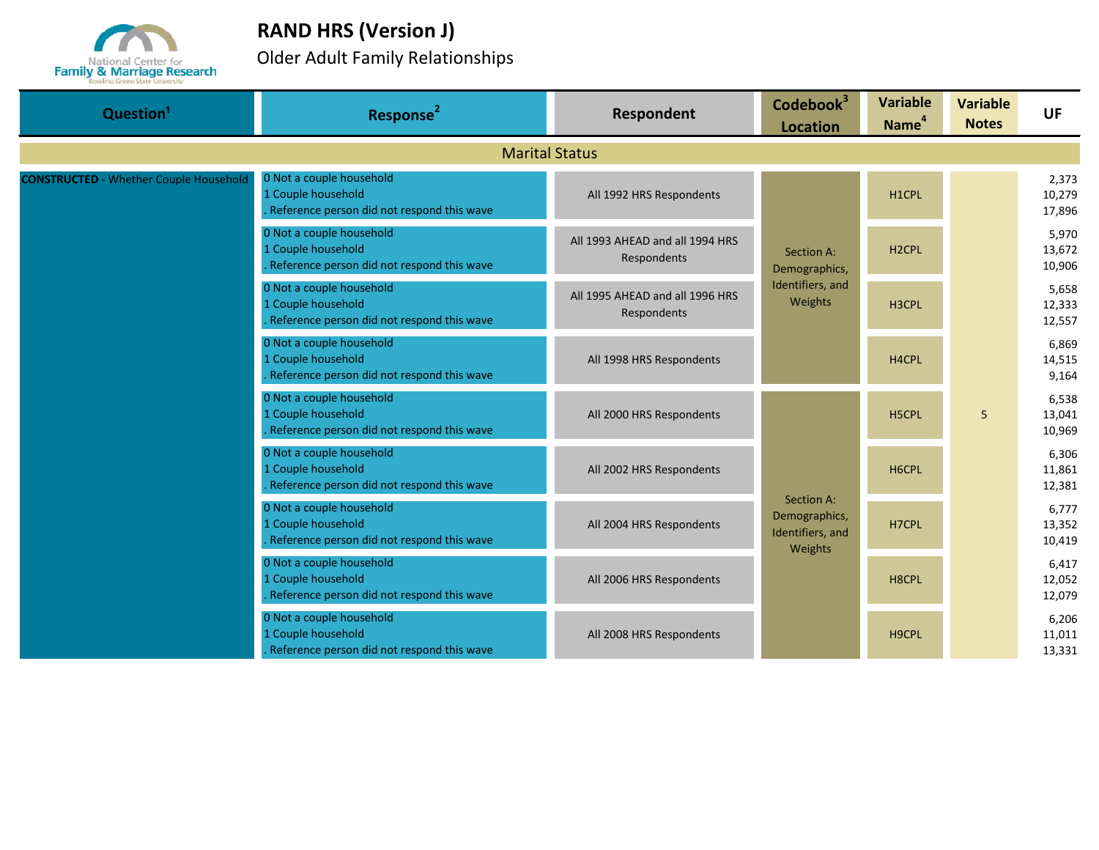

## **RAND HRS (Version J)**

Older Adult Family Relationships

| Question <sup>1</sup>                         | Response <sup>2</sup>                                                                        | Respondent                                           | Codebook <sup>3</sup><br><b>Location</b>                   | <b>Variable</b><br>Name <sup>4</sup> | <b>Variable</b><br><b>Notes</b> | <b>UF</b>                 |
|-----------------------------------------------|----------------------------------------------------------------------------------------------|------------------------------------------------------|------------------------------------------------------------|--------------------------------------|---------------------------------|---------------------------|
|                                               |                                                                                              | <b>Marital Status</b>                                |                                                            |                                      |                                 |                           |
| <b>CONSTRUCTED</b> - Whether Couple Household | 0 Not a couple household<br>1 Couple household<br>Reference person did not respond this wave | All 1992 HRS Respondents                             |                                                            | H1CPL                                |                                 | 2,373<br>10,279<br>17,896 |
|                                               | 0 Not a couple household<br>1 Couple household<br>Reference person did not respond this wave | All 1993 AHEAD and all 1994 HRS<br>Respondents       | Section A:<br>Demographics,<br>Identifiers, and<br>Weights | H <sub>2</sub> CPL                   |                                 | 5,970<br>13,672<br>10,906 |
|                                               | 0 Not a couple household<br>1 Couple household<br>Reference person did not respond this wave | All 1995 AHEAD and all 1996 HRS<br>Respondents       |                                                            | H3CPL                                |                                 | 5,658<br>12,333<br>12,557 |
|                                               | 0 Not a couple household<br>1 Couple household<br>Reference person did not respond this wave | All 1998 HRS Respondents<br>All 2000 HRS Respondents |                                                            | H4CPL                                |                                 | 6,869<br>14,515<br>9,164  |
|                                               | 0 Not a couple household<br>1 Couple household<br>Reference person did not respond this wave |                                                      |                                                            | H5CPL                                | 5                               | 6,538<br>13,041<br>10,969 |
|                                               | 0 Not a couple household<br>1 Couple household<br>Reference person did not respond this wave | All 2002 HRS Respondents                             |                                                            | H6CPL                                |                                 | 6,306<br>11,861<br>12,381 |
|                                               | 0 Not a couple household<br>1 Couple household<br>Reference person did not respond this wave | All 2004 HRS Respondents                             | Section A:<br>Demographics,<br>H7CPL<br>Identifiers, and   |                                      |                                 | 6.777<br>13,352<br>10,419 |
|                                               | 0 Not a couple household<br>1 Couple household<br>Reference person did not respond this wave | All 2006 HRS Respondents                             | Weights                                                    | H8CPL                                |                                 | 6,417<br>12,052<br>12,079 |
|                                               | 0 Not a couple household<br>1 Couple household<br>Reference person did not respond this wave | All 2008 HRS Respondents                             |                                                            | H9CPL                                |                                 | 6,206<br>11,011<br>13,331 |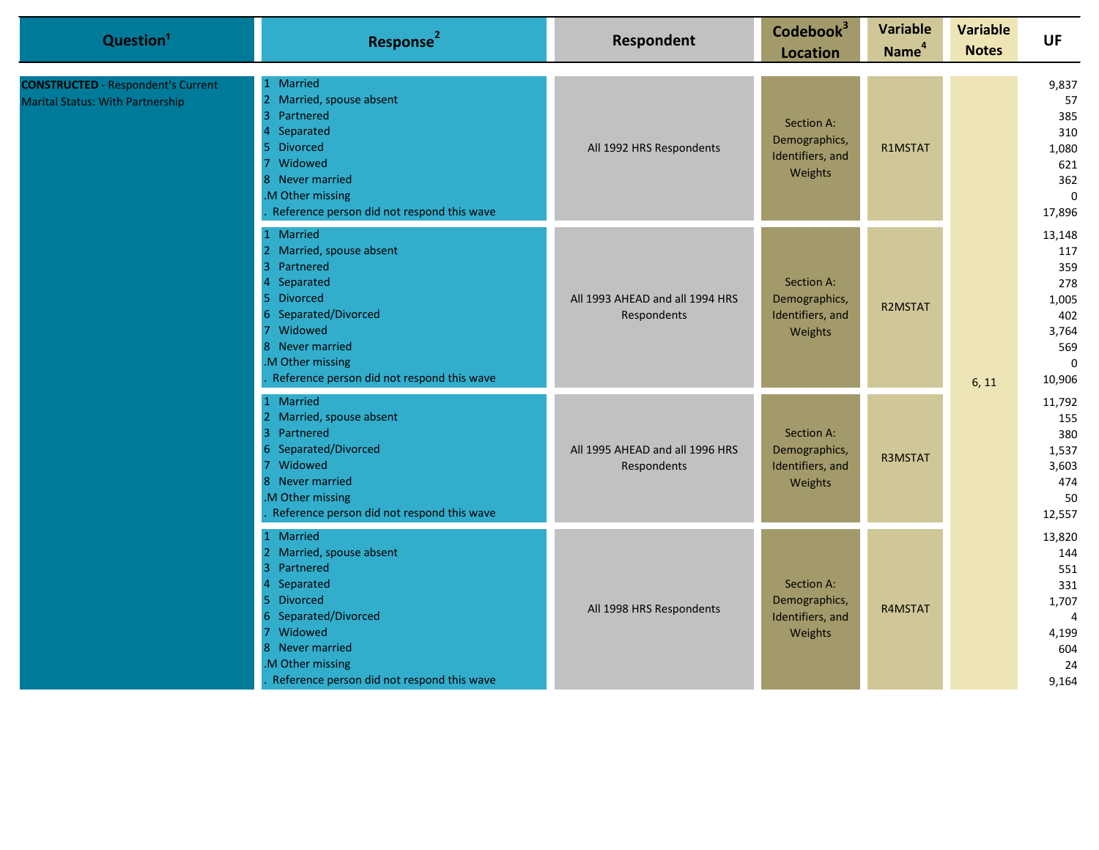| Question <sup>1</sup>                                                                | Response <sup>2</sup>                                                                                                                                                                                                  | Respondent                                     | Codebook <sup>3</sup><br><b>Location</b>                   | <b>Variable</b><br>Name <sup>4</sup> | <b>Variable</b><br><b>Notes</b> | UF                                                                                   |  |                                                                           |
|--------------------------------------------------------------------------------------|------------------------------------------------------------------------------------------------------------------------------------------------------------------------------------------------------------------------|------------------------------------------------|------------------------------------------------------------|--------------------------------------|---------------------------------|--------------------------------------------------------------------------------------|--|---------------------------------------------------------------------------|
| <b>CONSTRUCTED</b> - Respondent's Current<br><b>Marital Status: With Partnership</b> | 1 Married<br>Married, spouse absent<br>$\overline{2}$<br>3 Partnered<br>Separated<br>5 Divorced<br>Widowed<br>8 Never married<br>.M Other missing<br>Reference person did not respond this wave                        | All 1992 HRS Respondents                       | Section A:<br>Demographics,<br>Identifiers, and<br>Weights | R1MSTAT                              | 6, 11                           |                                                                                      |  | 9,837<br>57<br>385<br>310<br>1,080<br>621<br>362<br>$\mathbf 0$<br>17,896 |
|                                                                                      | 1 Married<br>2 Married, spouse absent<br>3 Partnered<br>Separated<br>5 Divorced<br>6 Separated/Divorced<br>7 Widowed<br>8 Never married<br>.M Other missing<br>Reference person did not respond this wave              | All 1993 AHEAD and all 1994 HRS<br>Respondents | Section A:<br>Demographics,<br>Identifiers, and<br>Weights | <b>R2MSTAT</b>                       |                                 | 13,148<br>117<br>359<br>278<br>1,005<br>402<br>3,764<br>569<br>$\mathbf 0$<br>10,906 |  |                                                                           |
|                                                                                      | 1 Married<br>2 Married, spouse absent<br>3 Partnered<br>6 Separated/Divorced<br>Widowed<br>$\overline{7}$<br>8 Never married<br>M Other missing<br>Reference person did not respond this wave                          | All 1995 AHEAD and all 1996 HRS<br>Respondents | Section A:<br>Demographics,<br>Identifiers, and<br>Weights | R3MSTAT                              |                                 | 11,792<br>155<br>380<br>1,537<br>3,603<br>474<br>50<br>12,557                        |  |                                                                           |
|                                                                                      | 1 Married<br>2 Married, spouse absent<br>Partnered<br>$\overline{3}$<br>Separated<br>5 Divorced<br>6 Separated/Divorced<br>Widowed<br>8 Never married<br>M Other missing<br>Reference person did not respond this wave | All 1998 HRS Respondents                       | Section A:<br>Demographics,<br>Identifiers, and<br>Weights | R4MSTAT                              |                                 | 13,820<br>144<br>551<br>331<br>1,707<br>4<br>4,199<br>604<br>24<br>9,164             |  |                                                                           |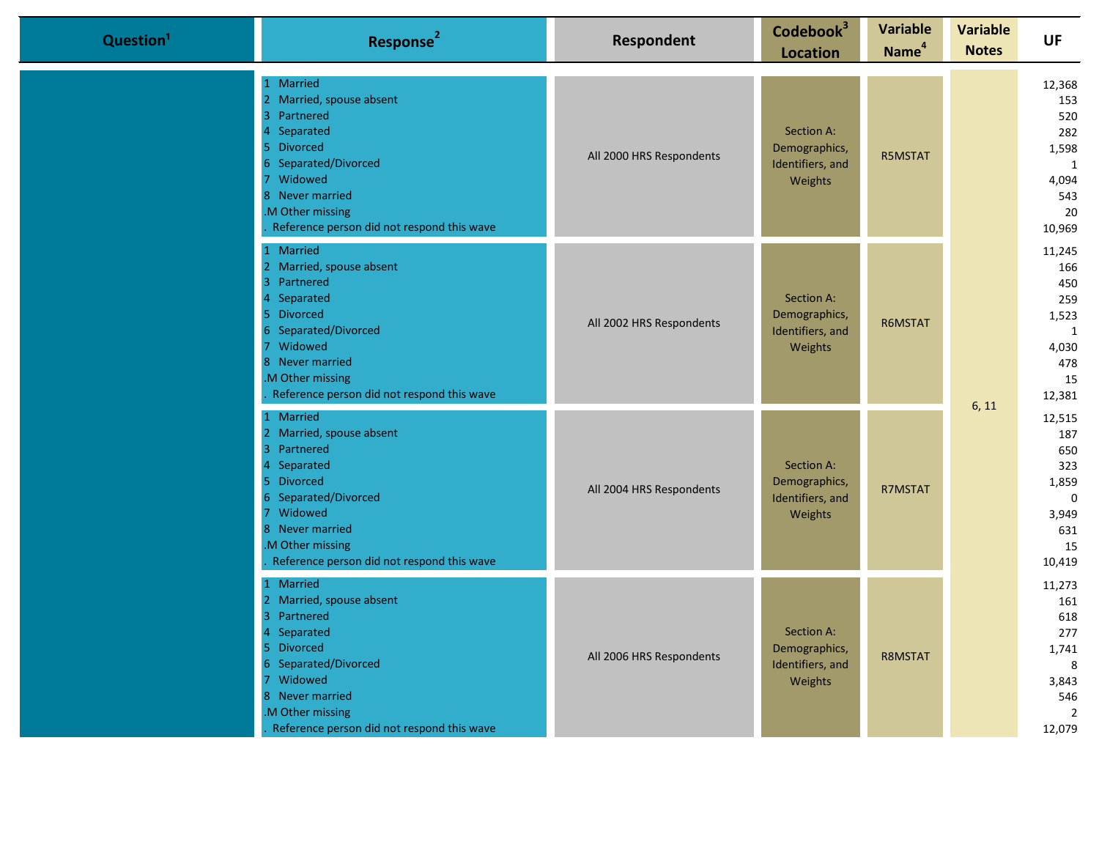| Question <sup>1</sup> | Response <sup>2</sup>                                                                                                                                                                                                                                    | Respondent               | Codebook <sup>3</sup><br><b>Location</b>                   | <b>Variable</b><br>Name <sup>4</sup> | <b>Variable</b><br><b>Notes</b> | UF                                                                                    |
|-----------------------|----------------------------------------------------------------------------------------------------------------------------------------------------------------------------------------------------------------------------------------------------------|--------------------------|------------------------------------------------------------|--------------------------------------|---------------------------------|---------------------------------------------------------------------------------------|
|                       | 1 Married<br>2 Married, spouse absent<br>$\overline{3}$<br>Partnered<br>$\overline{4}$<br>Separated<br>5 Divorced<br>Separated/Divorced<br>Widowed<br>$\overline{7}$<br>8 Never married<br>M Other missing<br>Reference person did not respond this wave | All 2000 HRS Respondents | Section A:<br>Demographics,<br>Identifiers, and<br>Weights | R5MSTAT                              | 6, 11                           | 12,368<br>153<br>520<br>282<br>1,598<br>$\mathbf{1}$<br>4,094<br>543<br>20<br>10,969  |
|                       | 1 Married<br>2 Married, spouse absent<br>Partnered<br>3<br>Separated<br>5 Divorced<br>6 Separated/Divorced<br>Widowed<br>8 Never married<br>M Other missing<br>Reference person did not respond this wave                                                | All 2002 HRS Respondents | Section A:<br>Demographics,<br>Identifiers, and<br>Weights | R6MSTAT                              |                                 | 11,245<br>166<br>450<br>259<br>1,523<br>$\mathbf{1}$<br>4,030<br>478<br>15<br>12,381  |
|                       | 1 Married<br>Married, spouse absent<br>$\overline{2}$<br>3<br>Partnered<br>Separated<br>4<br><b>Divorced</b><br>5.<br>6 Separated/Divorced<br>7 Widowed<br>8 Never married<br>M Other missing<br>Reference person did not respond this wave              | All 2004 HRS Respondents | Section A:<br>Demographics,<br>Identifiers, and<br>Weights | R7MSTAT                              |                                 | 12,515<br>187<br>650<br>323<br>1,859<br>$\mathbf 0$<br>3,949<br>631<br>15<br>10,419   |
|                       | 1 Married<br>2 Married, spouse absent<br>$\overline{3}$<br>Partnered<br>$\overline{4}$<br>Separated<br><b>Divorced</b><br>5.<br>Separated/Divorced<br>6<br>7 Widowed<br>8 Never married<br>M Other missing<br>Reference person did not respond this wave | All 2006 HRS Respondents | Section A:<br>Demographics,<br>Identifiers, and<br>Weights | R8MSTAT                              |                                 | 11,273<br>161<br>618<br>277<br>1,741<br>8<br>3,843<br>546<br>$\overline{2}$<br>12,079 |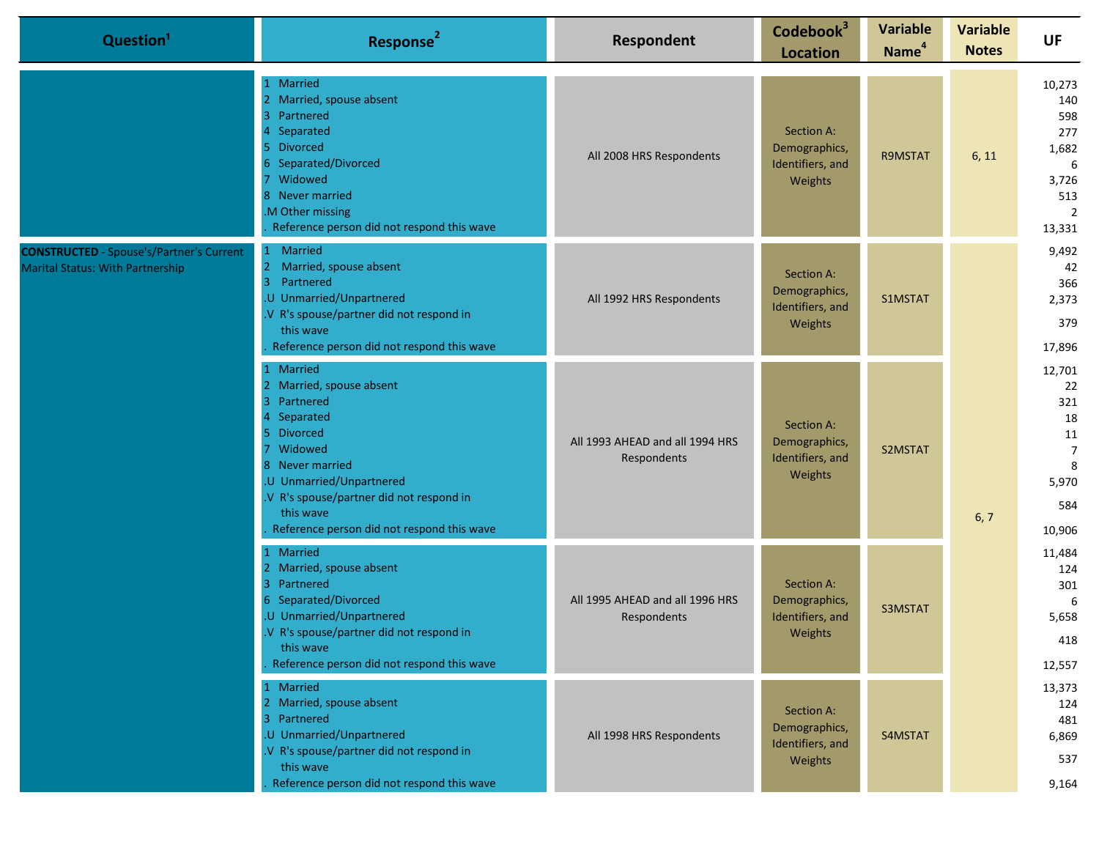| Question <sup>1</sup>                                                                      | Response <sup>2</sup>                                                                                                                                                                                                                                                                              | Respondent                                     | Codebook <sup>3</sup><br><b>Location</b>                   | <b>Variable</b><br>Name <sup>4</sup> | <b>Variable</b><br><b>Notes</b> | <b>UF</b>                                                                             |
|--------------------------------------------------------------------------------------------|----------------------------------------------------------------------------------------------------------------------------------------------------------------------------------------------------------------------------------------------------------------------------------------------------|------------------------------------------------|------------------------------------------------------------|--------------------------------------|---------------------------------|---------------------------------------------------------------------------------------|
|                                                                                            | 1 Married<br>2 Married, spouse absent<br>Partnered<br>3<br>Separated<br><b>Divorced</b><br>5.<br>Separated/Divorced<br>Widowed<br>8 Never married<br>.M Other missing<br>Reference person did not respond this wave                                                                                | All 2008 HRS Respondents                       | Section A:<br>Demographics,<br>Identifiers, and<br>Weights | R9MSTAT                              | 6, 11                           | 10,273<br>140<br>598<br>277<br>1,682<br>6<br>3,726<br>513<br>$\overline{2}$<br>13,331 |
| <b>CONSTRUCTED</b> - Spouse's/Partner's Current<br><b>Marital Status: With Partnership</b> | <b>Married</b><br>$\mathbf{1}$<br>2 <sup>1</sup><br>Married, spouse absent<br>Partnered<br>3<br>.U Unmarried/Unpartnered<br>.V R's spouse/partner did not respond in<br>this wave<br>Reference person did not respond this wave                                                                    | All 1992 HRS Respondents                       | Section A:<br>Demographics,<br>Identifiers, and<br>Weights | S1MSTAT                              |                                 | 9,492<br>42<br>366<br>2,373<br>379<br>17,896                                          |
|                                                                                            | 1 Married<br>2 Married, spouse absent<br>3 <sup>1</sup><br>Partnered<br>Separated<br>4<br><b>Divorced</b><br>5.<br>Widowed<br>$\overline{7}$<br>8 Never married<br>.U Unmarried/Unpartnered<br>.V R's spouse/partner did not respond in<br>this wave<br>Reference person did not respond this wave | All 1993 AHEAD and all 1994 HRS<br>Respondents | Section A:<br>Demographics,<br>Identifiers, and<br>Weights | S2MSTAT                              | 6, 7                            | 12,701<br>22<br>321<br>18<br>11<br>$\overline{7}$<br>8<br>5,970<br>584<br>10,906      |
|                                                                                            | 1 Married<br>2 Married, spouse absent<br>3 <sup>1</sup><br>Partnered<br>6 Separated/Divorced<br>.U Unmarried/Unpartnered<br>.V R's spouse/partner did not respond in<br>this wave<br>Reference person did not respond this wave                                                                    | All 1995 AHEAD and all 1996 HRS<br>Respondents | Section A:<br>Demographics,<br>Identifiers, and<br>Weights | S3MSTAT                              |                                 | 11,484<br>124<br>301<br>-6<br>5,658<br>418<br>12,557                                  |
|                                                                                            | 1 Married<br>2 Married, spouse absent<br>3 Partnered<br>.U Unmarried/Unpartnered<br>.V R's spouse/partner did not respond in<br>this wave<br>Reference person did not respond this wave                                                                                                            | All 1998 HRS Respondents                       | Section A:<br>Demographics,<br>Identifiers, and<br>Weights | S4MSTAT                              |                                 | 13,373<br>124<br>481<br>6,869<br>537<br>9,164                                         |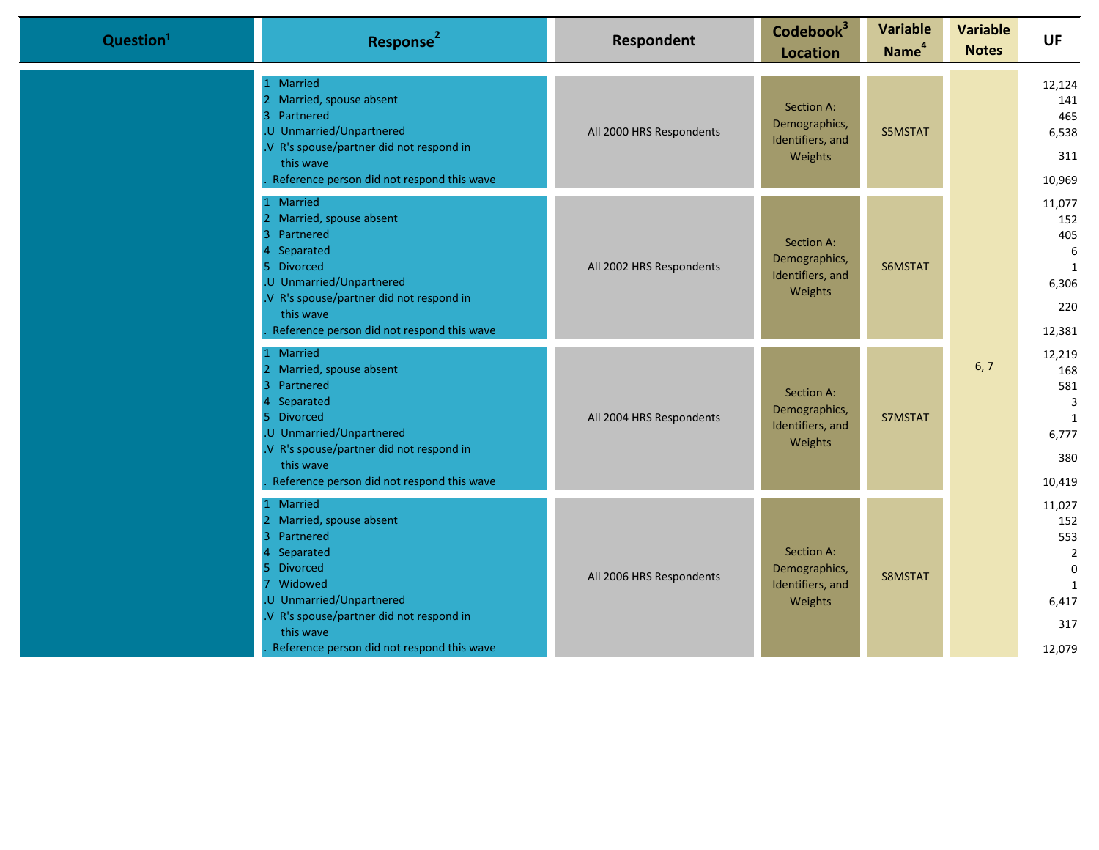| Question <sup>1</sup> | Response <sup>2</sup>                                                                                                                                                                                                             | <b>Respondent</b>        | Codebook <sup>3</sup><br><b>Location</b>                   | <b>Variable</b><br>Name <sup>4</sup> | <b>Variable</b><br><b>Notes</b> | <b>UF</b>                                                                         |                                                |
|-----------------------|-----------------------------------------------------------------------------------------------------------------------------------------------------------------------------------------------------------------------------------|--------------------------|------------------------------------------------------------|--------------------------------------|---------------------------------|-----------------------------------------------------------------------------------|------------------------------------------------|
|                       | 1 Married<br>2 Married, spouse absent<br>3 Partnered<br>.U Unmarried/Unpartnered<br>.V R's spouse/partner did not respond in<br>this wave<br>Reference person did not respond this wave                                           | All 2000 HRS Respondents | Section A:<br>Demographics,<br>Identifiers, and<br>Weights | S5MSTAT                              |                                 |                                                                                   | 12,124<br>141<br>465<br>6,538<br>311<br>10,969 |
|                       | Married<br>2 Married, spouse absent<br>3 Partnered<br>4 Separated<br>5 Divorced<br>.U Unmarried/Unpartnered<br>.V R's spouse/partner did not respond in<br>this wave<br>Reference person did not respond this wave                | All 2002 HRS Respondents | Section A:<br>Demographics,<br>Identifiers, and<br>Weights | S6MSTAT                              |                                 | 11,077<br>152<br>405<br>6<br>1<br>6,306<br>220<br>12,381                          |                                                |
|                       | 1 Married<br>2 Married, spouse absent<br>3 Partnered<br>Separated<br>5 Divorced<br>.U Unmarried/Unpartnered<br>.V R's spouse/partner did not respond in<br>this wave<br>Reference person did not respond this wave                | All 2004 HRS Respondents | Section A:<br>Demographics,<br>Identifiers, and<br>Weights | S7MSTAT                              | 6, 7                            | 12,219<br>168<br>581<br>$\overline{3}$<br>1<br>6,777<br>380<br>10,419             |                                                |
|                       | 1 Married<br>2 Married, spouse absent<br>3 Partnered<br>4 Separated<br>5 Divorced<br>7 Widowed<br>.U Unmarried/Unpartnered<br>.V R's spouse/partner did not respond in<br>this wave<br>Reference person did not respond this wave | All 2006 HRS Respondents | Section A:<br>Demographics,<br>Identifiers, and<br>Weights | S8MSTAT                              |                                 | 11,027<br>152<br>553<br>$\overline{2}$<br>$\Omega$<br>1<br>6,417<br>317<br>12,079 |                                                |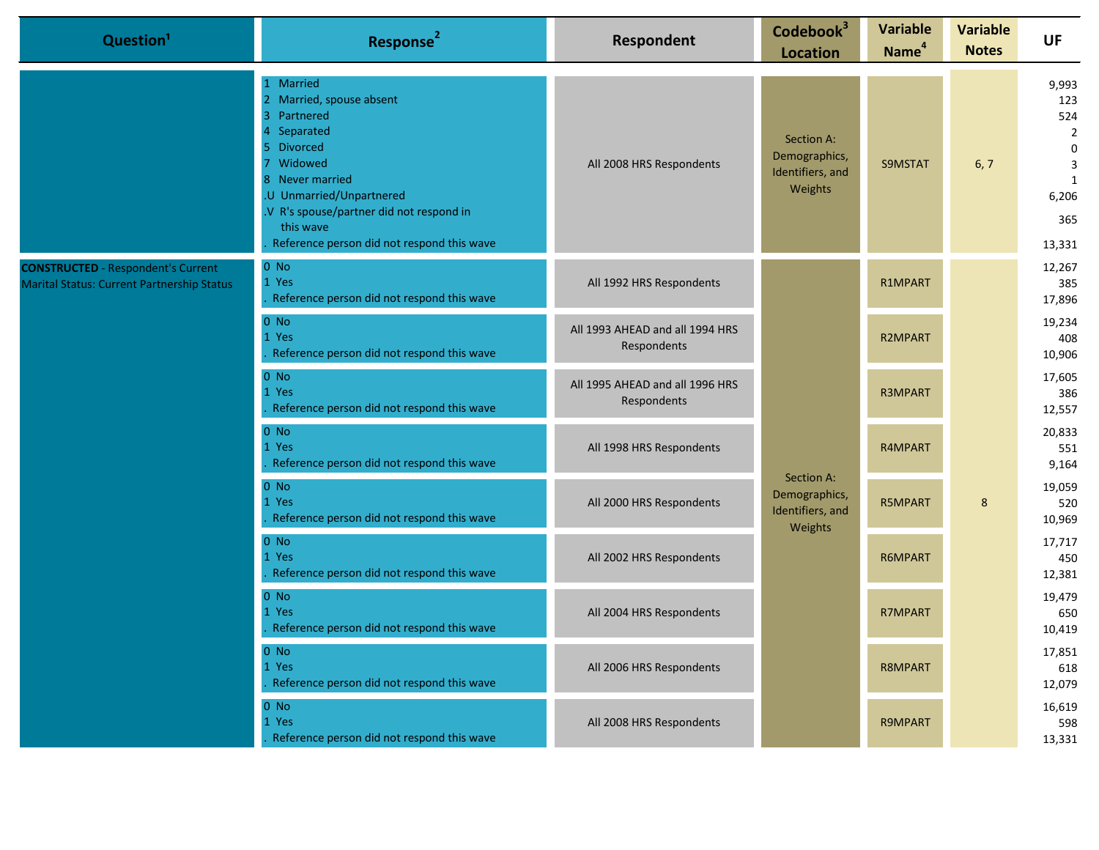| Question <sup>1</sup>                                                                          | Response <sup>2</sup>                                                                                                                                                                                                                                                            | Respondent                                     | Codebook <sup>3</sup><br><b>Location</b>                   | <b>Variable</b><br>Name <sup>4</sup> | <b>Variable</b><br><b>Notes</b> | <b>UF</b>                                                                                                        |                         |
|------------------------------------------------------------------------------------------------|----------------------------------------------------------------------------------------------------------------------------------------------------------------------------------------------------------------------------------------------------------------------------------|------------------------------------------------|------------------------------------------------------------|--------------------------------------|---------------------------------|------------------------------------------------------------------------------------------------------------------|-------------------------|
|                                                                                                | 1 Married<br>2 Married, spouse absent<br>Partnered<br>$\overline{3}$<br>4 Separated<br><b>Divorced</b><br>5.<br>Widowed<br>8<br>Never married<br>.U Unmarried/Unpartnered<br>.V R's spouse/partner did not respond in<br>this wave<br>Reference person did not respond this wave | All 2008 HRS Respondents                       | Section A:<br>Demographics,<br>Identifiers, and<br>Weights | S9MSTAT                              | 6, 7                            | 9,993<br>123<br>524<br>$\overline{2}$<br>$\mathbf 0$<br>$\overline{3}$<br>$\mathbf{1}$<br>6,206<br>365<br>13,331 |                         |
| <b>CONSTRUCTED</b> - Respondent's Current<br><b>Marital Status: Current Partnership Status</b> | $0$ No<br>1 Yes<br>Reference person did not respond this wave                                                                                                                                                                                                                    | All 1992 HRS Respondents                       |                                                            | R1MPART                              |                                 |                                                                                                                  | 12,267<br>385<br>17,896 |
|                                                                                                | $0$ No<br>1 Yes<br>Reference person did not respond this wave                                                                                                                                                                                                                    | All 1993 AHEAD and all 1994 HRS<br>Respondents |                                                            | R2MPART                              |                                 | 19,234<br>408<br>10,906                                                                                          |                         |
|                                                                                                | $0$ No<br>1 Yes<br>Reference person did not respond this wave                                                                                                                                                                                                                    | All 1995 AHEAD and all 1996 HRS<br>Respondents |                                                            | R3MPART                              |                                 | 17,605<br>386<br>12,557                                                                                          |                         |
|                                                                                                | $0$ No<br>1 Yes<br>Reference person did not respond this wave                                                                                                                                                                                                                    | All 1998 HRS Respondents                       |                                                            | R4MPART                              | 8                               | 20,833<br>551<br>9,164                                                                                           |                         |
|                                                                                                | $0$ No<br>1 Yes<br>Reference person did not respond this wave                                                                                                                                                                                                                    | All 2000 HRS Respondents                       | Section A:<br>Demographics,<br>Identifiers, and<br>Weights | R5MPART                              |                                 | 19,059<br>520<br>10,969                                                                                          |                         |
|                                                                                                | $0$ No<br>1 Yes<br>Reference person did not respond this wave                                                                                                                                                                                                                    | All 2002 HRS Respondents                       |                                                            | R6MPART                              |                                 | 17,717<br>450<br>12,381                                                                                          |                         |
|                                                                                                | $0$ No<br>1 Yes<br>Reference person did not respond this wave                                                                                                                                                                                                                    | All 2004 HRS Respondents                       |                                                            | R7MPART                              |                                 | 19,479<br>650<br>10,419                                                                                          |                         |
|                                                                                                | $0$ No<br>1 Yes<br>Reference person did not respond this wave                                                                                                                                                                                                                    | All 2006 HRS Respondents                       |                                                            | R8MPART                              |                                 | 17,851<br>618<br>12,079                                                                                          |                         |
|                                                                                                | $0$ No<br>1 Yes<br>Reference person did not respond this wave                                                                                                                                                                                                                    | All 2008 HRS Respondents                       |                                                            | R9MPART                              |                                 | 16,619<br>598<br>13,331                                                                                          |                         |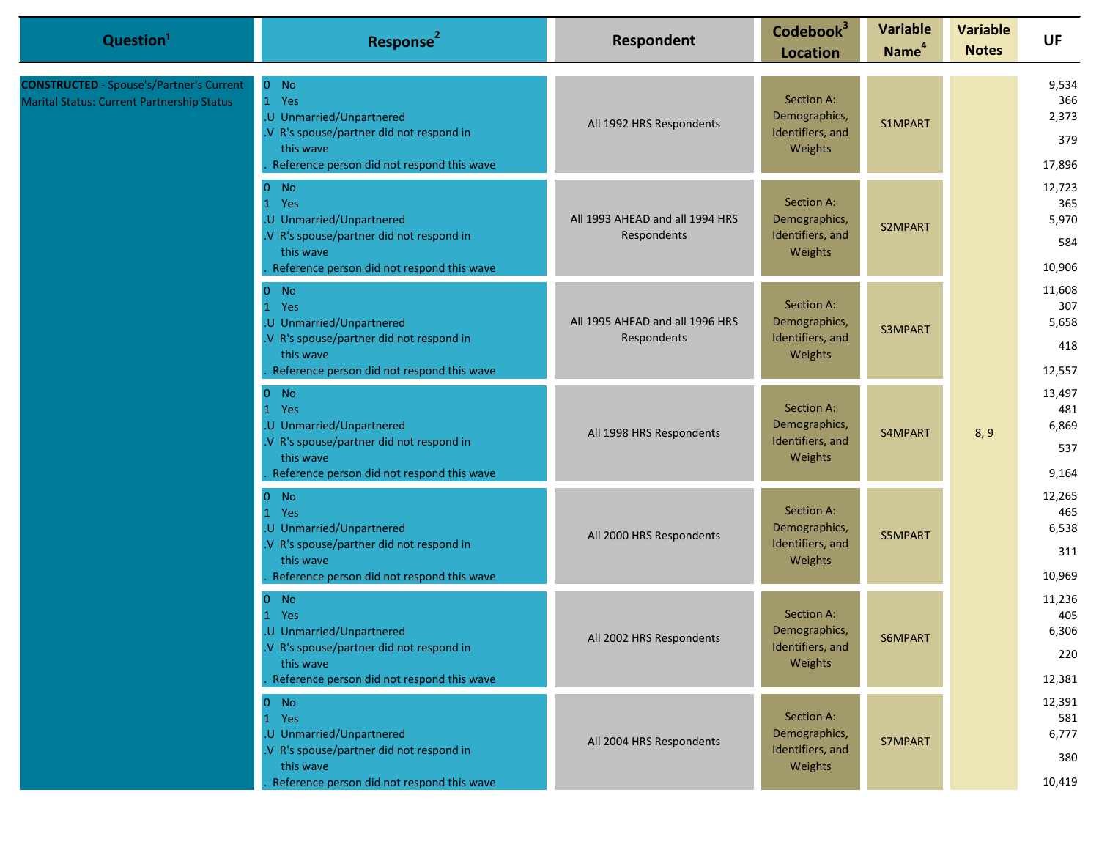| Question <sup>1</sup>                                                                         | Response <sup>2</sup>                                                                                                                              | Respondent                                                                             | Codebook <sup>3</sup><br><b>Location</b>                   | <b>Variable</b><br>Name <sup>4</sup> | <b>Variable</b><br><b>Notes</b>         | <b>UF</b>                               |
|-----------------------------------------------------------------------------------------------|----------------------------------------------------------------------------------------------------------------------------------------------------|----------------------------------------------------------------------------------------|------------------------------------------------------------|--------------------------------------|-----------------------------------------|-----------------------------------------|
| <b>CONSTRUCTED</b> - Spouse's/Partner's Current<br>Marital Status: Current Partnership Status | $0$ No<br>1 Yes<br>.U Unmarried/Unpartnered<br>.V R's spouse/partner did not respond in<br>this wave<br>Reference person did not respond this wave | All 1992 HRS Respondents                                                               | Section A:<br>Demographics,<br>Identifiers, and<br>Weights | S1MPART                              |                                         | 9,534<br>366<br>2,373<br>379<br>17,896  |
|                                                                                               | $0$ No<br>1 Yes<br>.U Unmarried/Unpartnered<br>.V R's spouse/partner did not respond in<br>this wave<br>Reference person did not respond this wave | All 1993 AHEAD and all 1994 HRS<br>Respondents                                         | Section A:<br>Demographics,<br>Identifiers, and<br>Weights | S2MPART                              |                                         | 12,723<br>365<br>5,970<br>584<br>10,906 |
|                                                                                               | $0$ No<br>1 Yes<br>.U Unmarried/Unpartnered<br>.V R's spouse/partner did not respond in<br>this wave<br>Reference person did not respond this wave | All 1995 AHEAD and all 1996 HRS<br>Respondents                                         | Section A:<br>Demographics,<br>Identifiers, and<br>Weights | S3MPART                              |                                         | 11,608<br>307<br>5,658<br>418<br>12,557 |
|                                                                                               | $0$ No<br>1 Yes<br>.U Unmarried/Unpartnered<br>.V R's spouse/partner did not respond in<br>this wave<br>Reference person did not respond this wave | All 1998 HRS Respondents                                                               | Section A:<br>Demographics,<br>Identifiers, and<br>Weights | S4MPART                              | 8, 9                                    | 13,497<br>481<br>6,869<br>537<br>9,164  |
|                                                                                               | $0$ No<br>1 Yes<br>.U Unmarried/Unpartnered<br>.V R's spouse/partner did not respond in<br>this wave<br>Reference person did not respond this wave | All 2000 HRS Respondents                                                               | Section A:<br>Demographics,<br>Identifiers, and<br>Weights | S5MPART                              |                                         | 12,265<br>465<br>6,538<br>311<br>10,969 |
|                                                                                               | $0$ No<br>1 Yes<br>.U Unmarried/Unpartnered<br>V R's spouse/partner did not respond in<br>this wave<br>Reference person did not respond this wave  | Section A:<br>Demographics,<br>All 2002 HRS Respondents<br>Identifiers, and<br>Weights | S6MPART                                                    |                                      | 11,236<br>405<br>6,306<br>220<br>12,381 |                                         |
|                                                                                               | $0$ No<br>1 Yes<br>.U Unmarried/Unpartnered<br>.V R's spouse/partner did not respond in<br>this wave<br>Reference person did not respond this wave | All 2004 HRS Respondents                                                               | Section A:<br>Demographics,<br>Identifiers, and<br>Weights | S7MPART                              |                                         | 12,391<br>581<br>6,777<br>380<br>10,419 |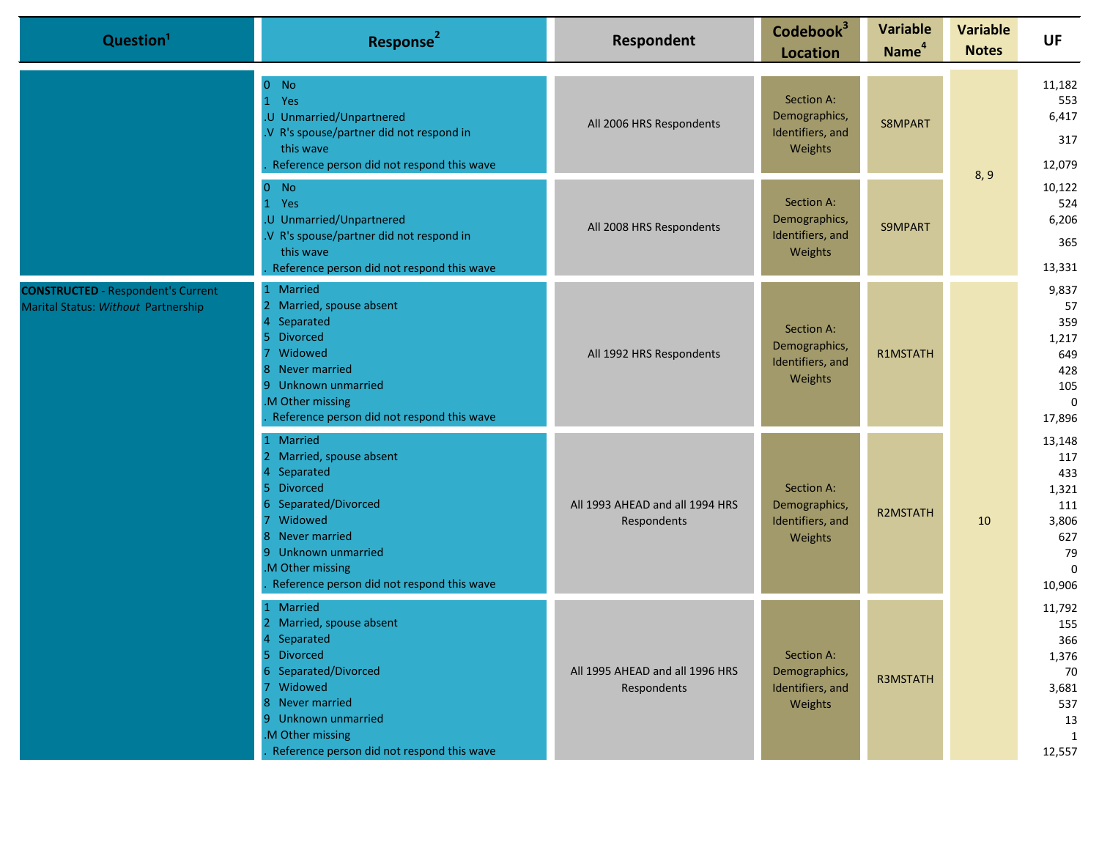| Question <sup>1</sup>                                                            | Response <sup>2</sup>                                                                                                                                                                                                              | Respondent                                     | Codebook <sup>3</sup><br><b>Location</b>                   | <b>Variable</b><br>Name <sup>4</sup> | <b>Variable</b><br><b>Notes</b> | <b>UF</b>                                                                        |
|----------------------------------------------------------------------------------|------------------------------------------------------------------------------------------------------------------------------------------------------------------------------------------------------------------------------------|------------------------------------------------|------------------------------------------------------------|--------------------------------------|---------------------------------|----------------------------------------------------------------------------------|
|                                                                                  | $0$ No<br>1 Yes<br>.U Unmarried/Unpartnered<br>.V R's spouse/partner did not respond in<br>this wave<br>Reference person did not respond this wave                                                                                 | All 2006 HRS Respondents                       | Section A:<br>Demographics,<br>Identifiers, and<br>Weights | S8MPART                              |                                 | 11,182<br>553<br>6,417<br>317<br>12,079                                          |
|                                                                                  | $0$ No<br>1 Yes<br>.U Unmarried/Unpartnered<br>.V R's spouse/partner did not respond in<br>this wave<br>Reference person did not respond this wave                                                                                 | All 2008 HRS Respondents                       | Section A:<br>Demographics,<br>Identifiers, and<br>Weights | S9MPART                              | 8, 9                            | 10,122<br>524<br>6,206<br>365<br>13,331                                          |
| <b>CONSTRUCTED</b> - Respondent's Current<br>Marital Status: Without Partnership | 1 Married<br>2 Married, spouse absent<br>Separated<br>4<br><b>Divorced</b><br>5.<br>Widowed<br>7<br>Never married<br>8<br>Unknown unmarried<br>9<br>M Other missing<br>Reference person did not respond this wave                  | All 1992 HRS Respondents                       | Section A:<br>Demographics,<br>Identifiers, and<br>Weights | R1MSTATH                             |                                 | 9,837<br>57<br>359<br>1,217<br>649<br>428<br>105<br>$\mathbf{0}$<br>17,896       |
|                                                                                  | 1 Married<br>2 Married, spouse absent<br>Separated<br>4<br><b>Divorced</b><br>5.<br>Separated/Divorced<br>Widowed<br>7.<br>8 Never married<br>9 Unknown unmarried<br>M Other missing<br>Reference person did not respond this wave | All 1993 AHEAD and all 1994 HRS<br>Respondents | Section A:<br>Demographics,<br>Identifiers, and<br>Weights | <b>R2MSTATH</b>                      | 10                              | 13,148<br>117<br>433<br>1,321<br>111<br>3,806<br>627<br>79<br>$\Omega$<br>10,906 |
|                                                                                  | 1 Married<br>2 Married, spouse absent<br>4 Separated<br>5 Divorced<br>6 Separated/Divorced<br>7 Widowed<br>8 Never married<br>9 Unknown unmarried<br>M Other missing<br>Reference person did not respond this wave                 | All 1995 AHEAD and all 1996 HRS<br>Respondents | Section A:<br>Demographics,<br>Identifiers, and<br>Weights | <b>R3MSTATH</b>                      |                                 | 11,792<br>155<br>366<br>1,376<br>70<br>3,681<br>537<br>13<br>1<br>12,557         |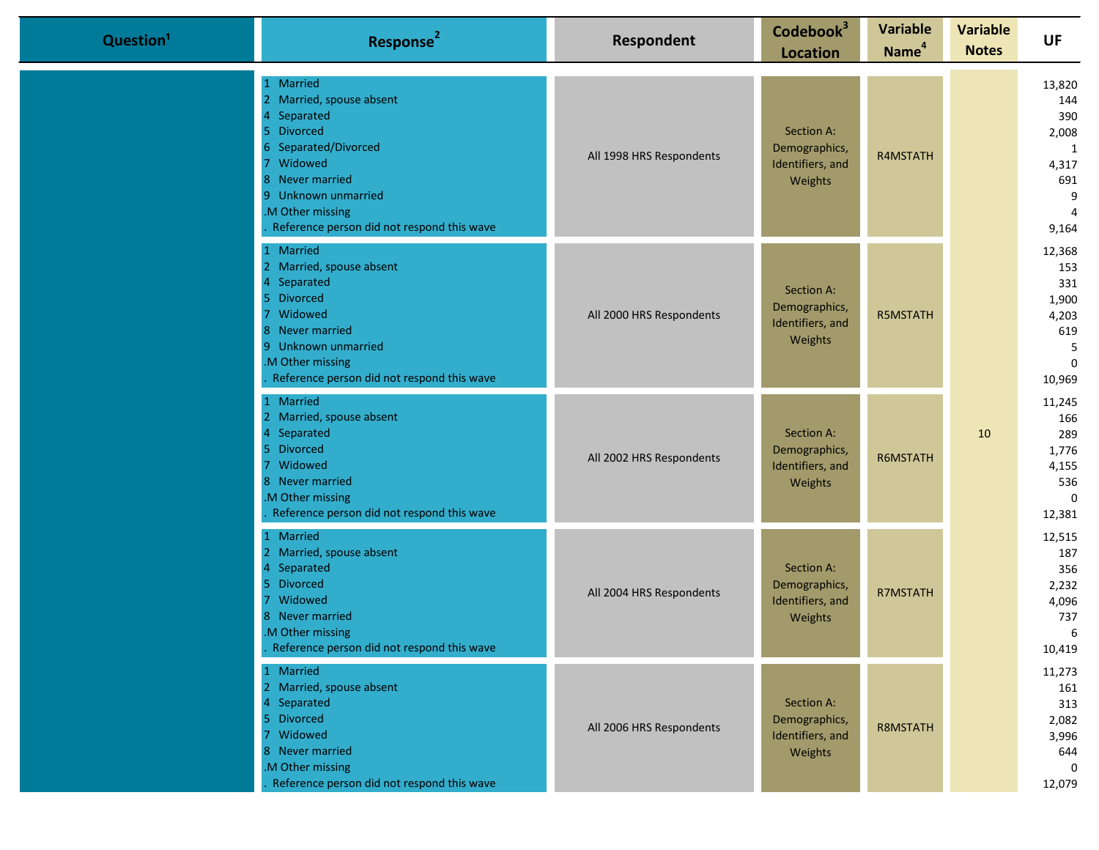| Question <sup>1</sup> | Response <sup>2</sup>                                                                                                                                                                                                                | Respondent               | Codebook <sup>3</sup><br><b>Location</b>                          | <b>Variable</b><br>Name <sup>4</sup> | <b>Variable</b><br><b>Notes</b> | <b>UF</b>                                                                          |
|-----------------------|--------------------------------------------------------------------------------------------------------------------------------------------------------------------------------------------------------------------------------------|--------------------------|-------------------------------------------------------------------|--------------------------------------|---------------------------------|------------------------------------------------------------------------------------|
|                       | 1 Married<br>2 Married, spouse absent<br>Separated<br><b>Divorced</b><br>5.<br>Separated/Divorced<br>6.<br>Widowed<br>Never married<br>8<br>Unknown unmarried<br>9.<br>M Other missing<br>Reference person did not respond this wave | All 1998 HRS Respondents | Section A:<br>Demographics,<br>Identifiers, and<br>Weights        | R4MSTATH                             |                                 | 13,820<br>144<br>390<br>2,008<br>1<br>4,317<br>691<br>9<br>$\overline{4}$<br>9,164 |
|                       | 1 Married<br>2 Married, spouse absent<br>4 Separated<br><b>Divorced</b><br>5.<br>Widowed<br>8 Never married<br>9 Unknown unmarried<br>M Other missing<br>Reference person did not respond this wave                                  | All 2000 HRS Respondents | Section A:<br>Demographics,<br>Identifiers, and<br><b>Weights</b> | <b>R5MSTATH</b>                      |                                 | 12,368<br>153<br>331<br>1,900<br>4,203<br>619<br>5<br>$\mathbf 0$<br>10,969        |
|                       | 1 Married<br>2 Married, spouse absent<br>Separated<br>4<br><b>Divorced</b><br>5.<br>Widowed<br>8 Never married<br>M Other missing<br>Reference person did not respond this wave                                                      | All 2002 HRS Respondents | Section A:<br>Demographics,<br>Identifiers, and<br>Weights        | R6MSTATH                             | 10                              | 11,245<br>166<br>289<br>1,776<br>4,155<br>536<br>$\Omega$<br>12,381                |
|                       | 1 Married<br>2 Married, spouse absent<br>Separated<br><b>Divorced</b><br>5.<br>Widowed<br>7<br>8 Never married<br>M Other missing<br>Reference person did not respond this wave                                                      | All 2004 HRS Respondents | Section A:<br>Demographics,<br>Identifiers, and<br>Weights        | <b>R7MSTATH</b>                      |                                 | 12,515<br>187<br>356<br>2,232<br>4,096<br>737<br>6<br>10,419                       |
|                       | 1 Married<br>2 Married, spouse absent<br>4 Separated<br>5 <sub>1</sub><br>Divorced<br>$\overline{7}$<br>Widowed<br>8 Never married<br>.M Other missing<br>Reference person did not respond this wave                                 | All 2006 HRS Respondents | Section A:<br>Demographics,<br>Identifiers, and<br>Weights        | R8MSTATH                             |                                 | 11,273<br>161<br>313<br>2,082<br>3,996<br>644<br>0<br>12,079                       |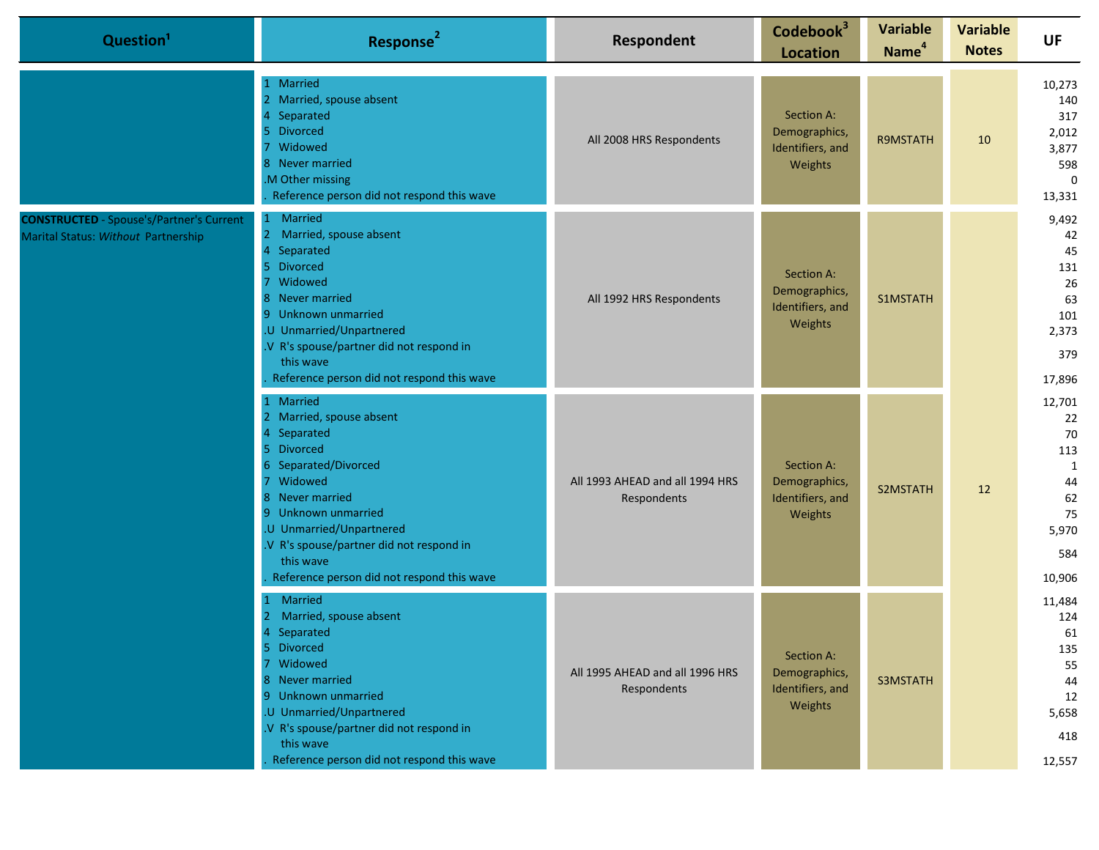| Question <sup>1</sup>                                                                  | Response <sup>2</sup>                                                                                                                                                                                                                                                                              | Respondent                                     | Codebook <sup>3</sup><br><b>Location</b>                   | <b>Variable</b><br>Name <sup>4</sup> | <b>Variable</b><br><b>Notes</b> | UF                                                                         |
|----------------------------------------------------------------------------------------|----------------------------------------------------------------------------------------------------------------------------------------------------------------------------------------------------------------------------------------------------------------------------------------------------|------------------------------------------------|------------------------------------------------------------|--------------------------------------|---------------------------------|----------------------------------------------------------------------------|
|                                                                                        | 1 Married<br>2 Married, spouse absent<br>Separated<br>5 Divorced<br>Widowed<br>8 Never married<br>.M Other missing<br>Reference person did not respond this wave                                                                                                                                   | All 2008 HRS Respondents                       | Section A:<br>Demographics,<br>Identifiers, and<br>Weights | R9MSTATH                             | 10                              | 10,273<br>140<br>317<br>2,012<br>3,877<br>598<br>$\Omega$<br>13,331        |
| <b>CONSTRUCTED</b> - Spouse's/Partner's Current<br>Marital Status: Without Partnership | Married<br>$\mathbf{1}$<br>2 Married, spouse absent<br>Separated<br><b>Divorced</b><br>5.<br>Widowed<br>7<br>8 Never married<br>9 Unknown unmarried<br>.U Unmarried/Unpartnered<br>.V R's spouse/partner did not respond in<br>this wave<br>Reference person did not respond this wave             | All 1992 HRS Respondents                       | Section A:<br>Demographics,<br>Identifiers, and<br>Weights | S1MSTATH                             |                                 | 9,492<br>42<br>45<br>131<br>26<br>63<br>101<br>2,373<br>379<br>17,896      |
|                                                                                        | 1 Married<br>2 Married, spouse absent<br>Separated<br>5 Divorced<br>6 Separated/Divorced<br>Widowed<br>$\overline{7}$<br>8 Never married<br>9 Unknown unmarried<br>.U Unmarried/Unpartnered<br>.V R's spouse/partner did not respond in<br>this wave<br>Reference person did not respond this wave | All 1993 AHEAD and all 1994 HRS<br>Respondents | Section A:<br>Demographics,<br>Identifiers, and<br>Weights | S2MSTATH                             | 12                              | 12,701<br>22<br>70<br>113<br>1<br>44<br>62<br>75<br>5,970<br>584<br>10,906 |
|                                                                                        | Married<br>$\mathbf{1}$<br>Married, spouse absent<br><sup>2</sup><br>Separated<br><b>Divorced</b><br>5<br>7 Widowed<br>8 Never married<br>9 Unknown unmarried<br>.U Unmarried/Unpartnered<br>.V R's spouse/partner did not respond in<br>this wave<br>Reference person did not respond this wave   | All 1995 AHEAD and all 1996 HRS<br>Respondents | Section A:<br>Demographics,<br>Identifiers, and<br>Weights | S3MSTATH                             |                                 | 11,484<br>124<br>61<br>135<br>55<br>44<br>12<br>5,658<br>418<br>12,557     |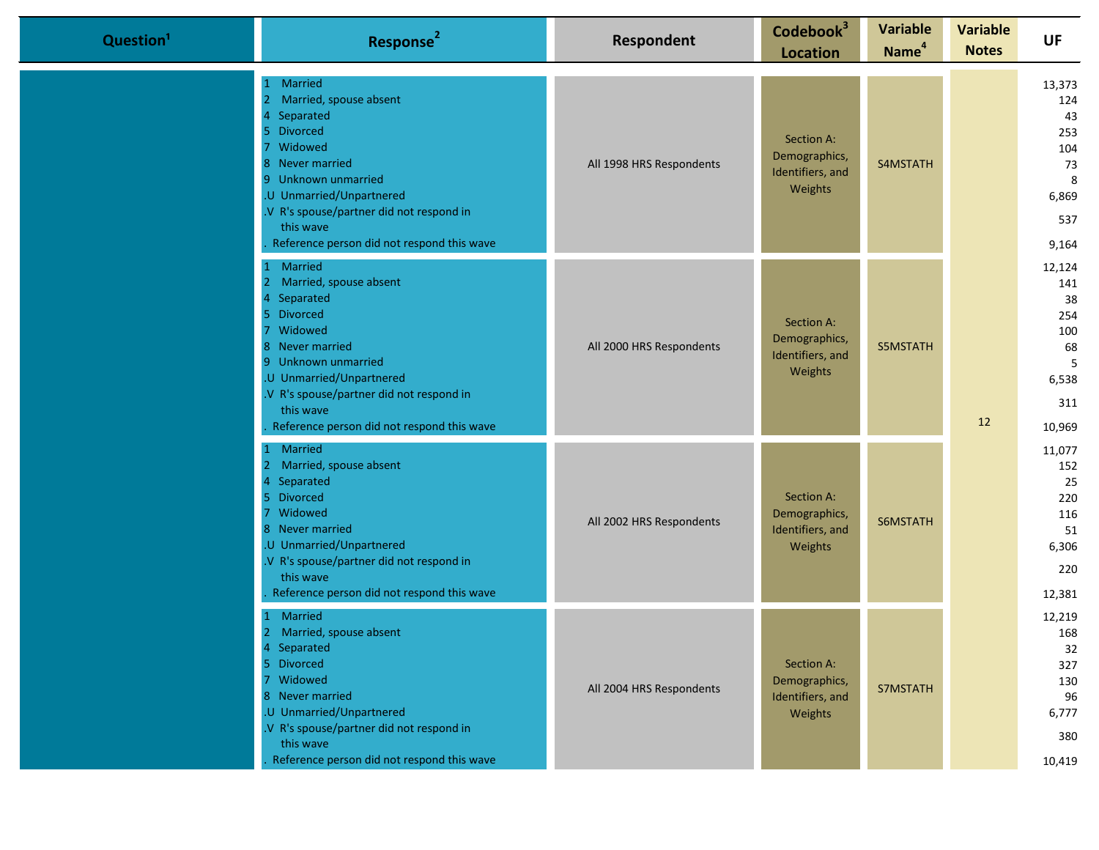| Question <sup>1</sup> | Response <sup>2</sup>                                                                                                                                                                                                                                                        | Respondent               | Codebook <sup>3</sup><br><b>Location</b>                   | <b>Variable</b><br>Name <sup>4</sup> | <b>Variable</b><br><b>Notes</b> | <b>UF</b>                                                              |
|-----------------------|------------------------------------------------------------------------------------------------------------------------------------------------------------------------------------------------------------------------------------------------------------------------------|--------------------------|------------------------------------------------------------|--------------------------------------|---------------------------------|------------------------------------------------------------------------|
|                       | <b>Married</b><br>Married, spouse absent<br>$\overline{2}$<br>Separated<br>5 Divorced<br>Widowed<br>8 Never married<br>9 Unknown unmarried<br>.U Unmarried/Unpartnered<br>V R's spouse/partner did not respond in<br>this wave<br>Reference person did not respond this wave | All 1998 HRS Respondents | Section A:<br>Demographics,<br>Identifiers, and<br>Weights | S4MSTATH                             |                                 | 13,373<br>124<br>43<br>253<br>104<br>73<br>8<br>6,869<br>537<br>9,164  |
|                       | Married<br>Married, spouse absent<br>2<br>Separated<br>5 Divorced<br>Widowed<br>8 Never married<br>9 Unknown unmarried<br>U Unmarried/Unpartnered<br>V R's spouse/partner did not respond in<br>this wave<br>Reference person did not respond this wave                      | All 2000 HRS Respondents | Section A:<br>Demographics,<br>Identifiers, and<br>Weights | S5MSTATH                             | 12                              | 12,124<br>141<br>38<br>254<br>100<br>68<br>5<br>6,538<br>311<br>10,969 |
|                       | Married<br>Married, spouse absent<br>2<br>Separated<br>5 Divorced<br>7 Widowed<br>8 Never married<br>.U Unmarried/Unpartnered<br>V R's spouse/partner did not respond in<br>this wave<br>Reference person did not respond this wave                                          | All 2002 HRS Respondents | Section A:<br>Demographics,<br>Identifiers, and<br>Weights | S6MSTATH                             |                                 | 11,077<br>152<br>25<br>220<br>116<br>51<br>6,306<br>220<br>12,381      |
|                       | Married<br>2 Married, spouse absent<br>Separated<br>5 Divorced<br>7 Widowed<br>8 Never married<br>.U Unmarried/Unpartnered<br>.V R's spouse/partner did not respond in<br>this wave<br>Reference person did not respond this wave                                            | All 2004 HRS Respondents | Section A:<br>Demographics,<br>Identifiers, and<br>Weights | S7MSTATH                             |                                 | 12,219<br>168<br>32<br>327<br>130<br>96<br>6,777<br>380<br>10,419      |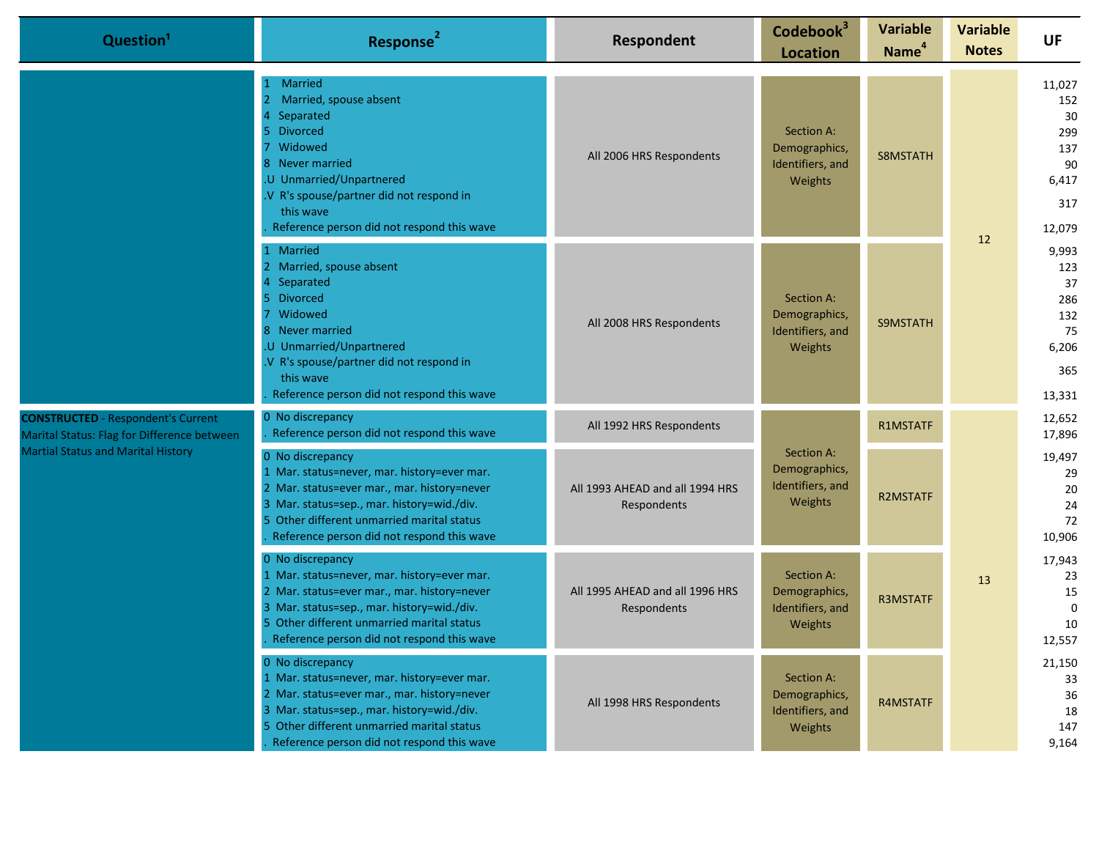|                                           | Question <sup>1</sup>                                                                                                                                                                                                                                    | Response <sup>2</sup>                                                                                                                                                                                                                                    | Respondent                                                                    | Codebook <sup>3</sup><br><b>Location</b>                   | <b>Variable</b><br>Name <sup>4</sup>     | <b>Variable</b><br><b>Notes</b>                | <b>UF</b>                                                         |
|-------------------------------------------|----------------------------------------------------------------------------------------------------------------------------------------------------------------------------------------------------------------------------------------------------------|----------------------------------------------------------------------------------------------------------------------------------------------------------------------------------------------------------------------------------------------------------|-------------------------------------------------------------------------------|------------------------------------------------------------|------------------------------------------|------------------------------------------------|-------------------------------------------------------------------|
|                                           |                                                                                                                                                                                                                                                          | <b>Married</b><br>Married, spouse absent<br>Separated<br><b>Divorced</b><br>Widowed<br>Never married<br>U Unmarried/Unpartnered<br>V R's spouse/partner did not respond in<br>this wave<br>Reference person did not respond this wave                    | All 2006 HRS Respondents                                                      | Section A:<br>Demographics,<br>Identifiers, and<br>Weights | S8MSTATH                                 |                                                | 11,027<br>152<br>30<br>299<br>137<br>90<br>6,417<br>317<br>12,079 |
|                                           |                                                                                                                                                                                                                                                          | Married<br>Married, spouse absent<br>Separated<br><b>Divorced</b><br>Widowed<br>Never married<br>U Unmarried/Unpartnered<br>V R's spouse/partner did not respond in<br>this wave<br>Reference person did not respond this wave                           | All 2008 HRS Respondents                                                      | Section A:<br>Demographics,<br>Identifiers, and<br>Weights | S9MSTATH                                 | 12                                             | 9,993<br>123<br>37<br>286<br>132<br>75<br>6,206<br>365<br>13,331  |
|                                           | <b>CONSTRUCTED</b> - Respondent's Current<br>Marital Status: Flag for Difference between                                                                                                                                                                 | 0 No discrepancy<br>Reference person did not respond this wave                                                                                                                                                                                           | All 1992 HRS Respondents                                                      |                                                            | R1MSTATF                                 |                                                | 12,652<br>17,896                                                  |
| <b>Martial Status and Marital History</b> | 0 No discrepancy<br>1 Mar. status=never, mar. history=ever mar.<br>2 Mar. status=ever mar., mar. history=never<br>3 Mar. status=sep., mar. history=wid./div.<br>5 Other different unmarried marital status<br>Reference person did not respond this wave | All 1993 AHEAD and all 1994 HRS<br>Respondents                                                                                                                                                                                                           | Section A:<br>Demographics,<br>Identifiers, and<br><b>R2MSTATF</b><br>Weights |                                                            | 19,497<br>29<br>20<br>24<br>72<br>10,906 |                                                |                                                                   |
|                                           | 0 No discrepancy<br>1 Mar. status=never, mar. history=ever mar.<br>2 Mar. status=ever mar., mar. history=never<br>3 Mar. status=sep., mar. history=wid./div.<br>5 Other different unmarried marital status<br>Reference person did not respond this wave | All 1995 AHEAD and all 1996 HRS<br>Respondents                                                                                                                                                                                                           | Section A:<br>Demographics,<br>Identifiers, and<br>Weights                    | <b>R3MSTATF</b>                                            | 13                                       | 17,943<br>23<br>15<br>$\Omega$<br>10<br>12,557 |                                                                   |
|                                           |                                                                                                                                                                                                                                                          | 0 No discrepancy<br>1 Mar. status=never, mar. history=ever mar.<br>2 Mar. status=ever mar., mar. history=never<br>3 Mar. status=sep., mar. history=wid./div.<br>5 Other different unmarried marital status<br>Reference person did not respond this wave | All 1998 HRS Respondents                                                      | Section A:<br>Demographics,<br>Identifiers, and<br>Weights | R4MSTATF                                 |                                                | 21,150<br>33<br>36<br>18<br>147<br>9,164                          |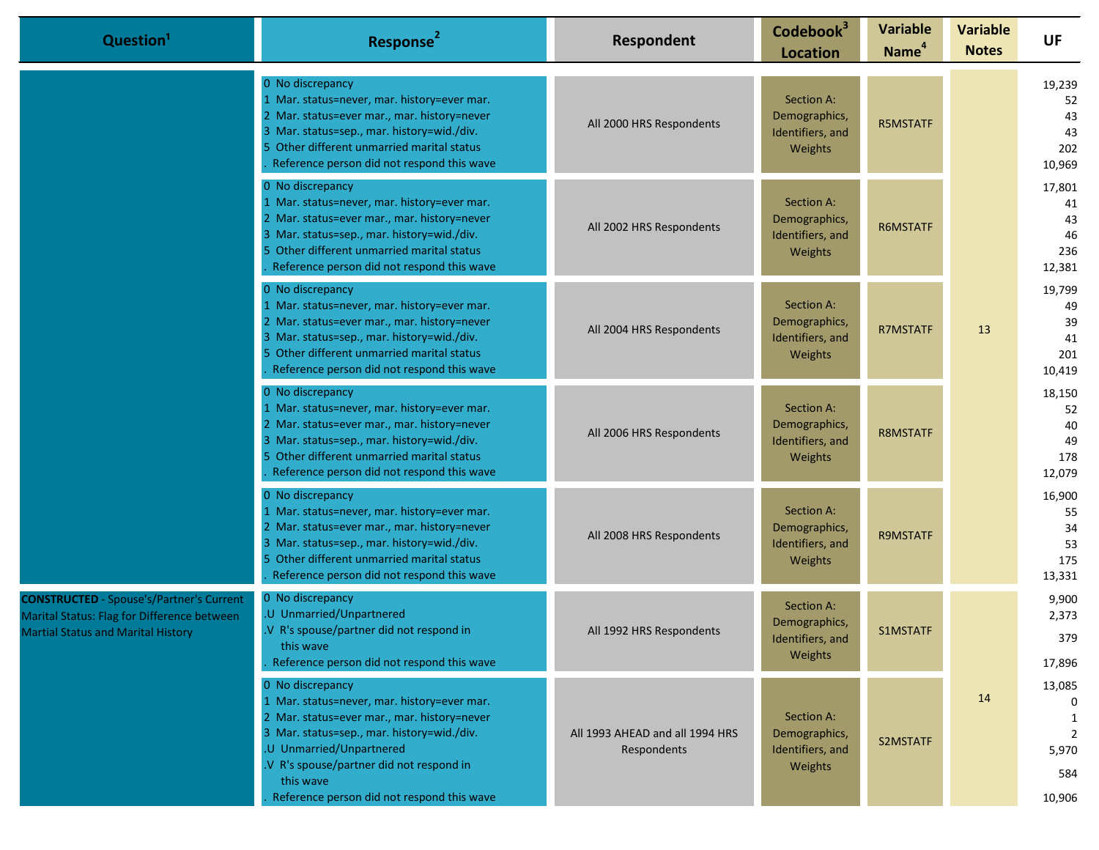| Question <sup>1</sup>                                                                                                                       | Response <sup>2</sup>                                                                                                                                                                                                                                                                           | Respondent                                     | Codebook <sup>3</sup><br><b>Location</b>                   | <b>Variable</b><br>Name <sup>4</sup> | <b>Variable</b><br><b>Notes</b> | <b>UF</b>                                  |
|---------------------------------------------------------------------------------------------------------------------------------------------|-------------------------------------------------------------------------------------------------------------------------------------------------------------------------------------------------------------------------------------------------------------------------------------------------|------------------------------------------------|------------------------------------------------------------|--------------------------------------|---------------------------------|--------------------------------------------|
|                                                                                                                                             | 0 No discrepancy<br>1 Mar. status=never, mar. history=ever mar.<br>2 Mar. status=ever mar., mar. history=never<br>3 Mar. status=sep., mar. history=wid./div.<br>5 Other different unmarried marital status<br>Reference person did not respond this wave                                        | All 2000 HRS Respondents                       | Section A:<br>Demographics,<br>Identifiers, and<br>Weights | <b>R5MSTATF</b>                      |                                 | 19,239<br>52<br>43<br>43<br>202<br>10,969  |
|                                                                                                                                             | 0 No discrepancy<br>1 Mar. status=never, mar. history=ever mar.<br>2 Mar. status=ever mar., mar. history=never<br>3 Mar. status=sep., mar. history=wid./div.<br>5 Other different unmarried marital status<br>Reference person did not respond this wave                                        | All 2002 HRS Respondents                       | Section A:<br>Demographics,<br>Identifiers, and<br>Weights | R6MSTATF                             |                                 | 17,801<br>41<br>43<br>46<br>236<br>12,381  |
|                                                                                                                                             | 0 No discrepancy<br>1 Mar. status=never, mar. history=ever mar.<br>2 Mar. status=ever mar., mar. history=never<br>3 Mar. status=sep., mar. history=wid./div.<br>5 Other different unmarried marital status<br>Reference person did not respond this wave                                        | All 2004 HRS Respondents                       | Section A:<br>Demographics,<br>Identifiers, and<br>Weights | <b>R7MSTATF</b>                      | 13                              | 19,799<br>49<br>39<br>41<br>201<br>10,419  |
|                                                                                                                                             | 0 No discrepancy<br>1 Mar. status=never, mar. history=ever mar.<br>2 Mar. status=ever mar., mar. history=never<br>3 Mar. status=sep., mar. history=wid./div.<br>5 Other different unmarried marital status<br>Reference person did not respond this wave                                        | All 2006 HRS Respondents                       | Section A:<br>Demographics,<br>Identifiers, and<br>Weights | <b>R8MSTATF</b>                      |                                 | 18,150<br>52<br>40<br>49<br>178<br>12,079  |
|                                                                                                                                             | 0 No discrepancy<br>1 Mar. status=never, mar. history=ever mar.<br>2 Mar. status=ever mar., mar. history=never<br>3 Mar. status=sep., mar. history=wid./div.<br>5 Other different unmarried marital status<br>Reference person did not respond this wave                                        | All 2008 HRS Respondents                       | Section A:<br>Demographics,<br>Identifiers, and<br>Weights | <b>R9MSTATF</b>                      |                                 | 16,900<br>55<br>34<br>53<br>175<br>13,331  |
| <b>CONSTRUCTED</b> - Spouse's/Partner's Current<br>Marital Status: Flag for Difference between<br><b>Martial Status and Marital History</b> | 0 No discrepancy<br>.U Unmarried/Unpartnered<br>.V R's spouse/partner did not respond in<br>this wave<br>Reference person did not respond this wave                                                                                                                                             | All 1992 HRS Respondents                       | Section A:<br>Demographics,<br>Identifiers, and<br>Weights | S1MSTATF                             |                                 | 9,900<br>2,373<br>379<br>17,896            |
|                                                                                                                                             | 0 No discrepancy<br>1 Mar. status=never, mar. history=ever mar.<br>2 Mar. status=ever mar., mar. history=never<br>3 Mar. status=sep., mar. history=wid./div.<br>.U Unmarried/Unpartnered<br>.V R's spouse/partner did not respond in<br>this wave<br>Reference person did not respond this wave | All 1993 AHEAD and all 1994 HRS<br>Respondents | Section A:<br>Demographics,<br>Identifiers, and<br>Weights | S2MSTATF                             | 14                              | 13,085<br>1<br>2<br>5,970<br>584<br>10,906 |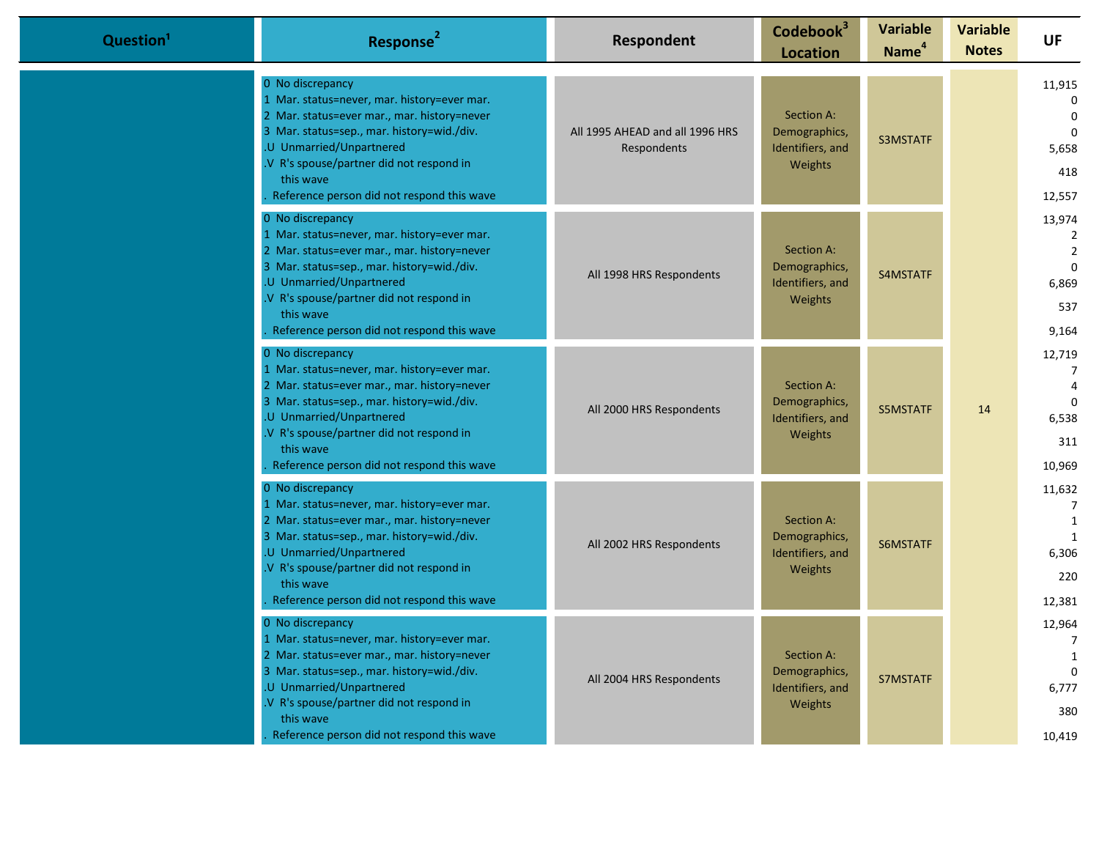| Question <sup>1</sup> | Response <sup>2</sup>                                                                                                                                                                                                                                                                           | Respondent                                     | Codebook <sup>3</sup><br><b>Location</b>                          | <b>Variable</b><br>Name <sup>4</sup> | <b>Variable</b><br><b>Notes</b> | <b>UF</b>                                                            |
|-----------------------|-------------------------------------------------------------------------------------------------------------------------------------------------------------------------------------------------------------------------------------------------------------------------------------------------|------------------------------------------------|-------------------------------------------------------------------|--------------------------------------|---------------------------------|----------------------------------------------------------------------|
|                       | 0 No discrepancy<br>1 Mar. status=never, mar. history=ever mar.<br>2 Mar. status=ever mar., mar. history=never<br>3 Mar. status=sep., mar. history=wid./div.<br>.U Unmarried/Unpartnered<br>V R's spouse/partner did not respond in<br>this wave<br>Reference person did not respond this wave  | All 1995 AHEAD and all 1996 HRS<br>Respondents | Section A:<br>Demographics,<br>Identifiers, and<br>Weights        | <b>S3MSTATF</b>                      |                                 | 11,915<br>$\Omega$<br>$\Omega$<br>$\Omega$<br>5,658<br>418<br>12,557 |
|                       | 0 No discrepancy<br>1 Mar. status=never, mar. history=ever mar.<br>2 Mar. status=ever mar., mar. history=never<br>3 Mar. status=sep., mar. history=wid./div.<br>.U Unmarried/Unpartnered<br>.V R's spouse/partner did not respond in<br>this wave<br>Reference person did not respond this wave | All 1998 HRS Respondents                       | Section A:<br>Demographics,<br>Identifiers, and<br><b>Weights</b> | S4MSTATF                             |                                 | 13,974<br>2<br>$\overline{2}$<br>$\Omega$<br>6,869<br>537<br>9,164   |
|                       | 0 No discrepancy<br>1 Mar. status=never, mar. history=ever mar.<br>2 Mar. status=ever mar., mar. history=never<br>3 Mar. status=sep., mar. history=wid./div.<br>.U Unmarried/Unpartnered<br>V R's spouse/partner did not respond in<br>this wave<br>Reference person did not respond this wave  | All 2000 HRS Respondents                       | Section A:<br>Demographics,<br>Identifiers, and<br>Weights        | S5MSTATF                             | 14                              | 12,719<br>7<br>$\Omega$<br>6,538<br>311<br>10,969                    |
|                       | 0 No discrepancy<br>1 Mar. status=never, mar. history=ever mar.<br>2 Mar. status=ever mar., mar. history=never<br>3 Mar. status=sep., mar. history=wid./div.<br>.U Unmarried/Unpartnered<br>V R's spouse/partner did not respond in<br>this wave<br>Reference person did not respond this wave  | All 2002 HRS Respondents                       | Section A:<br>Demographics,<br>Identifiers, and<br>Weights        | S6MSTATF                             |                                 | 11,632<br>7<br>1<br>1<br>6,306<br>220<br>12,381                      |
|                       | 0 No discrepancy<br>L Mar. status=never, mar. history=ever mar.<br>2 Mar. status=ever mar., mar. history=never<br>3 Mar. status=sep., mar. history=wid./div.<br>.U Unmarried/Unpartnered<br>V R's spouse/partner did not respond in<br>this wave<br>Reference person did not respond this wave  | All 2004 HRS Respondents                       | Section A:<br>Demographics,<br>Identifiers, and<br>Weights        | S7MSTATF                             |                                 | 12,964<br>$\overline{7}$<br>1<br>$\Omega$<br>6,777<br>380<br>10,419  |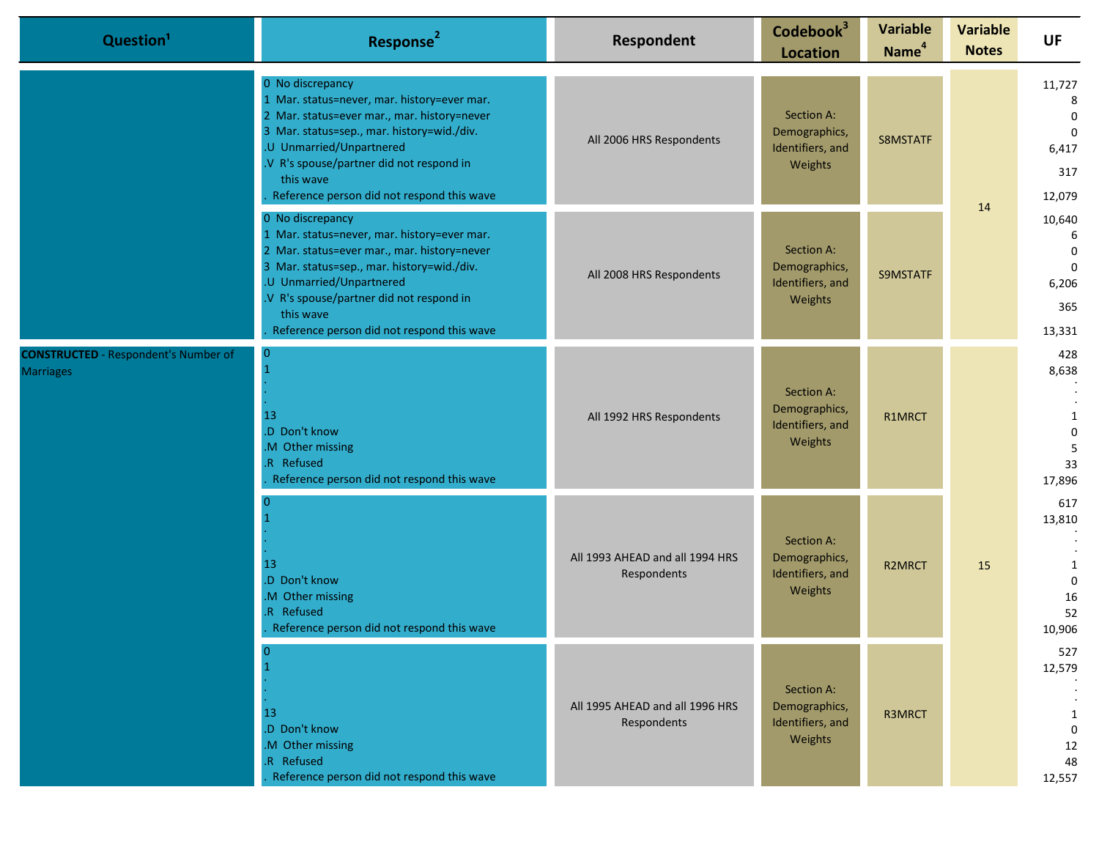| Question <sup>1</sup>                                           | Response <sup>2</sup>                                                                                                                                                                                                                                                                           | <b>Respondent</b>                              | Codebook <sup>3</sup><br><b>Location</b>                               | <b>Variable</b><br>Name <sup>4</sup> | <b>Variable</b><br><b>Notes</b>                                  | UF                                                       |                                                                        |
|-----------------------------------------------------------------|-------------------------------------------------------------------------------------------------------------------------------------------------------------------------------------------------------------------------------------------------------------------------------------------------|------------------------------------------------|------------------------------------------------------------------------|--------------------------------------|------------------------------------------------------------------|----------------------------------------------------------|------------------------------------------------------------------------|
|                                                                 | 0 No discrepancy<br>1 Mar. status=never, mar. history=ever mar.<br>2 Mar. status=ever mar., mar. history=never<br>3 Mar. status=sep., mar. history=wid./div.<br>.U Unmarried/Unpartnered<br>.V R's spouse/partner did not respond in<br>this wave<br>Reference person did not respond this wave | All 2006 HRS Respondents                       | Section A:<br>Demographics,<br>Identifiers, and<br>Weights             | S8MSTATF                             | 14                                                               |                                                          | 11,727<br>8<br>$\mathbf 0$<br>$\overline{0}$<br>6,417<br>317<br>12,079 |
|                                                                 | 0 No discrepancy<br>1 Mar. status=never, mar. history=ever mar.<br>2 Mar. status=ever mar., mar. history=never<br>3 Mar. status=sep., mar. history=wid./div.<br>.U Unmarried/Unpartnered<br>.V R's spouse/partner did not respond in<br>this wave<br>Reference person did not respond this wave | All 2008 HRS Respondents                       | Section A:<br>Demographics,<br>S9MSTATF<br>Identifiers, and<br>Weights |                                      | 10,640<br>6<br>$\mathbf 0$<br>$\Omega$<br>6,206<br>365<br>13,331 |                                                          |                                                                        |
| <b>CONSTRUCTED</b> - Respondent's Number of<br><b>Marriages</b> | <b>O</b><br>13<br>.D Don't know<br>M Other missing<br>.R Refused<br>Reference person did not respond this wave                                                                                                                                                                                  | All 1992 HRS Respondents                       | Section A:<br>Demographics,<br>Identifiers, and<br>Weights             | R1MRCT                               |                                                                  | 428<br>8,638<br>1<br>0<br>5<br>33<br>17,896              |                                                                        |
|                                                                 | 13<br>.D Don't know<br>M Other missing<br>R Refused<br>Reference person did not respond this wave                                                                                                                                                                                               | All 1993 AHEAD and all 1994 HRS<br>Respondents | Section A:<br>Demographics,<br>Identifiers, and<br>Weights             | R2MRCT                               | 15                                                               | 617<br>13,810<br>1<br>$\mathbf{0}$<br>16<br>52<br>10,906 |                                                                        |
|                                                                 | 13<br>.D Don't know<br>.M Other missing<br>.R Refused<br>Reference person did not respond this wave                                                                                                                                                                                             | All 1995 AHEAD and all 1996 HRS<br>Respondents | Section A:<br>Demographics,<br>Identifiers, and<br>Weights             | R3MRCT                               |                                                                  | 527<br>12,579<br>1<br>$\mathbf{0}$<br>12<br>48<br>12,557 |                                                                        |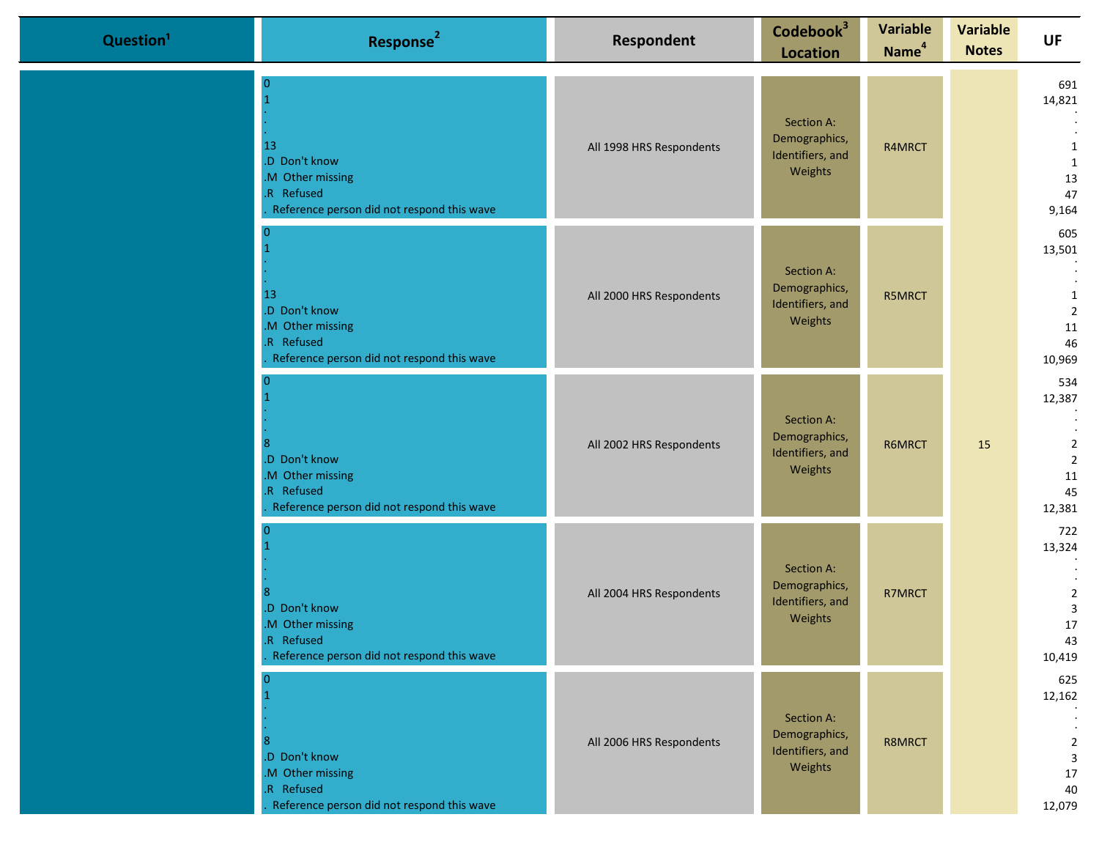| Question <sup>1</sup> | Response <sup>2</sup>                                                                              | Respondent               | Codebook <sup>3</sup><br><b>Location</b>                   | <b>Variable</b><br>Name <sup>4</sup> | <b>Variable</b><br><b>Notes</b> | UF                                                                      |
|-----------------------|----------------------------------------------------------------------------------------------------|--------------------------|------------------------------------------------------------|--------------------------------------|---------------------------------|-------------------------------------------------------------------------|
|                       | 13<br>.D Don't know<br>M Other missing<br>R Refused<br>Reference person did not respond this wave  | All 1998 HRS Respondents | Section A:<br>Demographics,<br>Identifiers, and<br>Weights | R4MRCT                               |                                 | 691<br>14,821<br>1<br>1<br>13<br>47<br>9,164                            |
|                       | 13<br>.D Don't know<br>.M Other missing<br>R Refused<br>Reference person did not respond this wave | All 2000 HRS Respondents | Section A:<br>Demographics,<br>Identifiers, and<br>Weights | R5MRCT                               |                                 | 605<br>13,501<br>1<br>$\overline{2}$<br>11<br>46<br>10,969              |
|                       | .D Don't know<br>.M Other missing<br>R Refused<br>Reference person did not respond this wave       | All 2002 HRS Respondents | Section A:<br>Demographics,<br>Identifiers, and<br>Weights | R6MRCT                               | 15                              | 534<br>12,387<br>$\overline{2}$<br>$\overline{2}$<br>11<br>45<br>12,381 |
|                       | .D Don't know<br>M Other missing<br>R Refused<br>Reference person did not respond this wave        | All 2004 HRS Respondents | Section A:<br>Demographics,<br>Identifiers, and<br>Weights | R7MRCT                               |                                 | 722<br>13,324<br>$\overline{2}$<br>$\mathbf{3}$<br>17<br>43<br>10,419   |
|                       | .D Don't know<br>.M Other missing<br>R Refused<br>Reference person did not respond this wave       | All 2006 HRS Respondents | Section A:<br>Demographics,<br>Identifiers, and<br>Weights | R8MRCT                               |                                 | 625<br>12,162<br>$\bullet$<br>$\overline{2}$<br>3<br>17<br>40<br>12,079 |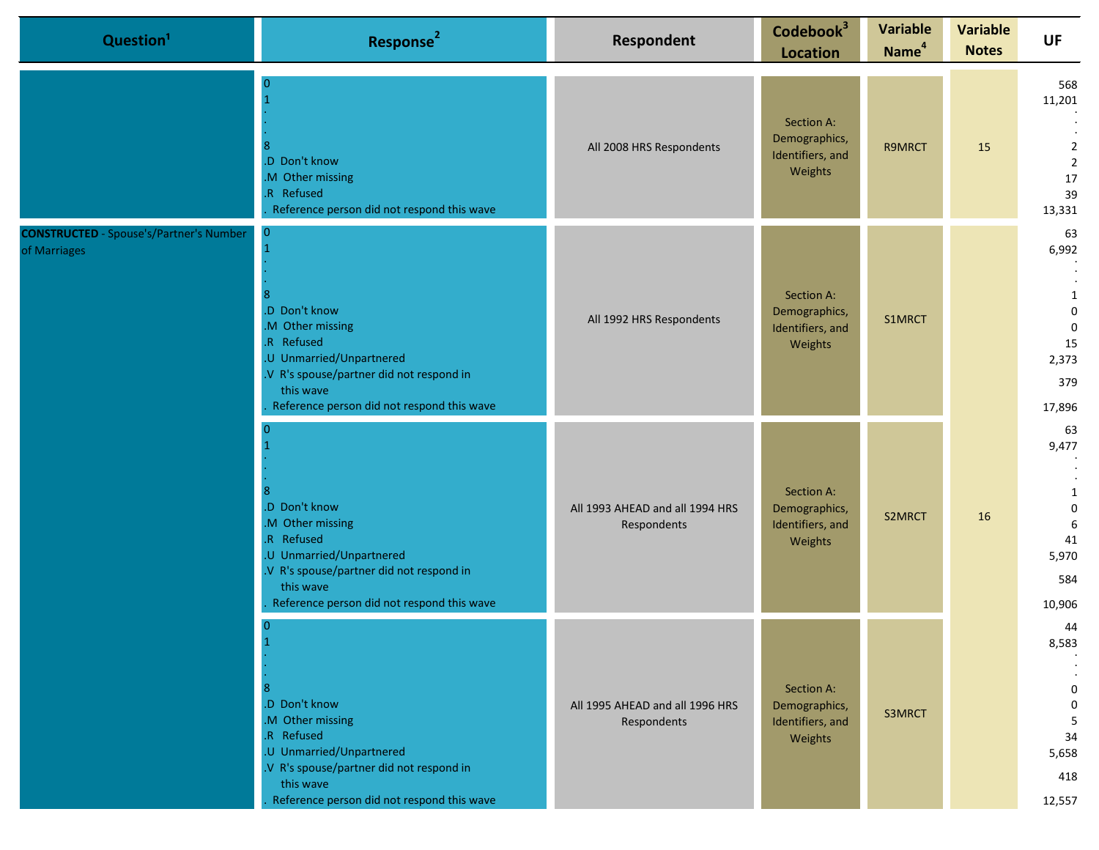| Question <sup>1</sup>                                          | Response <sup>2</sup>                                                                                                                                                                              | Respondent                                     | Codebook <sup>3</sup><br><b>Location</b>                   | <b>Variable</b><br>Name <sup>4</sup> | <b>Variable</b><br><b>Notes</b> | <b>UF</b>                                                                    |
|----------------------------------------------------------------|----------------------------------------------------------------------------------------------------------------------------------------------------------------------------------------------------|------------------------------------------------|------------------------------------------------------------|--------------------------------------|---------------------------------|------------------------------------------------------------------------------|
|                                                                | -0<br>.D Don't know<br>.M Other missing<br>.R Refused<br>Reference person did not respond this wave                                                                                                | All 2008 HRS Respondents                       | Section A:<br>Demographics,<br>Identifiers, and<br>Weights | R9MRCT                               | 15                              | 568<br>11,201<br>$\overline{2}$<br>$\overline{2}$<br>17<br>39<br>13,331      |
| <b>CONSTRUCTED</b> - Spouse's/Partner's Number<br>of Marriages | $\mathbf{0}$<br>.D Don't know<br>.M Other missing<br>.R Refused<br>.U Unmarried/Unpartnered<br>.V R's spouse/partner did not respond in<br>this wave<br>Reference person did not respond this wave | All 1992 HRS Respondents                       | Section A:<br>Demographics,<br>Identifiers, and<br>Weights | S1MRCT                               |                                 | 63<br>6,992<br>1<br>$\pmb{0}$<br>$\mathbf 0$<br>15<br>2,373<br>379<br>17,896 |
|                                                                | .D Don't know<br>.M Other missing<br>.R Refused<br>.U Unmarried/Unpartnered<br>.V R's spouse/partner did not respond in<br>this wave<br>Reference person did not respond this wave                 | All 1993 AHEAD and all 1994 HRS<br>Respondents | Section A:<br>Demographics,<br>Identifiers, and<br>Weights | S2MRCT                               | 16                              | 63<br>9,477<br>1<br>0<br>6<br>41<br>5,970<br>584<br>10,906                   |
|                                                                | .D Don't know<br>.M Other missing<br>.R Refused<br>.U Unmarried/Unpartnered<br>.V R's spouse/partner did not respond in<br>this wave<br>Reference person did not respond this wave                 | All 1995 AHEAD and all 1996 HRS<br>Respondents | Section A:<br>Demographics,<br>Identifiers, and<br>Weights | S3MRCT                               |                                 | 44<br>8,583<br>0<br>$\mathbf 0$<br>5<br>34<br>5,658<br>418<br>12,557         |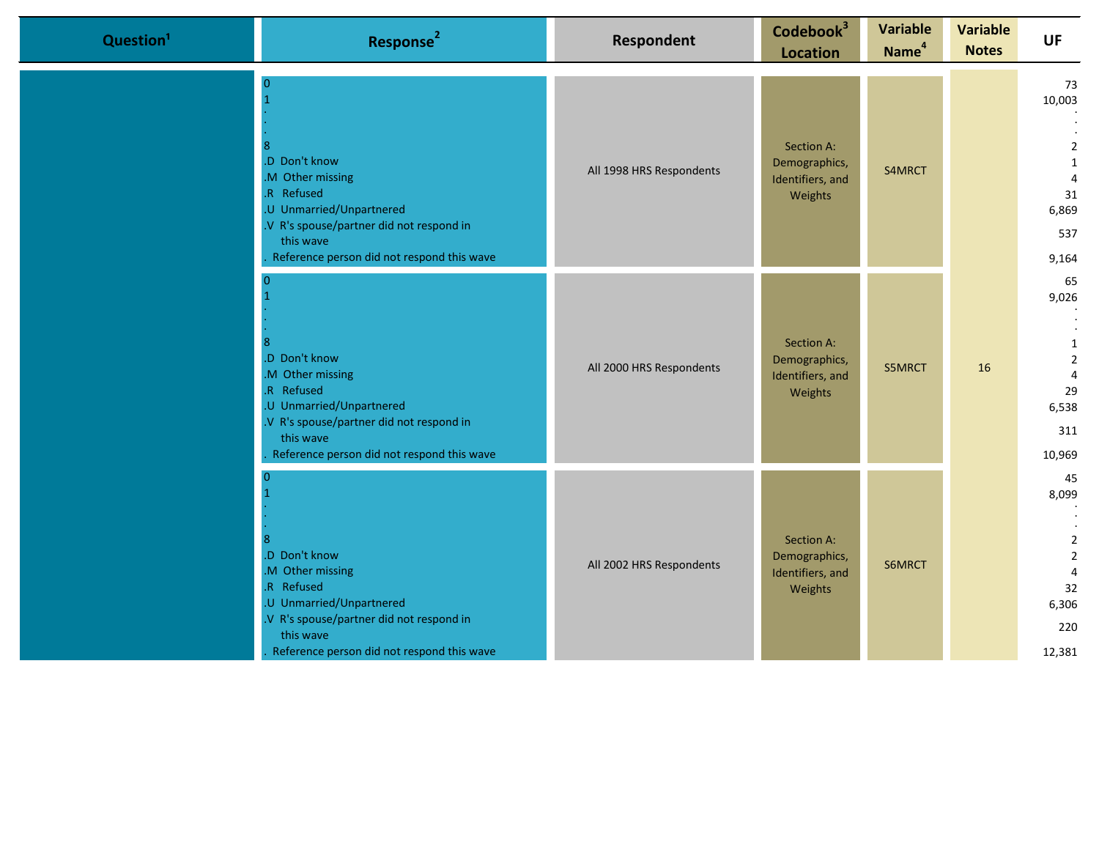| Question <sup>1</sup> | Response <sup>2</sup>                                                                                                                                                                          | <b>Respondent</b>        | Codebook <sup>3</sup><br><b>Location</b>                   | <b>Variable</b><br>Name <sup>4</sup> | <b>Variable</b><br><b>Notes</b> | <b>UF</b>                                                                                         |
|-----------------------|------------------------------------------------------------------------------------------------------------------------------------------------------------------------------------------------|--------------------------|------------------------------------------------------------|--------------------------------------|---------------------------------|---------------------------------------------------------------------------------------------------|
|                       | $\Omega$<br>.D Don't know<br>M Other missing<br>R Refused<br>.U Unmarried/Unpartnered<br>V R's spouse/partner did not respond in<br>this wave<br>Reference person did not respond this wave    | All 1998 HRS Respondents | Section A:<br>Demographics,<br>Identifiers, and<br>Weights | S4MRCT                               |                                 | 73<br>10,003<br>$\overline{2}$<br>1<br>$\overline{4}$<br>31<br>6,869<br>537<br>9,164              |
|                       | <sup>0</sup><br>D Don't know<br>M Other missing<br>R Refused<br>.U Unmarried/Unpartnered<br>V R's spouse/partner did not respond in<br>this wave<br>Reference person did not respond this wave | All 2000 HRS Respondents | Section A:<br>Demographics,<br>Identifiers, and<br>Weights | S5MRCT                               | 16                              | 65<br>9,026<br>1<br>$\overline{2}$<br>$\overline{4}$<br>29<br>6,538<br>311<br>10,969              |
|                       | .D Don't know<br>M Other missing<br>R Refused<br>.U Unmarried/Unpartnered<br>V R's spouse/partner did not respond in<br>this wave<br>Reference person did not respond this wave                | All 2002 HRS Respondents | Section A:<br>Demographics,<br>Identifiers, and<br>Weights | S6MRCT                               |                                 | 45<br>8,099<br>$\overline{2}$<br>$\overline{2}$<br>$\overline{4}$<br>32<br>6,306<br>220<br>12,381 |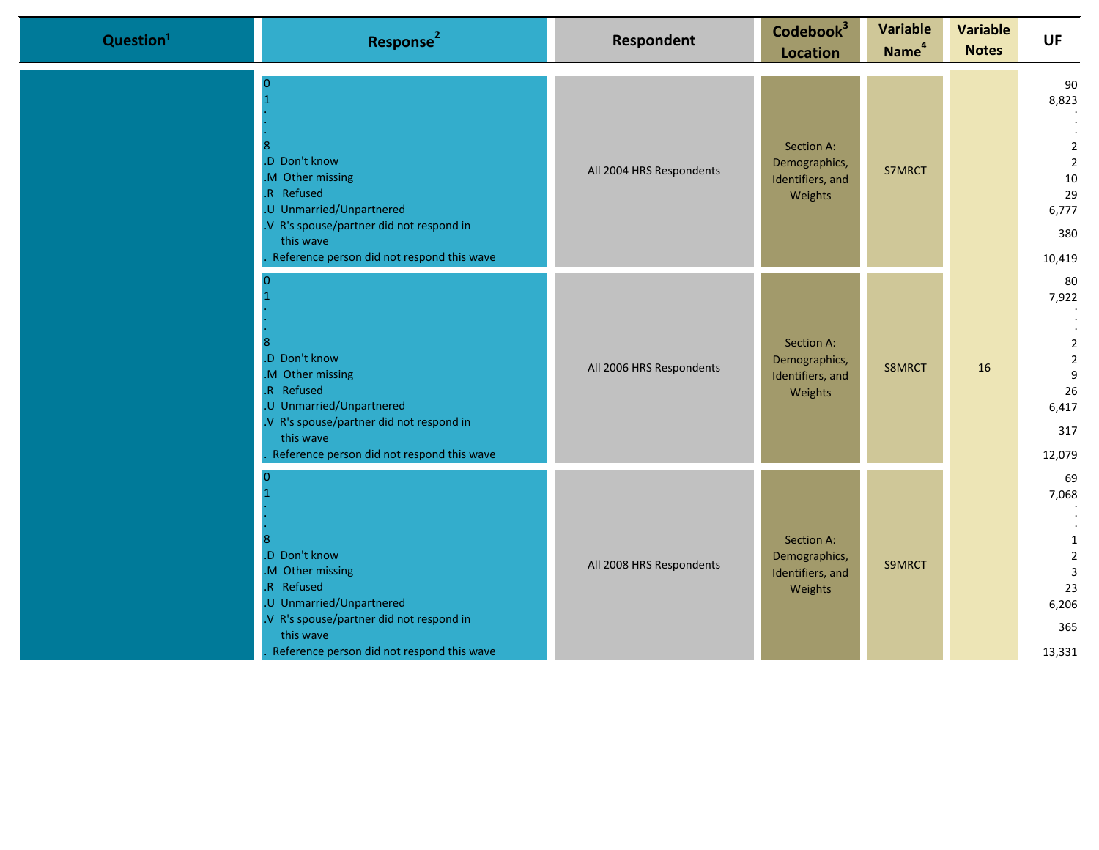| Question <sup>1</sup> | Response <sup>2</sup>                                                                                                                                                                          | <b>Respondent</b>        | Codebook <sup>3</sup><br><b>Location</b>                   | <b>Variable</b><br>Name <sup>4</sup> | <b>Variable</b><br><b>Notes</b> | <b>UF</b>                                                                             |
|-----------------------|------------------------------------------------------------------------------------------------------------------------------------------------------------------------------------------------|--------------------------|------------------------------------------------------------|--------------------------------------|---------------------------------|---------------------------------------------------------------------------------------|
|                       | $\Omega$<br>.D Don't know<br>M Other missing<br>R Refused<br>.U Unmarried/Unpartnered<br>V R's spouse/partner did not respond in<br>this wave<br>Reference person did not respond this wave    | All 2004 HRS Respondents | Section A:<br>Demographics,<br>Identifiers, and<br>Weights | S7MRCT                               |                                 | 90<br>8,823<br>$\overline{2}$<br>$\overline{2}$<br>10<br>29<br>6,777<br>380<br>10,419 |
|                       | <sup>0</sup><br>D Don't know<br>M Other missing<br>R Refused<br>.U Unmarried/Unpartnered<br>V R's spouse/partner did not respond in<br>this wave<br>Reference person did not respond this wave | All 2006 HRS Respondents | Section A:<br>Demographics,<br>Identifiers, and<br>Weights | S8MRCT                               | 16                              | 80<br>7,922<br>$\overline{2}$<br>$\overline{2}$<br>9<br>26<br>6,417<br>317<br>12,079  |
|                       | .D Don't know<br>M Other missing<br>R Refused<br>.U Unmarried/Unpartnered<br>V R's spouse/partner did not respond in<br>this wave<br>Reference person did not respond this wave                | All 2008 HRS Respondents | Section A:<br>Demographics,<br>Identifiers, and<br>Weights | S9MRCT                               |                                 | 69<br>7,068<br>1<br>$\overline{2}$<br>$\overline{3}$<br>23<br>6,206<br>365<br>13,331  |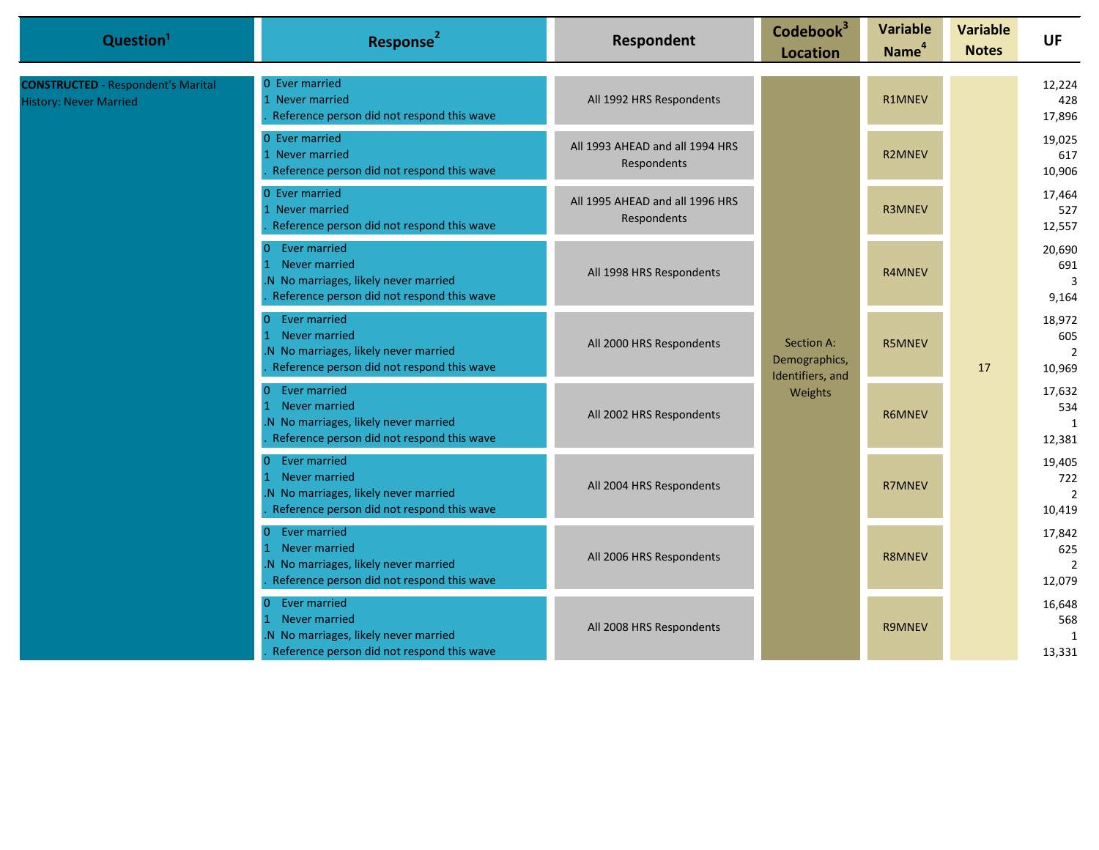| Question <sup>1</sup>                                                      | Response <sup>2</sup>                                                                                                                            | Respondent                                     | Codebook <sup>3</sup><br><b>Location</b>        | <b>Variable</b><br>Name <sup>4</sup> | <b>Variable</b><br><b>Notes</b>         | <b>UF</b>                                 |
|----------------------------------------------------------------------------|--------------------------------------------------------------------------------------------------------------------------------------------------|------------------------------------------------|-------------------------------------------------|--------------------------------------|-----------------------------------------|-------------------------------------------|
| <b>CONSTRUCTED</b> - Respondent's Marital<br><b>History: Never Married</b> | 0 Ever married<br>1 Never married<br>Reference person did not respond this wave                                                                  | All 1992 HRS Respondents                       |                                                 | <b>R1MNEV</b>                        |                                         | 12,224<br>428<br>17,896                   |
|                                                                            | 0 Ever married<br>All 1993 AHEAD and all 1994 HRS<br>1 Never married<br>Respondents<br>Reference person did not respond this wave                |                                                | <b>R2MNEV</b>                                   |                                      | 19,025<br>617<br>10,906                 |                                           |
|                                                                            | 0 Ever married<br>1 Never married<br>Reference person did not respond this wave                                                                  | All 1995 AHEAD and all 1996 HRS<br>Respondents |                                                 | <b>R3MNEV</b>                        |                                         | 17,464<br>527<br>12,557                   |
|                                                                            | Ever married<br>$\Omega$<br>Never married<br>$\mathbf{1}$<br>.N No marriages, likely never married<br>Reference person did not respond this wave | All 1998 HRS Respondents                       |                                                 | <b>R4MNEV</b>                        |                                         | 20,690<br>691<br>3<br>9,164               |
|                                                                            | 0 Ever married<br>1 Never married<br>N No marriages, likely never married<br>Reference person did not respond this wave                          | All 2000 HRS Respondents                       | Section A:<br>Demographics,<br>Identifiers, and | <b>R5MNEV</b><br><b>R6MNEV</b>       | 17                                      | 18,972<br>605<br>$\overline{2}$<br>10,969 |
|                                                                            | 0 Ever married<br>1 Never married<br>N No marriages, likely never married<br>Reference person did not respond this wave                          | All 2002 HRS Respondents                       | Weights                                         |                                      |                                         | 17,632<br>534<br>1<br>12,381              |
|                                                                            | 0 Ever married<br>1 Never married<br>N No marriages, likely never married<br>Reference person did not respond this wave                          | All 2004 HRS Respondents                       |                                                 | <b>R7MNEV</b>                        |                                         | 19,405<br>722<br>$\overline{2}$<br>10,419 |
|                                                                            | 0 Ever married<br>1 Never married<br>N No marriages, likely never married<br>Reference person did not respond this wave                          | All 2006 HRS Respondents                       |                                                 | <b>R8MNEV</b>                        |                                         | 17,842<br>625<br>$\overline{2}$<br>12,079 |
|                                                                            | 0 Ever married<br>1 Never married<br>N No marriages, likely never married<br>Reference person did not respond this wave                          | All 2008 HRS Respondents                       | <b>R9MNEV</b>                                   |                                      | 16,648<br>568<br>$\mathbf{1}$<br>13,331 |                                           |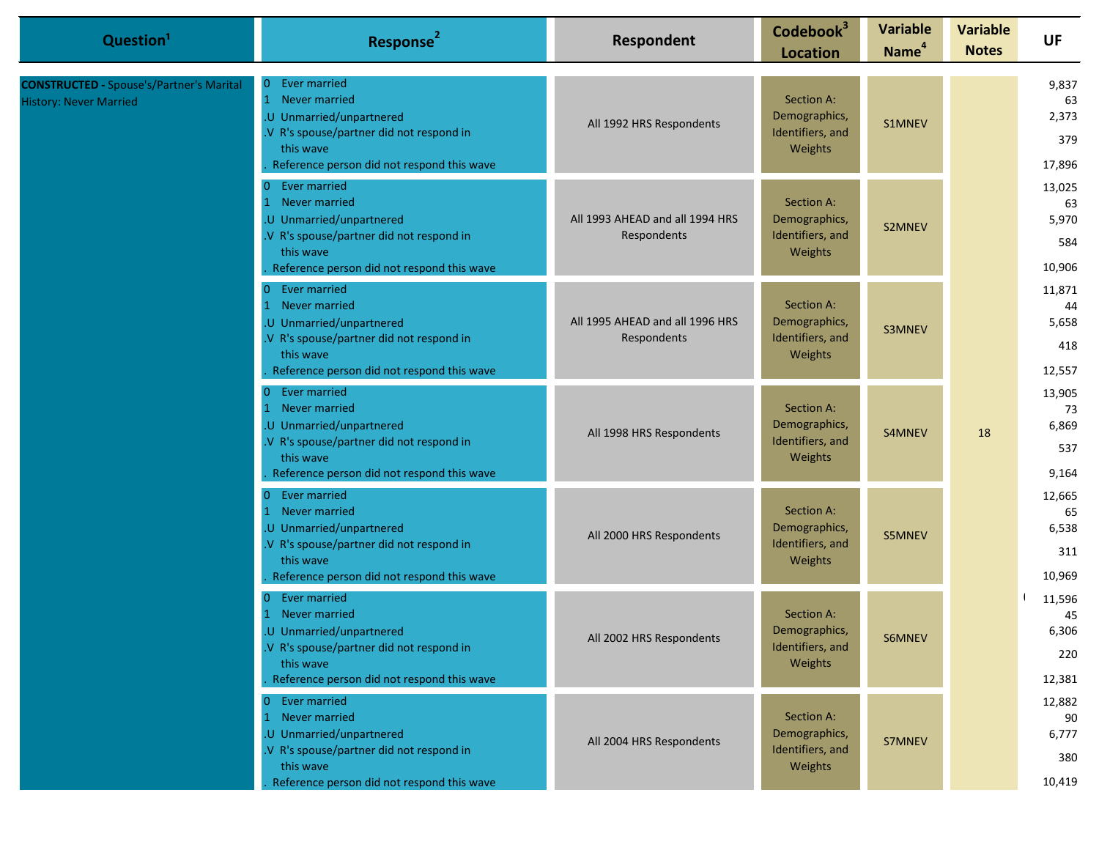| Question <sup>1</sup>                                                            | Response <sup>2</sup>                                                                                                                                                                | Respondent                                     | Codebook <sup>3</sup><br><b>Location</b>                   | <b>Variable</b><br>Name <sup>4</sup> | <b>Variable</b><br><b>Notes</b> | <b>UF</b>                              |
|----------------------------------------------------------------------------------|--------------------------------------------------------------------------------------------------------------------------------------------------------------------------------------|------------------------------------------------|------------------------------------------------------------|--------------------------------------|---------------------------------|----------------------------------------|
| <b>CONSTRUCTED - Spouse's/Partner's Marital</b><br><b>History: Never Married</b> | Ever married<br>0<br>Never married<br>.U Unmarried/unpartnered<br>.V R's spouse/partner did not respond in<br>this wave<br>Reference person did not respond this wave                | All 1992 HRS Respondents                       | Section A:<br>Demographics,<br>Identifiers, and<br>Weights | S1MNEV                               |                                 | 9,837<br>63<br>2,373<br>379<br>17,896  |
|                                                                                  | 0 Ever married<br>1 Never married<br>.U Unmarried/unpartnered<br>.V R's spouse/partner did not respond in<br>this wave<br>Reference person did not respond this wave                 | All 1993 AHEAD and all 1994 HRS<br>Respondents | Section A:<br>Demographics,<br>Identifiers, and<br>Weights | S2MNEV                               |                                 | 13,025<br>63<br>5,970<br>584<br>10,906 |
|                                                                                  | 0 Ever married<br>Never married<br>.U Unmarried/unpartnered<br>.V R's spouse/partner did not respond in<br>this wave<br>Reference person did not respond this wave                   | All 1995 AHEAD and all 1996 HRS<br>Respondents | Section A:<br>Demographics,<br>Identifiers, and<br>Weights | S3MNEV                               |                                 | 11,871<br>44<br>5,658<br>418<br>12,557 |
|                                                                                  | Ever married<br>$\overline{0}$<br>Never married<br>.U Unmarried/unpartnered<br>.V R's spouse/partner did not respond in<br>this wave<br>Reference person did not respond this wave   | All 1998 HRS Respondents                       | Section A:<br>Demographics,<br>Identifiers, and<br>Weights | S4MNEV                               | 18                              | 13,905<br>73<br>6,869<br>537<br>9,164  |
|                                                                                  | Ever married<br>$\overline{0}$<br>1 Never married<br>.U Unmarried/unpartnered<br>.V R's spouse/partner did not respond in<br>this wave<br>Reference person did not respond this wave | All 2000 HRS Respondents                       | Section A:<br>Demographics,<br>Identifiers, and<br>Weights | S5MNEV                               |                                 | 12,665<br>65<br>6,538<br>311<br>10,969 |
|                                                                                  | Ever married<br>0<br>Never married<br>.U Unmarried/unpartnered<br>V R's spouse/partner did not respond in<br>this wave<br>Reference person did not respond this wave                 | All 2002 HRS Respondents                       | Section A:<br>Demographics,<br>Identifiers, and<br>Weights | S6MNEV                               |                                 | 11,596<br>45<br>6,306<br>220<br>12,381 |
|                                                                                  | 0 Ever married<br>1 Never married<br>.U Unmarried/unpartnered<br>.V R's spouse/partner did not respond in<br>this wave<br>Reference person did not respond this wave                 | All 2004 HRS Respondents                       | Section A:<br>Demographics,<br>Identifiers, and<br>Weights | S7MNEV                               |                                 | 12,882<br>90<br>6,777<br>380<br>10,419 |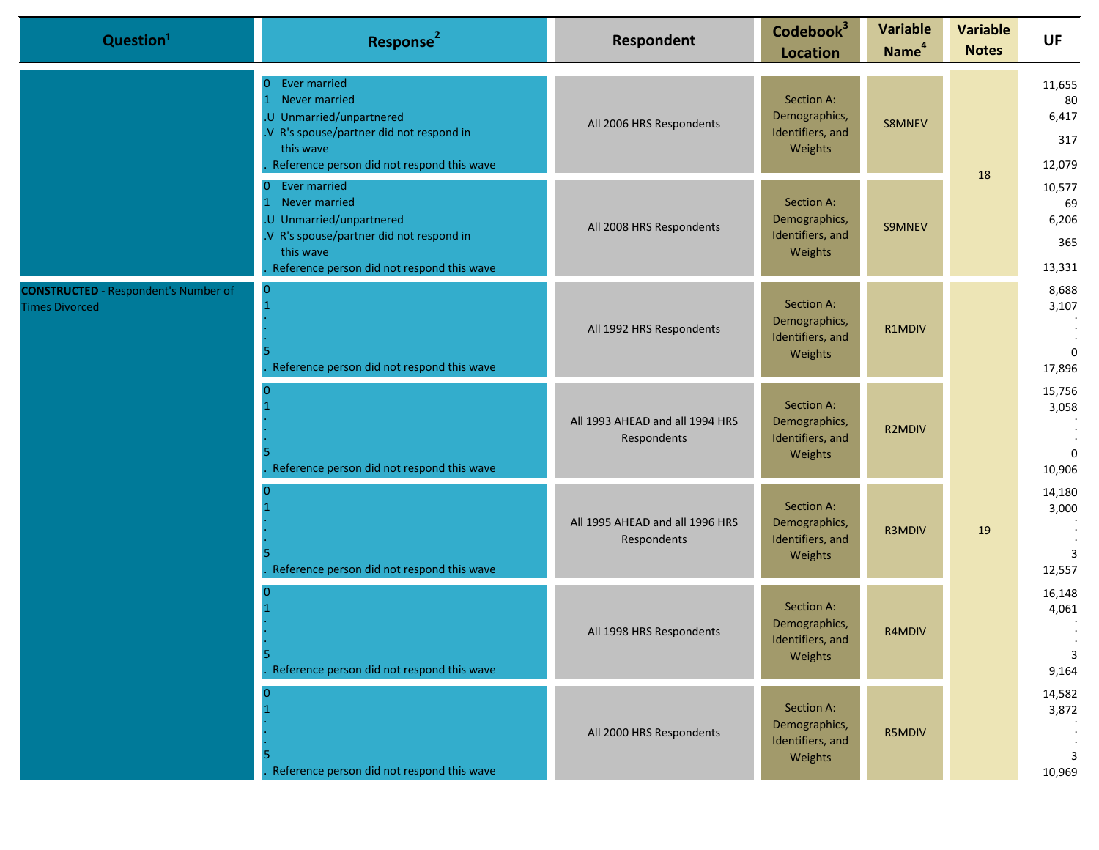| Question <sup>1</sup>                                                | Response <sup>2</sup>                                                                                                                                                                                | Respondent                                     | Codebook <sup>3</sup><br><b>Location</b>                   | <b>Variable</b><br>Name <sup>4</sup> | <b>Variable</b><br><b>Notes</b> | <b>UF</b>                                |
|----------------------------------------------------------------------|------------------------------------------------------------------------------------------------------------------------------------------------------------------------------------------------------|------------------------------------------------|------------------------------------------------------------|--------------------------------------|---------------------------------|------------------------------------------|
|                                                                      | <b>Ever married</b><br>$\Omega$<br>Never married<br>$\overline{1}$<br>U Unmarried/unpartnered<br>.V R's spouse/partner did not respond in<br>this wave<br>Reference person did not respond this wave | All 2006 HRS Respondents                       | Section A:<br>Demographics,<br>Identifiers, and<br>Weights | S8MNEV                               | 18                              | 11,655<br>80<br>6,417<br>317<br>12,079   |
|                                                                      | Ever married<br>$\overline{0}$<br>Never married<br>1<br>.U Unmarried/unpartnered<br>.V R's spouse/partner did not respond in<br>this wave<br>Reference person did not respond this wave              | All 2008 HRS Respondents                       | Section A:<br>Demographics,<br>Identifiers, and<br>Weights | S9MNEV                               |                                 | 10,577<br>69<br>6,206<br>365<br>13,331   |
| <b>CONSTRUCTED</b> - Respondent's Number of<br><b>Times Divorced</b> | $\overline{0}$<br>Reference person did not respond this wave                                                                                                                                         | All 1992 HRS Respondents                       | Section A:<br>Demographics,<br>Identifiers, and<br>Weights | R1MDIV                               |                                 | 8,688<br>3,107<br>$\mathbf{0}$<br>17,896 |
|                                                                      | Reference person did not respond this wave                                                                                                                                                           | All 1993 AHEAD and all 1994 HRS<br>Respondents | Section A:<br>Demographics,<br>Identifiers, and<br>Weights | <b>R2MDIV</b>                        |                                 | 15,756<br>3,058<br>$\Omega$<br>10,906    |
|                                                                      | Reference person did not respond this wave                                                                                                                                                           | All 1995 AHEAD and all 1996 HRS<br>Respondents | Section A:<br>Demographics,<br>Identifiers, and<br>Weights | R3MDIV                               | 19                              | 14,180<br>3,000<br>3<br>12,557           |
|                                                                      | 5<br>Reference person did not respond this wave                                                                                                                                                      | All 1998 HRS Respondents                       | Section A:<br>Demographics,<br>Identifiers, and<br>Weights | R4MDIV                               |                                 | 16,148<br>4,061<br>3<br>9,164            |
|                                                                      | Reference person did not respond this wave                                                                                                                                                           | All 2000 HRS Respondents                       | Section A:<br>Demographics,<br>Identifiers, and<br>Weights | <b>R5MDIV</b>                        |                                 | 14,582<br>3,872<br>3<br>10,969           |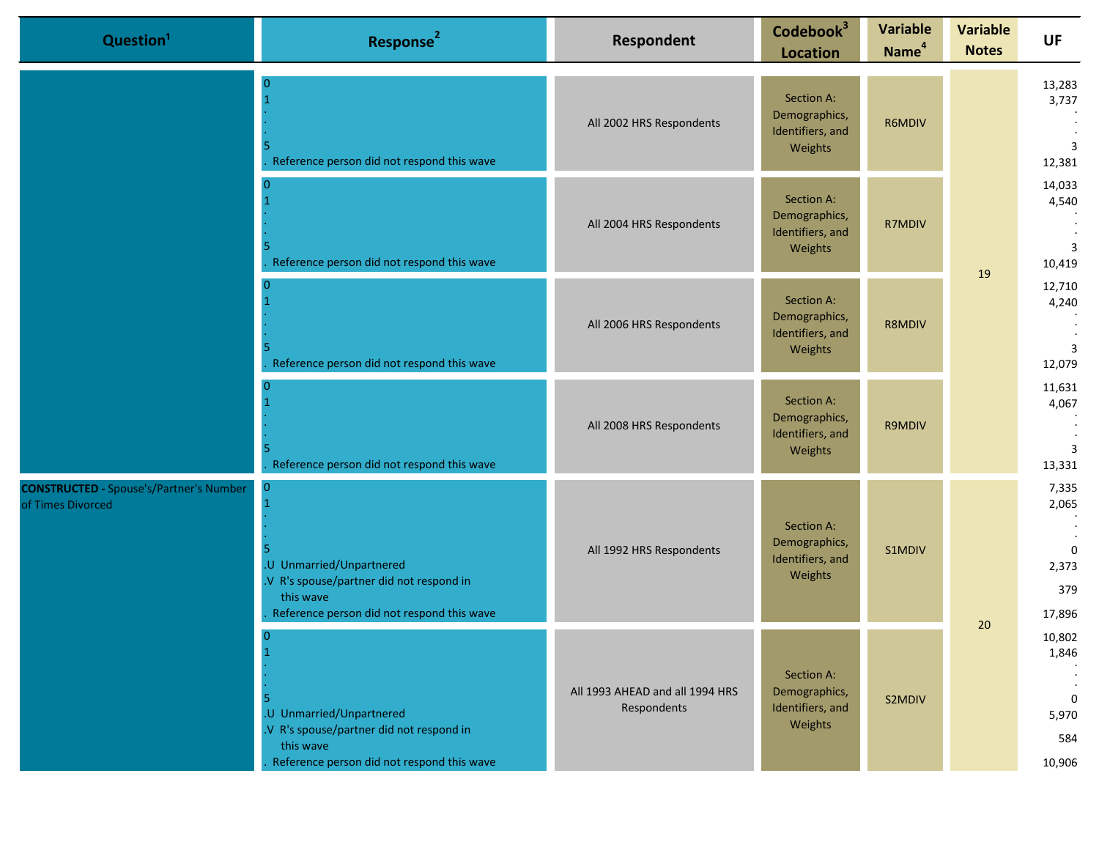|                                                                     | Question <sup>1</sup>                                                                                                                       | Response <sup>2</sup>                          | Respondent                                                 | Codebook <sup>3</sup><br><b>Location</b>                             | <b>Variable</b><br>Name <sup>4</sup> | <b>Variable</b><br><b>Notes</b>                          | <b>UF</b>                                   |
|---------------------------------------------------------------------|---------------------------------------------------------------------------------------------------------------------------------------------|------------------------------------------------|------------------------------------------------------------|----------------------------------------------------------------------|--------------------------------------|----------------------------------------------------------|---------------------------------------------|
|                                                                     |                                                                                                                                             | Reference person did not respond this wave     | All 2002 HRS Respondents                                   | Section A:<br>Demographics,<br>R6MDIV<br>Identifiers, and<br>Weights | 19                                   |                                                          | 13,283<br>3,737<br>$\overline{3}$<br>12,381 |
| <b>CONSTRUCTED - Spouse's/Partner's Number</b><br>of Times Divorced | Reference person did not respond this wave                                                                                                  | All 2004 HRS Respondents                       | Section A:<br>Demographics,<br>Identifiers, and<br>Weights | R7MDIV                                                               |                                      | 14,033<br>4,540<br>$\overline{3}$<br>10,419              |                                             |
|                                                                     | Reference person did not respond this wave                                                                                                  | All 2006 HRS Respondents                       | Section A:<br>Demographics,<br>Identifiers, and<br>Weights | <b>R8MDIV</b>                                                        |                                      | 12,710<br>4,240<br>$\overline{3}$<br>12,079              |                                             |
|                                                                     |                                                                                                                                             | Reference person did not respond this wave     | All 2008 HRS Respondents                                   | Section A:<br>Demographics,<br>Identifiers, and<br>Weights           | R9MDIV                               |                                                          | 11,631<br>4,067<br>3<br>13,331              |
|                                                                     | 0<br>.U Unmarried/Unpartnered<br>.V R's spouse/partner did not respond in<br>this wave<br>Reference person did not respond this wave        | All 1992 HRS Respondents                       | Section A:<br>Demographics,<br>Identifiers, and<br>Weights | S1MDIV                                                               |                                      | 7,335<br>2,065<br>$\mathbf 0$<br>2,373<br>379<br>17,896  |                                             |
|                                                                     | $\Omega$<br>.U Unmarried/Unpartnered<br>.V R's spouse/partner did not respond in<br>this wave<br>Reference person did not respond this wave | All 1993 AHEAD and all 1994 HRS<br>Respondents | Section A:<br>Demographics,<br>Identifiers, and<br>Weights | S2MDIV                                                               | 20                                   | 10,802<br>1,846<br>$\mathbf 0$<br>5,970<br>584<br>10,906 |                                             |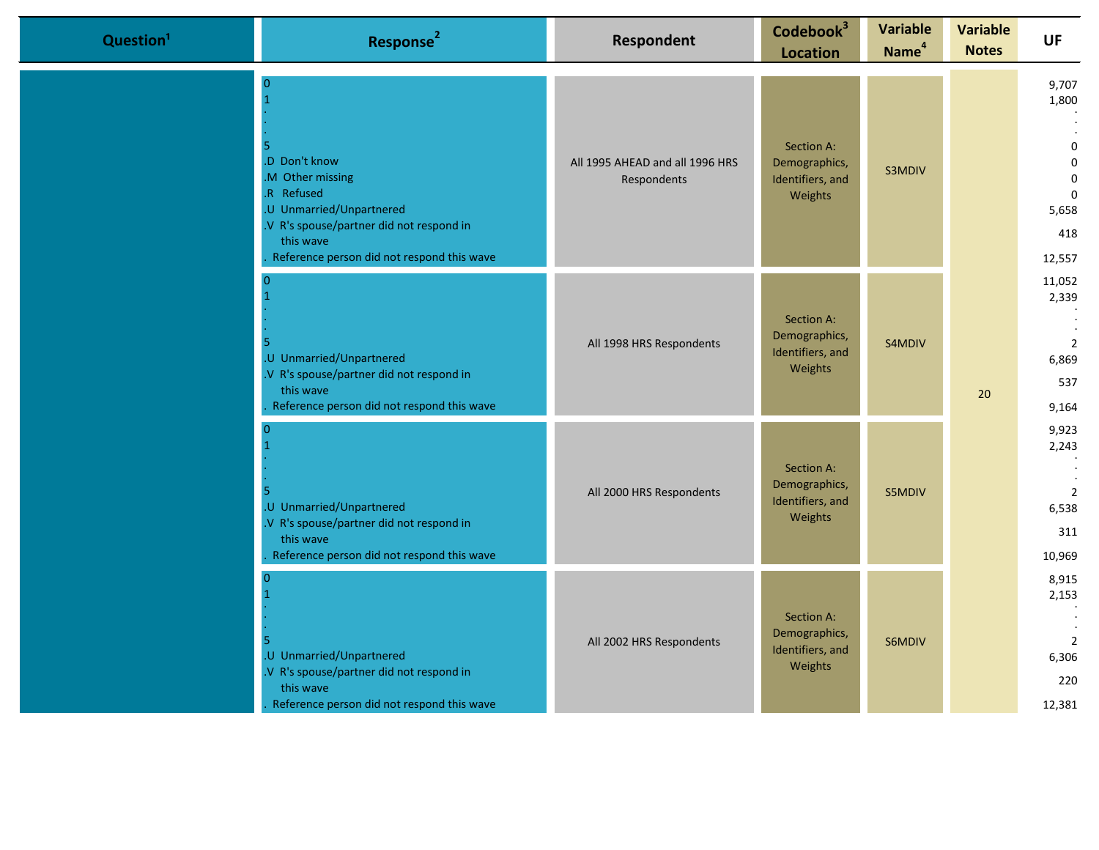| Question <sup>1</sup> | Response <sup>2</sup>                                                                                                                                                                         | Respondent                                     | Codebook <sup>3</sup><br><b>Location</b>                   | <b>Variable</b><br>Name <sup>4</sup> | <b>Variable</b><br><b>Notes</b> | <b>UF</b>                                                                                            |
|-----------------------|-----------------------------------------------------------------------------------------------------------------------------------------------------------------------------------------------|------------------------------------------------|------------------------------------------------------------|--------------------------------------|---------------------------------|------------------------------------------------------------------------------------------------------|
|                       | $\Omega$<br>.D Don't know<br>M Other missing<br>.R Refused<br>.U Unmarried/Unpartnered<br>.V R's spouse/partner did not respond in<br>this wave<br>Reference person did not respond this wave | All 1995 AHEAD and all 1996 HRS<br>Respondents | Section A:<br>Demographics,<br>Identifiers, and<br>Weights | S3MDIV                               |                                 | 9,707<br>1,800<br>$\mathbf 0$<br>$\mathbf 0$<br>$\mathbf 0$<br>$\mathbf 0$<br>5,658<br>418<br>12,557 |
|                       | .U Unmarried/Unpartnered<br>.V R's spouse/partner did not respond in<br>this wave<br>Reference person did not respond this wave                                                               | All 1998 HRS Respondents                       | Section A:<br>Demographics,<br>Identifiers, and<br>Weights | S4MDIV                               | 20                              | 11,052<br>2,339<br>$\overline{2}$<br>6,869<br>537<br>9,164                                           |
|                       | .U Unmarried/Unpartnered<br>.V R's spouse/partner did not respond in<br>this wave<br>Reference person did not respond this wave                                                               | All 2000 HRS Respondents                       | Section A:<br>Demographics,<br>Identifiers, and<br>Weights | S5MDIV                               |                                 | 9,923<br>2,243<br>$\overline{2}$<br>6,538<br>311<br>10,969                                           |
|                       | .U Unmarried/Unpartnered<br>.V R's spouse/partner did not respond in<br>this wave<br>Reference person did not respond this wave                                                               | All 2002 HRS Respondents                       | Section A:<br>Demographics,<br>Identifiers, and<br>Weights | S6MDIV                               |                                 | 8,915<br>2,153<br>$\overline{2}$<br>6,306<br>220<br>12,381                                           |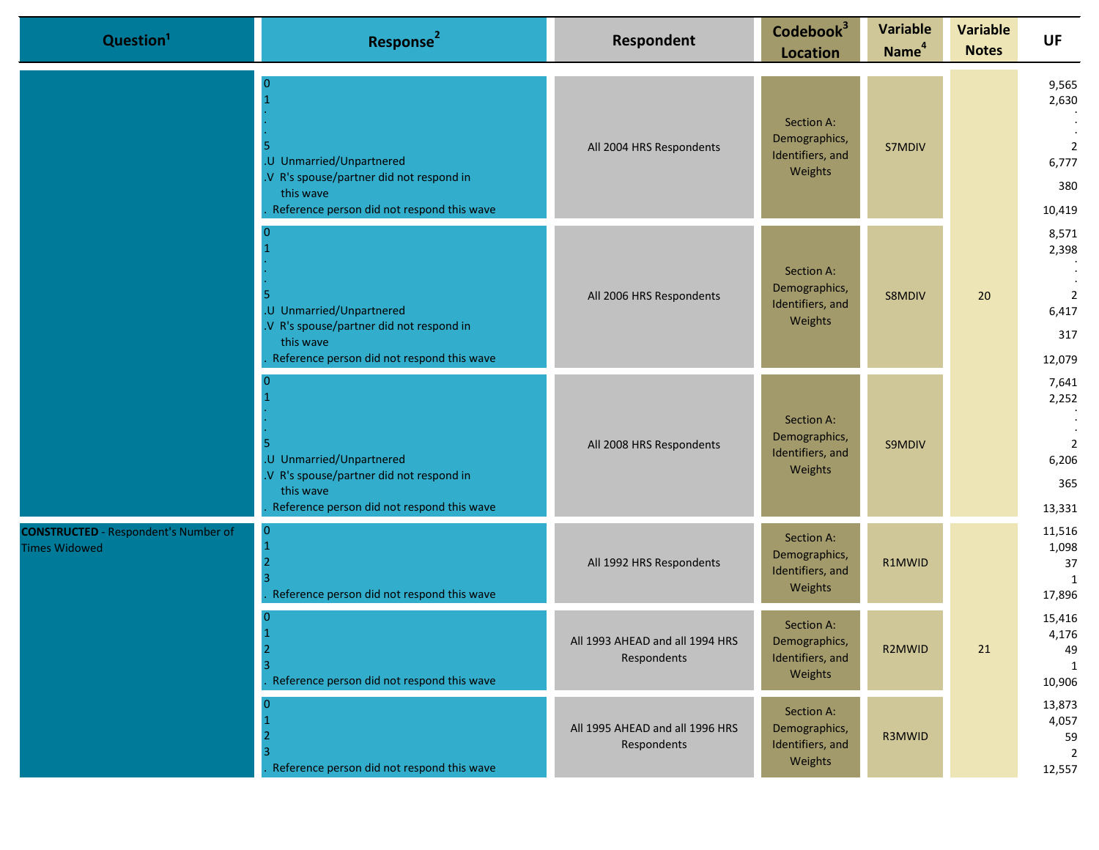| Question <sup>1</sup>                                               | Response <sup>2</sup>                                                                                                          | Respondent                                     | Codebook <sup>3</sup><br><b>Location</b>                   | <b>Variable</b><br>Name <sup>4</sup> | <b>Variable</b><br><b>Notes</b> | <b>UF</b>                                                  |
|---------------------------------------------------------------------|--------------------------------------------------------------------------------------------------------------------------------|------------------------------------------------|------------------------------------------------------------|--------------------------------------|---------------------------------|------------------------------------------------------------|
|                                                                     | .U Unmarried/Unpartnered<br>V R's spouse/partner did not respond in<br>this wave<br>Reference person did not respond this wave | All 2004 HRS Respondents                       | Section A:<br>Demographics,<br>Identifiers, and<br>Weights | S7MDIV                               |                                 | 9,565<br>2,630<br>2<br>6,777<br>380<br>10,419              |
|                                                                     | .U Unmarried/Unpartnered<br>V R's spouse/partner did not respond in<br>this wave<br>Reference person did not respond this wave | All 2006 HRS Respondents                       | Section A:<br>Demographics,<br>Identifiers, and<br>Weights | S8MDIV                               | 20                              | 8,571<br>2,398<br>$\overline{2}$<br>6,417<br>317<br>12,079 |
|                                                                     | .U Unmarried/Unpartnered<br>V R's spouse/partner did not respond in<br>this wave<br>Reference person did not respond this wave | All 2008 HRS Respondents                       | Section A:<br>Demographics,<br>Identifiers, and<br>Weights | S9MDIV                               |                                 | 7,641<br>2,252<br>2<br>6,206<br>365<br>13,331              |
| <b>CONSTRUCTED</b> - Respondent's Number of<br><b>Times Widowed</b> | Reference person did not respond this wave                                                                                     | All 1992 HRS Respondents                       | Section A:<br>Demographics,<br>Identifiers, and<br>Weights | R1MWID                               |                                 | 11,516<br>1,098<br>37<br>$\overline{1}$<br>17,896          |
|                                                                     | Reference person did not respond this wave                                                                                     | All 1993 AHEAD and all 1994 HRS<br>Respondents | Section A:<br>Demographics,<br>Identifiers, and<br>Weights | R2MWID                               | 21                              | 15,416<br>4,176<br>49<br>1<br>10,906                       |
|                                                                     | Reference person did not respond this wave                                                                                     | All 1995 AHEAD and all 1996 HRS<br>Respondents | Section A:<br>Demographics,<br>Identifiers, and<br>Weights | R3MWID                               |                                 | 13,873<br>4,057<br>59<br>$\overline{2}$<br>12,557          |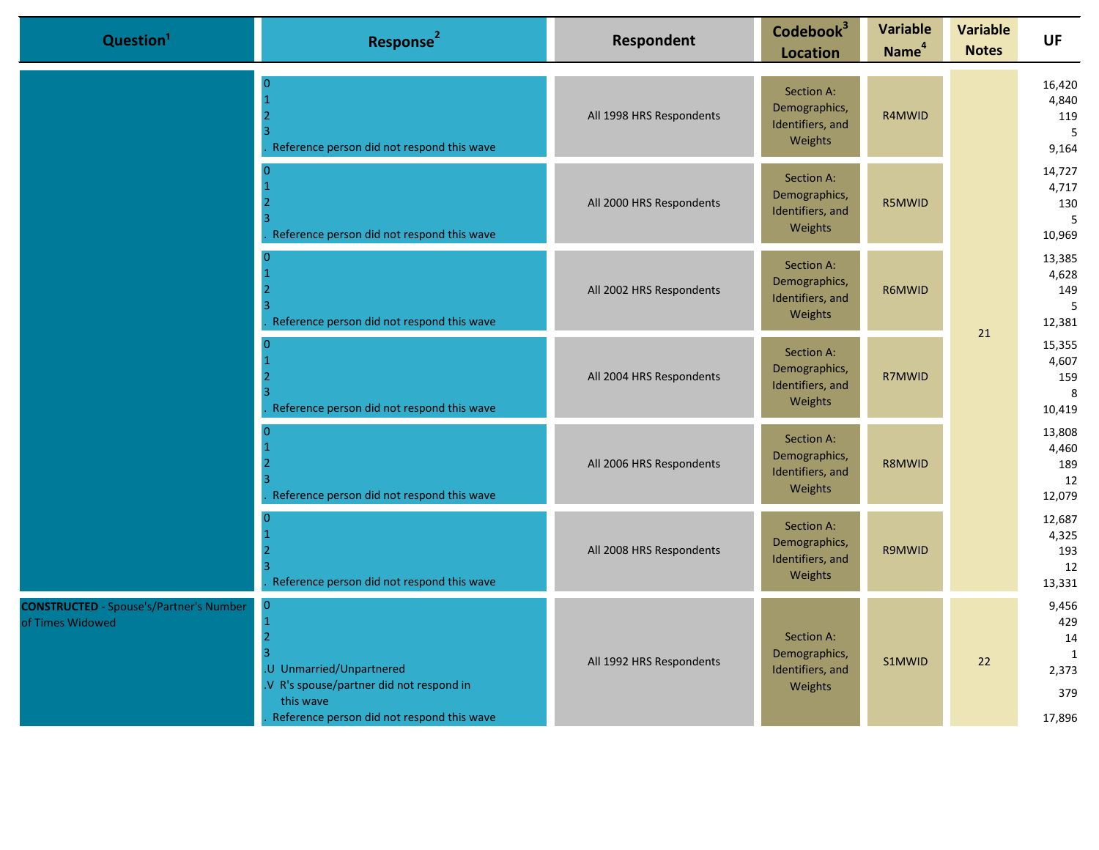| Question <sup>1</sup>                                              | Response <sup>2</sup>                                                                                                                                           | <b>Respondent</b>        | Codebook <sup>3</sup><br><b>Location</b>                   | <b>Variable</b><br>Name <sup>4</sup> | <b>Variable</b><br><b>Notes</b> | <b>UF</b>                                                    |
|--------------------------------------------------------------------|-----------------------------------------------------------------------------------------------------------------------------------------------------------------|--------------------------|------------------------------------------------------------|--------------------------------------|---------------------------------|--------------------------------------------------------------|
|                                                                    | $\Omega$<br>Reference person did not respond this wave                                                                                                          | All 1998 HRS Respondents | Section A:<br>Demographics,<br>Identifiers, and<br>Weights | R4MWID                               |                                 | 16,420<br>4,840<br>119<br>5<br>9,164                         |
|                                                                    | n<br>Reference person did not respond this wave                                                                                                                 | All 2000 HRS Respondents | Section A:<br>Demographics,<br>Identifiers, and<br>Weights | R5MWID                               |                                 | 14,727<br>4,717<br>130<br>5<br>10,969                        |
|                                                                    | $\Omega$<br>Reference person did not respond this wave                                                                                                          | All 2002 HRS Respondents | Section A:<br>Demographics,<br>Identifiers, and<br>Weights | R6MWID                               | 21                              | 13,385<br>4,628<br>149<br>5<br>12,381                        |
|                                                                    | $\Omega$<br>Reference person did not respond this wave                                                                                                          | All 2004 HRS Respondents | Section A:<br>Demographics,<br>Identifiers, and<br>Weights | R7MWID                               |                                 | 15,355<br>4,607<br>159<br>8<br>10,419                        |
|                                                                    | $\Omega$<br>Reference person did not respond this wave                                                                                                          | All 2006 HRS Respondents | Section A:<br>Demographics,<br>Identifiers, and<br>Weights | R8MWID                               |                                 | 13,808<br>4,460<br>189<br>12<br>12,079                       |
|                                                                    | Reference person did not respond this wave                                                                                                                      | All 2008 HRS Respondents | Section A:<br>Demographics,<br>Identifiers, and<br>Weights | R9MWID                               |                                 | 12,687<br>4,325<br>193<br>12<br>13,331                       |
| <b>CONSTRUCTED</b> - Spouse's/Partner's Number<br>of Times Widowed | $\mathbf{0}$<br>$\overline{2}$<br>U Unmarried/Unpartnered<br>V R's spouse/partner did not respond in<br>this wave<br>Reference person did not respond this wave | All 1992 HRS Respondents | Section A:<br>Demographics,<br>Identifiers, and<br>Weights | S1MWID                               | 22                              | 9,456<br>429<br>14<br>$\mathbf{1}$<br>2,373<br>379<br>17,896 |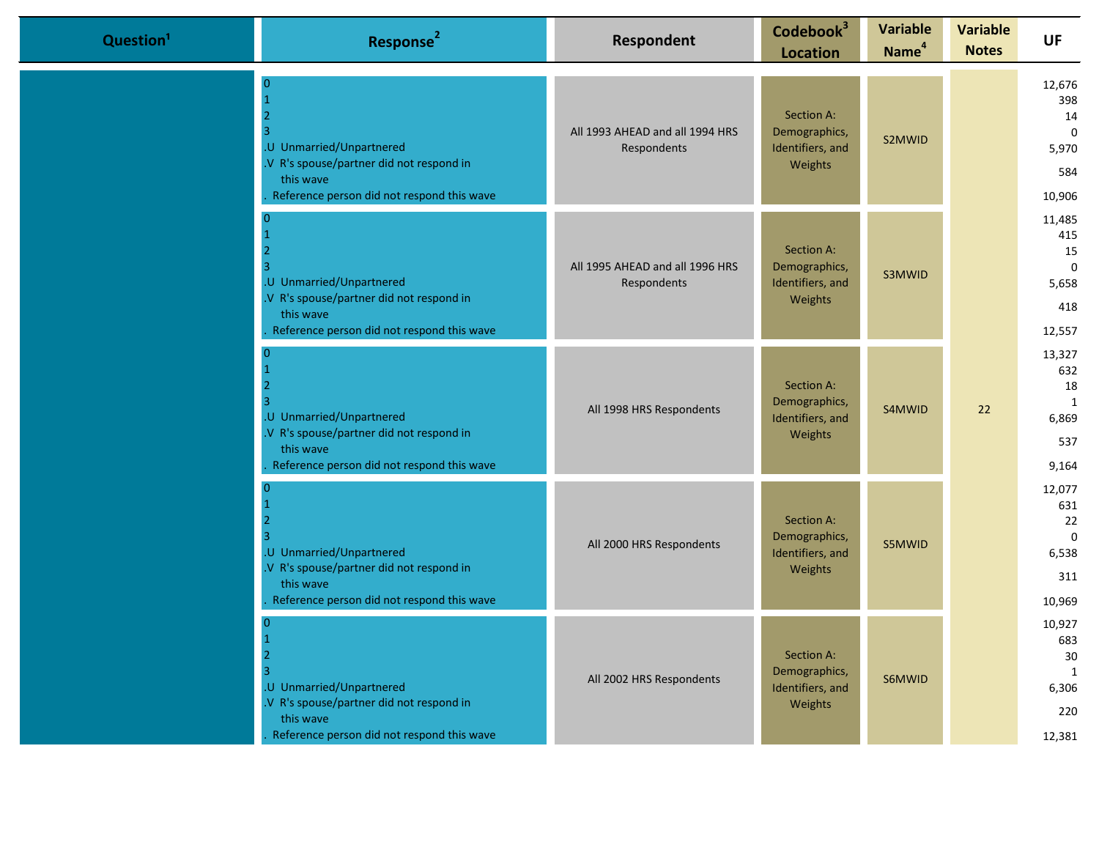| Question <sup>1</sup> | Response <sup>2</sup>                                                                                                                 | Respondent                                     | Codebook <sup>3</sup><br><b>Location</b>                   | <b>Variable</b><br>Name <sup>4</sup> | <b>Variable</b><br><b>Notes</b> | <b>UF</b>                                                    |
|-----------------------|---------------------------------------------------------------------------------------------------------------------------------------|------------------------------------------------|------------------------------------------------------------|--------------------------------------|---------------------------------|--------------------------------------------------------------|
|                       | U Unmarried/Unpartnered<br>.V R's spouse/partner did not respond in<br>this wave<br>Reference person did not respond this wave        | All 1993 AHEAD and all 1994 HRS<br>Respondents | Section A:<br>Demographics,<br>Identifiers, and<br>Weights | S2MWID                               |                                 | 12,676<br>398<br>14<br>$\mathbf 0$<br>5,970<br>584<br>10,906 |
|                       | U Unmarried/Unpartnered<br>.V R's spouse/partner did not respond in<br>this wave<br>Reference person did not respond this wave        | All 1995 AHEAD and all 1996 HRS<br>Respondents | Section A:<br>Demographics,<br>Identifiers, and<br>Weights | S3MWID                               |                                 | 11,485<br>415<br>15<br>$\mathbf 0$<br>5,658<br>418<br>12,557 |
|                       | U Unmarried/Unpartnered<br>V R's spouse/partner did not respond in<br>this wave<br>Reference person did not respond this wave         | All 1998 HRS Respondents                       | Section A:<br>Demographics,<br>Identifiers, and<br>Weights | S4MWID                               | 22                              | 13,327<br>632<br>18<br>1<br>6,869<br>537<br>9,164            |
|                       | .U Unmarried/Unpartnered<br>.V R's spouse/partner did not respond in<br>this wave<br>Reference person did not respond this wave       | All 2000 HRS Respondents                       | Section A:<br>Demographics,<br>Identifiers, and<br>Weights | S5MWID                               |                                 | 12,077<br>631<br>22<br>$\mathbf 0$<br>6,538<br>311<br>10,969 |
|                       | 12<br>.U Unmarried/Unpartnered<br>.V R's spouse/partner did not respond in<br>this wave<br>Reference person did not respond this wave | All 2002 HRS Respondents                       | Section A:<br>Demographics,<br>Identifiers, and<br>Weights | S6MWID                               |                                 | 10,927<br>683<br>$30\,$<br>1<br>6,306<br>220<br>12,381       |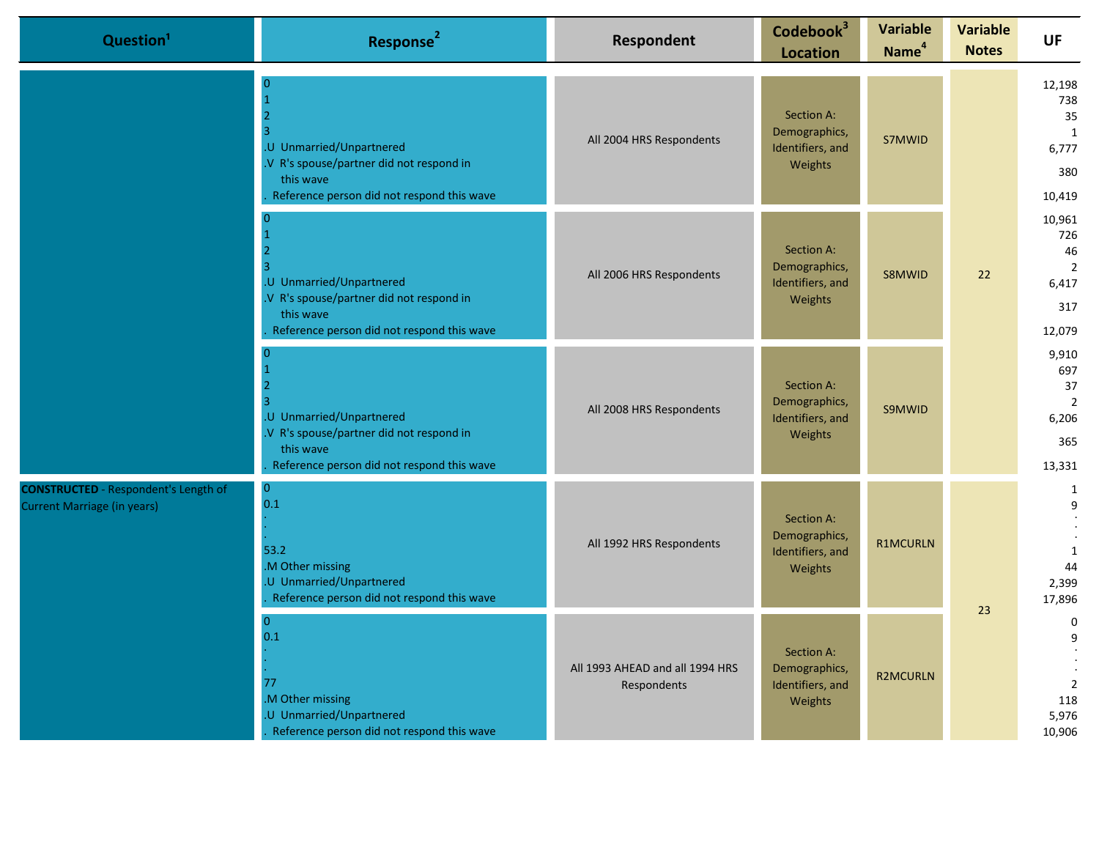| Question <sup>1</sup>                                                             | Response <sup>2</sup>                                                                                                                       | Respondent                                     | Codebook <sup>3</sup><br><b>Location</b>                   | <b>Variable</b><br>Name <sup>4</sup> | <b>Variable</b><br><b>Notes</b> | <b>UF</b>                                                      |
|-----------------------------------------------------------------------------------|---------------------------------------------------------------------------------------------------------------------------------------------|------------------------------------------------|------------------------------------------------------------|--------------------------------------|---------------------------------|----------------------------------------------------------------|
|                                                                                   | $\Omega$<br>.U Unmarried/Unpartnered<br>.V R's spouse/partner did not respond in<br>this wave<br>Reference person did not respond this wave | All 2004 HRS Respondents                       | Section A:<br>Demographics,<br>Identifiers, and<br>Weights | S7MWID                               |                                 | 12,198<br>738<br>35<br>1<br>6,777<br>380<br>10,419             |
|                                                                                   | .U Unmarried/Unpartnered<br>.V R's spouse/partner did not respond in<br>this wave<br>Reference person did not respond this wave             | All 2006 HRS Respondents                       | Section A:<br>Demographics,<br>Identifiers, and<br>Weights | S8MWID                               | 22                              | 10,961<br>726<br>46<br>2<br>6,417<br>317<br>12,079             |
|                                                                                   | .U Unmarried/Unpartnered<br>.V R's spouse/partner did not respond in<br>this wave<br>Reference person did not respond this wave             | All 2008 HRS Respondents                       | Section A:<br>Demographics,<br>Identifiers, and<br>Weights | S9MWID                               |                                 | 9,910<br>697<br>37<br>$\overline{2}$<br>6,206<br>365<br>13,331 |
| <b>CONSTRUCTED</b> - Respondent's Length of<br><b>Current Marriage (in years)</b> | $\mathbf{0}$<br>0.1<br>53.2<br>M Other missing<br>U Unmarried/Unpartnered<br>Reference person did not respond this wave                     | All 1992 HRS Respondents                       | Section A:<br>Demographics,<br>Identifiers, and<br>Weights | <b>R1MCURLN</b>                      | 23                              | $\mathbf{1}$<br>9<br>1<br>44<br>2,399<br>17,896                |
|                                                                                   | $\overline{0}$<br>0.1<br>77<br>.M Other missing<br>.U Unmarried/Unpartnered<br>Reference person did not respond this wave                   | All 1993 AHEAD and all 1994 HRS<br>Respondents | Section A:<br>Demographics,<br>Identifiers, and<br>Weights | <b>R2MCURLN</b>                      |                                 | $\mathbf 0$<br>9<br>$\overline{2}$<br>118<br>5,976<br>10,906   |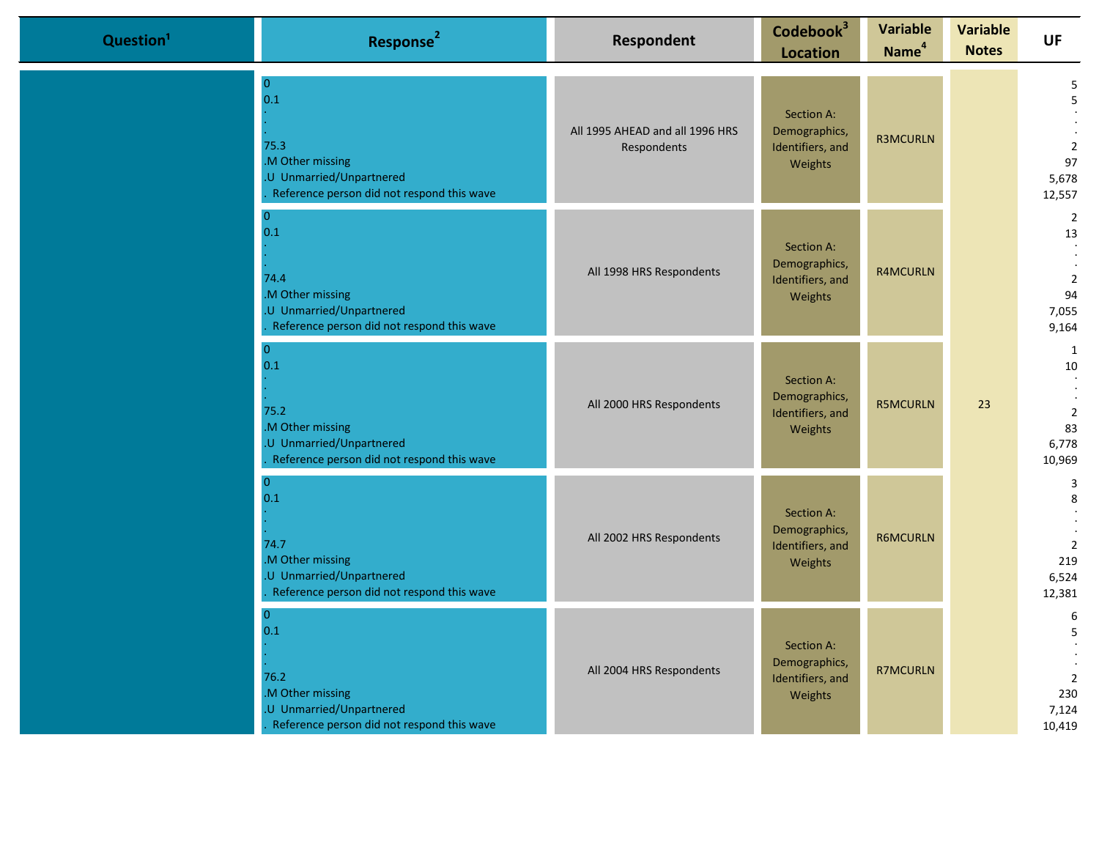| Question <sup>1</sup> | Response <sup>2</sup>                                                                                                       | <b>Respondent</b>                              | Codebook <sup>3</sup><br><b>Location</b>                   | <b>Variable</b><br>Name <sup>4</sup> | <b>Variable</b><br><b>Notes</b> | <b>UF</b>                                                      |
|-----------------------|-----------------------------------------------------------------------------------------------------------------------------|------------------------------------------------|------------------------------------------------------------|--------------------------------------|---------------------------------|----------------------------------------------------------------|
|                       | $\overline{0}$<br>0.1<br>75.3<br>.M Other missing<br>.U Unmarried/Unpartnered<br>Reference person did not respond this wave | All 1995 AHEAD and all 1996 HRS<br>Respondents | Section A:<br>Demographics,<br>Identifiers, and<br>Weights | <b>R3MCURLN</b>                      |                                 | 5<br>5<br>$\overline{2}$<br>97<br>5,678<br>12,557              |
|                       | $\overline{0}$<br>0.1<br>74.4<br>.M Other missing<br>.U Unmarried/Unpartnered<br>Reference person did not respond this wave | All 1998 HRS Respondents                       | Section A:<br>Demographics,<br>Identifiers, and<br>Weights | <b>R4MCURLN</b>                      |                                 | $\overline{2}$<br>13<br>$\overline{2}$<br>94<br>7,055<br>9,164 |
|                       | $\pmb{0}$<br>0.1<br>75.2<br>.M Other missing<br>.U Unmarried/Unpartnered<br>Reference person did not respond this wave      | All 2000 HRS Respondents                       | Section A:<br>Demographics,<br>Identifiers, and<br>Weights | <b>R5MCURLN</b>                      | 23                              | 1<br>10<br>$\overline{2}$<br>83<br>6,778<br>10,969             |
|                       | $\overline{0}$<br>0.1<br>74.7<br>.M Other missing<br>.U Unmarried/Unpartnered<br>Reference person did not respond this wave | All 2002 HRS Respondents                       | Section A:<br>Demographics,<br>Identifiers, and<br>Weights | <b>R6MCURLN</b>                      |                                 | 3<br>8<br>$\overline{2}$<br>219<br>6,524<br>12,381             |
|                       | $\overline{0}$<br>0.1<br>76.2<br>.M Other missing<br>.U Unmarried/Unpartnered<br>Reference person did not respond this wave | All 2004 HRS Respondents                       | Section A:<br>Demographics,<br>Identifiers, and<br>Weights | <b>R7MCURLN</b>                      |                                 | 6<br>5<br>$\overline{2}$<br>230<br>7,124<br>10,419             |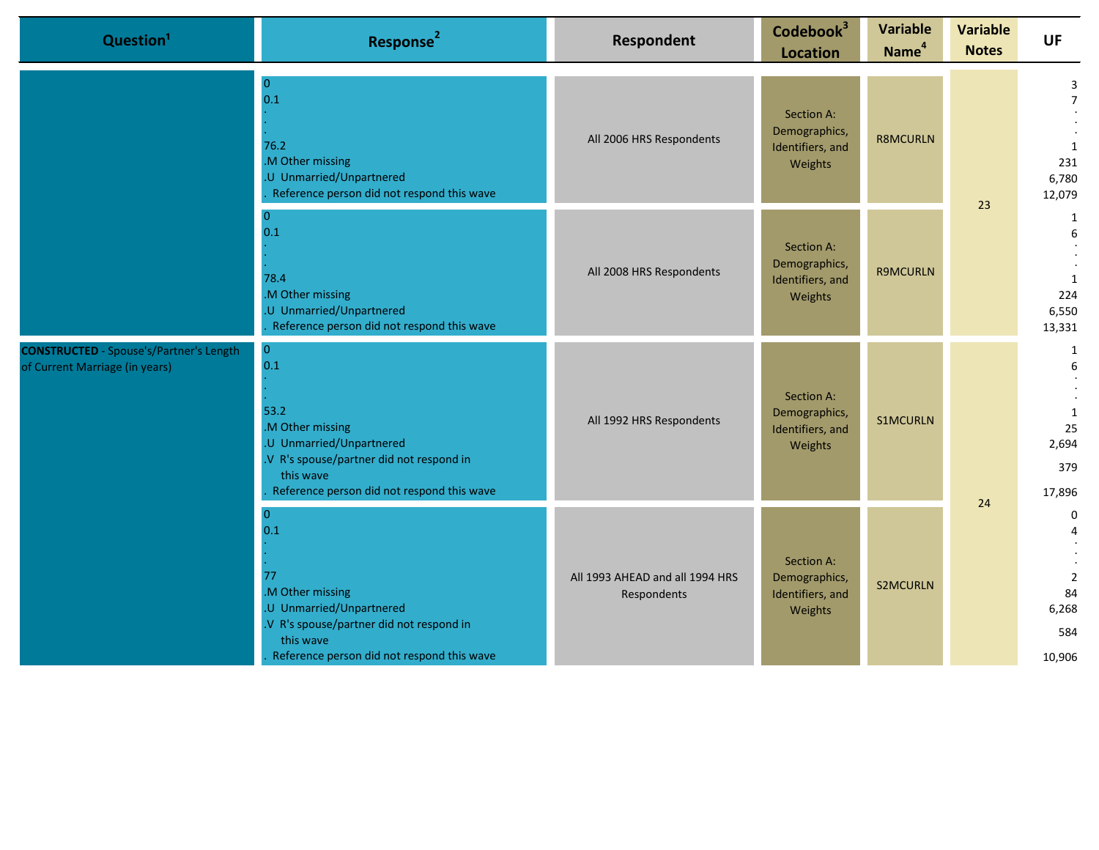| Question <sup>1</sup>                                                            | Response <sup>2</sup>                                                                                                                                                                | Respondent                                     | Codebook <sup>3</sup><br><b>Location</b>                   | <b>Variable</b><br>Name <sup>4</sup> | <b>Variable</b><br><b>Notes</b> | <b>UF</b>                                                     |
|----------------------------------------------------------------------------------|--------------------------------------------------------------------------------------------------------------------------------------------------------------------------------------|------------------------------------------------|------------------------------------------------------------|--------------------------------------|---------------------------------|---------------------------------------------------------------|
|                                                                                  | $\overline{0}$<br>0.1<br>76.2<br>.M Other missing<br>.U Unmarried/Unpartnered<br>Reference person did not respond this wave                                                          | All 2006 HRS Respondents                       | Section A:<br>Demographics,<br>Identifiers, and<br>Weights | <b>R8MCURLN</b>                      | 23                              | 3<br>$\overline{7}$<br>1<br>231<br>6,780<br>12,079            |
|                                                                                  | $\theta$<br>0.1<br>78.4<br>.M Other missing<br>.U Unmarried/Unpartnered<br>Reference person did not respond this wave                                                                | All 2008 HRS Respondents                       | Section A:<br>Demographics,<br>Identifiers, and<br>Weights | <b>R9MCURLN</b>                      |                                 | 1<br>6<br>1<br>224<br>6,550<br>13,331                         |
| <b>CONSTRUCTED</b> - Spouse's/Partner's Length<br>of Current Marriage (in years) | $\overline{0}$<br>0.1<br>53.2<br>.M Other missing<br>.U Unmarried/Unpartnered<br>.V R's spouse/partner did not respond in<br>this wave<br>Reference person did not respond this wave | All 1992 HRS Respondents                       | Section A:<br>Demographics,<br>Identifiers, and<br>Weights | <b>S1MCURLN</b>                      | 24                              | 1<br>6<br>1<br>25<br>2,694<br>379<br>17,896                   |
|                                                                                  | $\mathbf{0}$<br>0.1<br>77<br>.M Other missing<br>.U Unmarried/Unpartnered<br>V R's spouse/partner did not respond in<br>this wave<br>Reference person did not respond this wave      | All 1993 AHEAD and all 1994 HRS<br>Respondents | Section A:<br>Demographics,<br>Identifiers, and<br>Weights | <b>S2MCURLN</b>                      |                                 | $\mathbf 0$<br>$\overline{2}$<br>84<br>6,268<br>584<br>10,906 |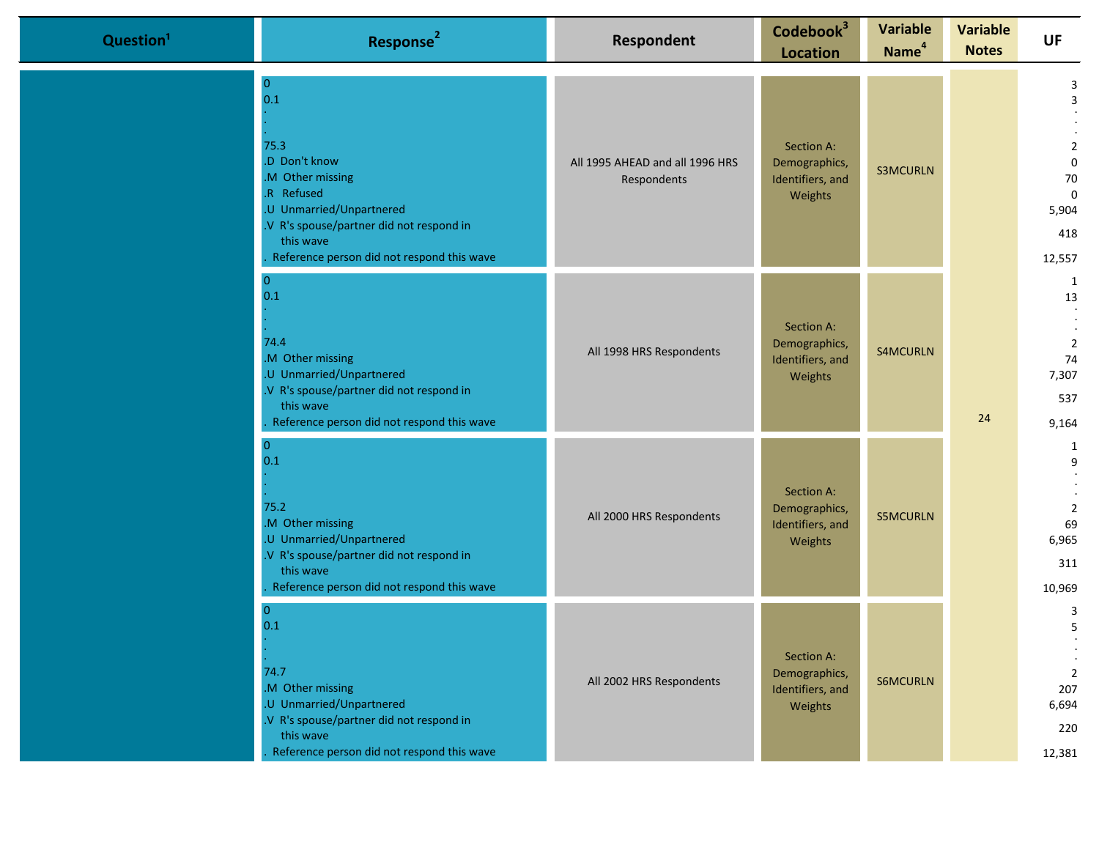| Question <sup>1</sup> | Response <sup>2</sup>                                                                                                                                                                                               | Respondent                                     | Codebook <sup>3</sup><br><b>Location</b>                   | <b>Variable</b><br>Name <sup>4</sup> | <b>Variable</b><br><b>Notes</b> | <b>UF</b>                                                                              |
|-----------------------|---------------------------------------------------------------------------------------------------------------------------------------------------------------------------------------------------------------------|------------------------------------------------|------------------------------------------------------------|--------------------------------------|---------------------------------|----------------------------------------------------------------------------------------|
|                       | $\overline{0}$<br>0.1<br>75.3<br>.D Don't know<br>.M Other missing<br>.R Refused<br>.U Unmarried/Unpartnered<br>.V R's spouse/partner did not respond in<br>this wave<br>Reference person did not respond this wave | All 1995 AHEAD and all 1996 HRS<br>Respondents | Section A:<br>Demographics,<br>Identifiers, and<br>Weights | <b>S3MCURLN</b>                      |                                 | 3<br>3<br>$\overline{2}$<br>$\mathbf 0$<br>70<br>$\mathbf 0$<br>5,904<br>418<br>12,557 |
|                       | $\overline{0}$<br>0.1<br>74.4<br>M Other missing<br>.U Unmarried/Unpartnered<br>.V R's spouse/partner did not respond in<br>this wave<br>Reference person did not respond this wave                                 | All 1998 HRS Respondents                       | Section A:<br>Demographics,<br>Identifiers, and<br>Weights | <b>S4MCURLN</b>                      | 24                              | 1<br>13<br>$\overline{2}$<br>74<br>7,307<br>537<br>9,164                               |
|                       | 0<br>0.1<br>75.2<br>M Other missing<br>.U Unmarried/Unpartnered<br>.V R's spouse/partner did not respond in<br>this wave<br>Reference person did not respond this wave                                              | All 2000 HRS Respondents                       | Section A:<br>Demographics,<br>Identifiers, and<br>Weights | <b>S5MCURLN</b>                      |                                 | 1<br>9<br>$\overline{2}$<br>69<br>6,965<br>311<br>10,969                               |
|                       | $\mathbf{0}$<br>0.1<br>74.7<br>M Other missing<br>.U Unmarried/Unpartnered<br>.V R's spouse/partner did not respond in<br>this wave<br>Reference person did not respond this wave                                   | All 2002 HRS Respondents                       | Section A:<br>Demographics,<br>Identifiers, and<br>Weights | <b>S6MCURLN</b>                      |                                 | 3<br>5<br>$\overline{2}$<br>207<br>6,694<br>220<br>12,381                              |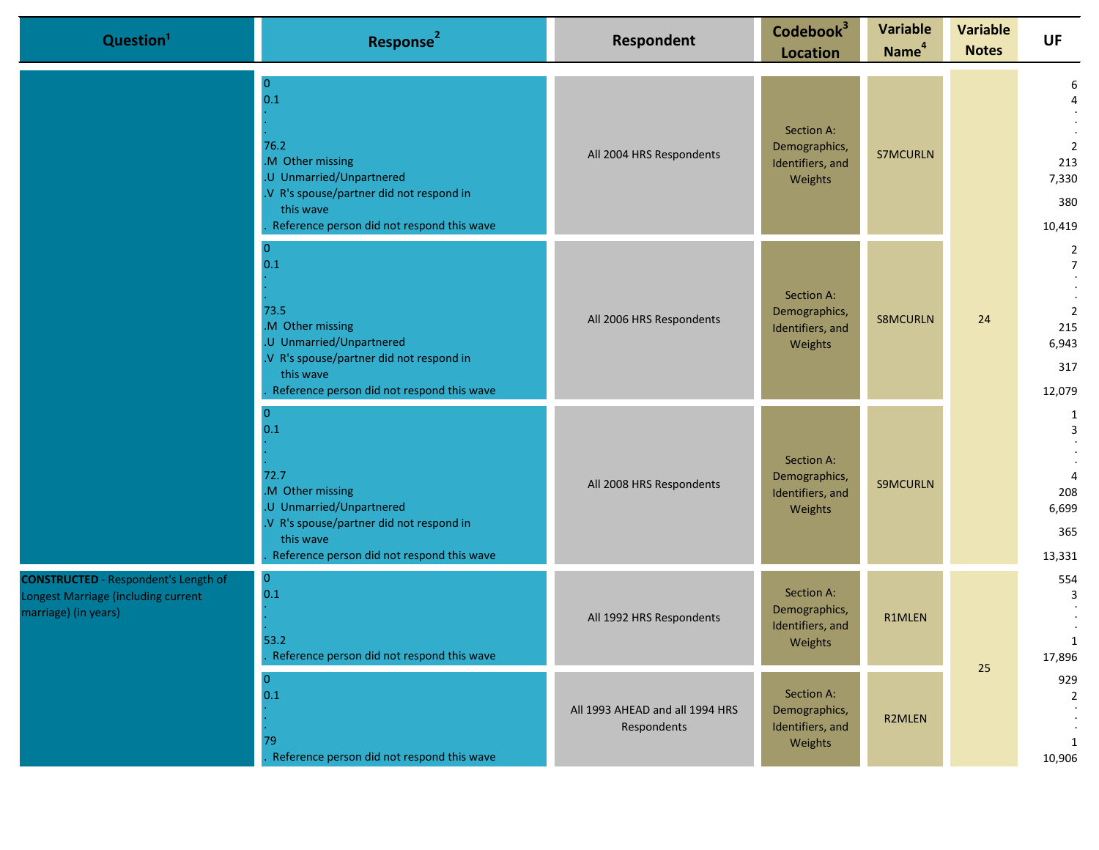|                                                                                                            | Question <sup>1</sup>                                                                                                                                                                | Response <sup>2</sup>                                                                                                                                                                | Respondent                                                 | Codebook <sup>3</sup><br><b>Location</b>                   | <b>Variable</b><br>Name <sup>4</sup> | <b>Variable</b><br><b>Notes</b>                           | <b>UF</b>                                                                           |
|------------------------------------------------------------------------------------------------------------|--------------------------------------------------------------------------------------------------------------------------------------------------------------------------------------|--------------------------------------------------------------------------------------------------------------------------------------------------------------------------------------|------------------------------------------------------------|------------------------------------------------------------|--------------------------------------|-----------------------------------------------------------|-------------------------------------------------------------------------------------|
|                                                                                                            |                                                                                                                                                                                      | $\bf{0}$<br>0.1<br>76.2<br>.M Other missing<br>.U Unmarried/Unpartnered<br>.V R's spouse/partner did not respond in<br>this wave<br>Reference person did not respond this wave       | All 2004 HRS Respondents                                   | Section A:<br>Demographics,<br>Identifiers, and<br>Weights | <b>S7MCURLN</b>                      |                                                           | 6<br>$\overline{2}$<br>213<br>7,330<br>380<br>10,419                                |
|                                                                                                            |                                                                                                                                                                                      | $\overline{0}$<br>0.1<br>73.5<br>.M Other missing<br>.U Unmarried/Unpartnered<br>.V R's spouse/partner did not respond in<br>this wave<br>Reference person did not respond this wave | All 2006 HRS Respondents                                   | Section A:<br>Demographics,<br>Identifiers, and<br>Weights | <b>S8MCURLN</b>                      | 24                                                        | $\overline{2}$<br>$\overline{7}$<br>$\overline{2}$<br>215<br>6,943<br>317<br>12,079 |
|                                                                                                            | $\overline{0}$<br>0.1<br>72.7<br>.M Other missing<br>.U Unmarried/Unpartnered<br>.V R's spouse/partner did not respond in<br>this wave<br>Reference person did not respond this wave | All 2008 HRS Respondents                                                                                                                                                             | Section A:<br>Demographics,<br>Identifiers, and<br>Weights | <b>S9MCURLN</b>                                            |                                      | 1<br>3<br>$\overline{4}$<br>208<br>6,699<br>365<br>13,331 |                                                                                     |
| <b>CONSTRUCTED</b> - Respondent's Length of<br>Longest Marriage (including current<br>marriage) (in years) | $\bf{0}$<br>0.1<br>53.2<br>Reference person did not respond this wave                                                                                                                | All 1992 HRS Respondents                                                                                                                                                             | Section A:<br>Demographics,<br>Identifiers, and<br>Weights | R1MLEN                                                     | 25                                   | 554<br>3<br>1<br>17,896                                   |                                                                                     |
|                                                                                                            |                                                                                                                                                                                      | $\mathbf{0}$<br>0.1<br>79<br>Reference person did not respond this wave                                                                                                              | All 1993 AHEAD and all 1994 HRS<br>Respondents             | Section A:<br>Demographics,<br>Identifiers, and<br>Weights | R2MLEN                               |                                                           | 929<br>$\overline{2}$<br>1<br>10,906                                                |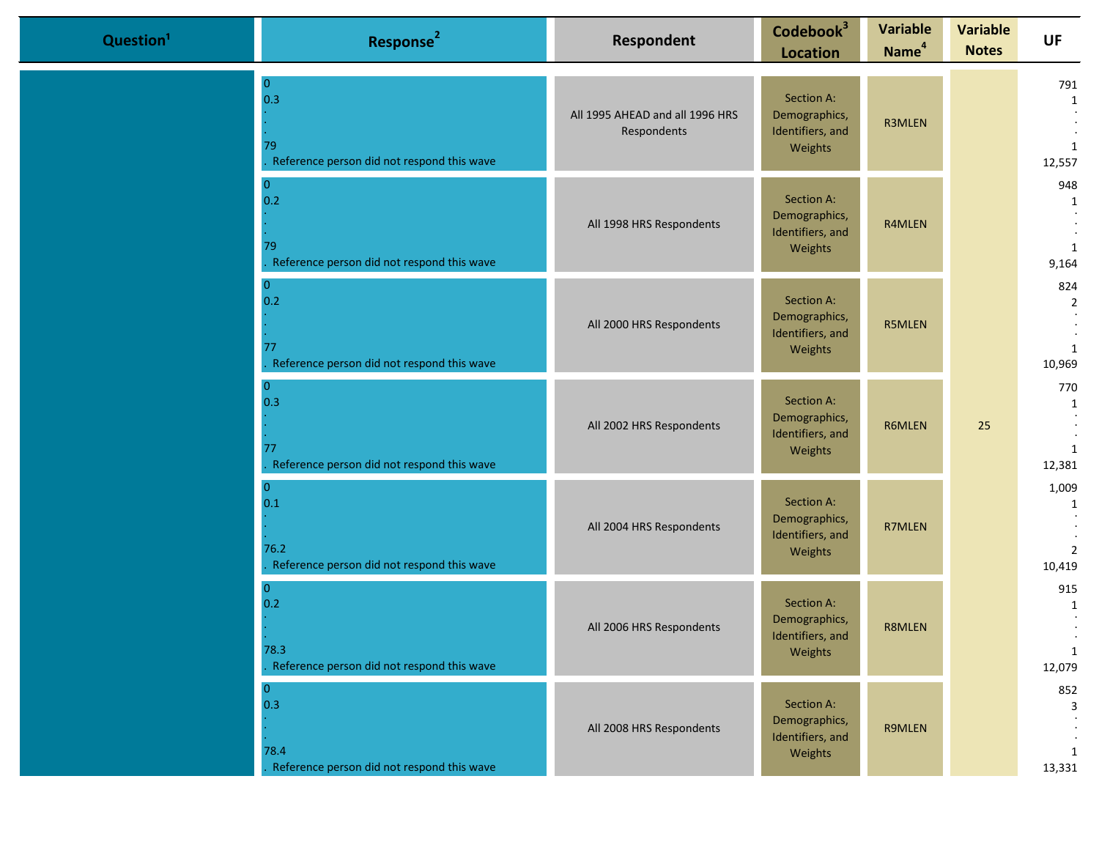| Question <sup>1</sup> | Response <sup>2</sup>                                                       | Respondent                                     | Codebook <sup>3</sup><br><b>Location</b>                   | <b>Variable</b><br>Name <sup>4</sup> | <b>Variable</b><br><b>Notes</b> | <b>UF</b>                                       |
|-----------------------|-----------------------------------------------------------------------------|------------------------------------------------|------------------------------------------------------------|--------------------------------------|---------------------------------|-------------------------------------------------|
|                       | $\overline{0}$<br>0.3<br>79<br>Reference person did not respond this wave   | All 1995 AHEAD and all 1996 HRS<br>Respondents | Section A:<br>Demographics,<br>Identifiers, and<br>Weights | R3MLEN                               |                                 | 791<br>1<br>1<br>12,557                         |
|                       | $\overline{0}$<br>0.2<br>79<br>Reference person did not respond this wave   | All 1998 HRS Respondents                       | Section A:<br>Demographics,<br>Identifiers, and<br>Weights | R4MLEN                               |                                 | 948<br>$\mathbf{1}$<br>1<br>9,164               |
|                       | $\bf{0}$<br>0.2<br>77<br>Reference person did not respond this wave         | All 2000 HRS Respondents                       | Section A:<br>Demographics,<br>Identifiers, and<br>Weights | <b>R5MLEN</b>                        |                                 | 824<br>$\overline{2}$<br>$\mathbf{1}$<br>10,969 |
|                       | $\overline{0}$<br>0.3<br>77<br>Reference person did not respond this wave   | All 2002 HRS Respondents                       | Section A:<br>Demographics,<br>Identifiers, and<br>Weights | R6MLEN                               | 25                              | 770<br>1<br>1<br>12,381                         |
|                       | $\overline{0}$<br>0.1<br>76.2<br>Reference person did not respond this wave | All 2004 HRS Respondents                       | Section A:<br>Demographics,<br>Identifiers, and<br>Weights | R7MLEN                               |                                 | 1,009<br>1<br>$\overline{2}$<br>10,419          |
|                       | $\overline{0}$<br>0.2<br>78.3<br>Reference person did not respond this wave | All 2006 HRS Respondents                       | Section A:<br>Demographics,<br>Identifiers, and<br>Weights | <b>R8MLEN</b>                        |                                 | 915<br>1<br>$\bullet$<br>$\mathbf{1}$<br>12,079 |
|                       | $\mathbf{0}$<br>0.3<br>78.4<br>Reference person did not respond this wave   | All 2008 HRS Respondents                       | Section A:<br>Demographics,<br>Identifiers, and<br>Weights | R9MLEN                               |                                 | 852<br>3<br>1<br>13,331                         |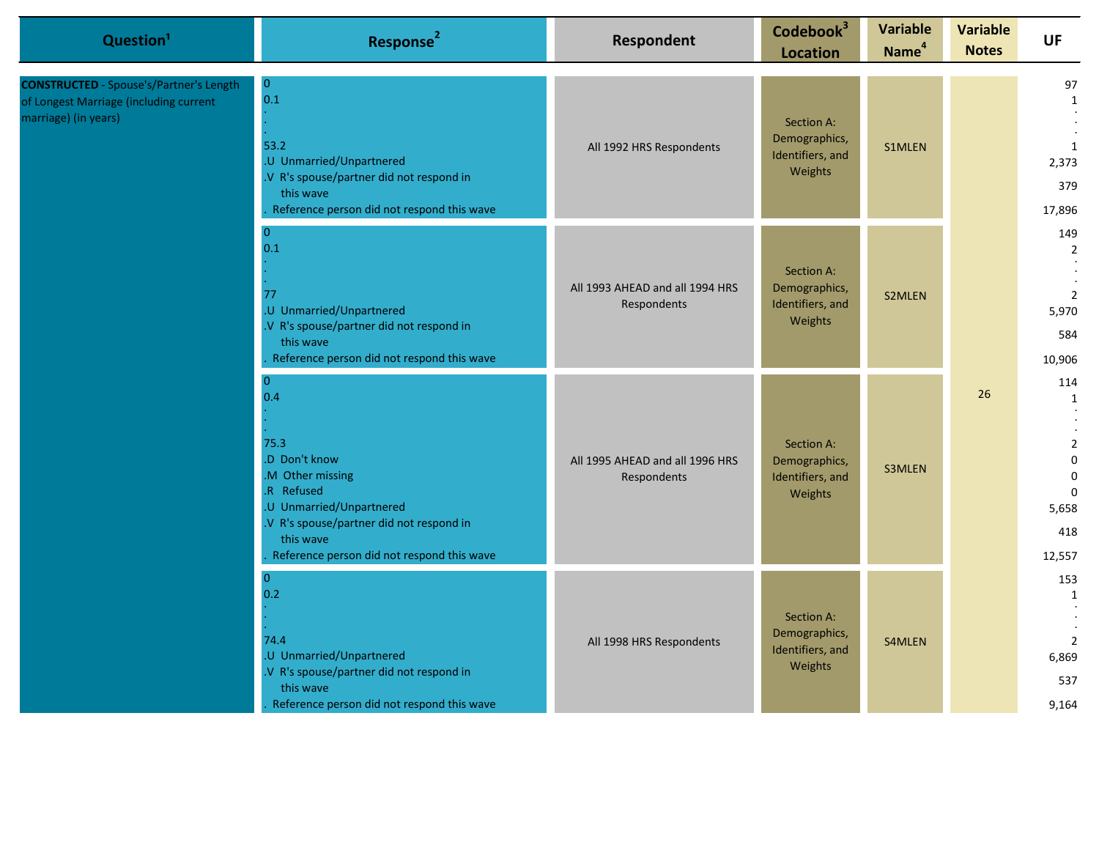| Question <sup>1</sup>                                                                                            | Response <sup>2</sup>                                                                                                                                                                                       | <b>Respondent</b>                              | Codebook <sup>3</sup><br><b>Location</b>                   | <b>Variable</b><br>Name <sup>4</sup> | <b>Variable</b><br><b>Notes</b> | <b>UF</b>                                                                                          |
|------------------------------------------------------------------------------------------------------------------|-------------------------------------------------------------------------------------------------------------------------------------------------------------------------------------------------------------|------------------------------------------------|------------------------------------------------------------|--------------------------------------|---------------------------------|----------------------------------------------------------------------------------------------------|
| <b>CONSTRUCTED</b> - Spouse's/Partner's Length<br>of Longest Marriage (including current<br>marriage) (in years) | $\overline{0}$<br>0.1<br>53.2<br>.U Unmarried/Unpartnered<br>.V R's spouse/partner did not respond in<br>this wave<br>Reference person did not respond this wave                                            | All 1992 HRS Respondents                       | Section A:<br>Demographics,<br>Identifiers, and<br>Weights | S1MLEN                               |                                 | 97<br>$\mathbf{1}$<br>1<br>2,373<br>379<br>17,896                                                  |
|                                                                                                                  | $\overline{0}$<br>0.1<br>77<br>.U Unmarried/Unpartnered<br>.V R's spouse/partner did not respond in<br>this wave<br>Reference person did not respond this wave                                              | All 1993 AHEAD and all 1994 HRS<br>Respondents | Section A:<br>Demographics,<br>Identifiers, and<br>Weights | <b>S2MLEN</b>                        |                                 | 149<br>2<br>$\overline{2}$<br>5,970<br>584<br>10,906                                               |
|                                                                                                                  | $\Omega$<br>0.4<br>75.3<br>.D Don't know<br>M Other missing<br>R Refused<br>.U Unmarried/Unpartnered<br>.V R's spouse/partner did not respond in<br>this wave<br>Reference person did not respond this wave | All 1995 AHEAD and all 1996 HRS<br>Respondents | Section A:<br>Demographics,<br>Identifiers, and<br>Weights | S3MLEN                               | 26                              | 114<br>1<br>$\overline{2}$<br>$\mathbf{0}$<br>$\mathbf 0$<br>$\mathbf 0$<br>5,658<br>418<br>12,557 |
|                                                                                                                  | $\mathbf{0}$<br>0.2<br>74.4<br>.U Unmarried/Unpartnered<br>.V R's spouse/partner did not respond in<br>this wave<br>Reference person did not respond this wave                                              | All 1998 HRS Respondents                       | Section A:<br>Demographics,<br>Identifiers, and<br>Weights | S4MLEN                               |                                 | 153<br>1<br>$\overline{2}$<br>6,869<br>537<br>9,164                                                |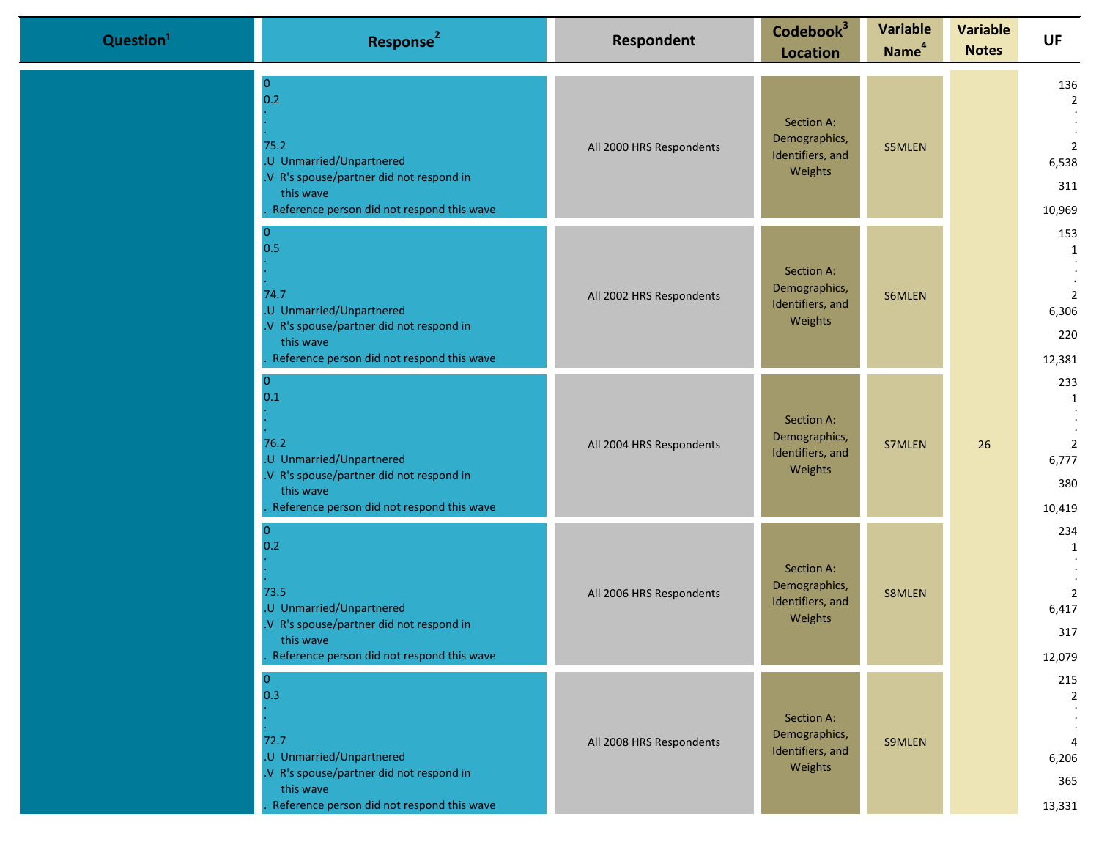| Question <sup>1</sup> | Response <sup>2</sup>                                                                                                                                            | Respondent               | Codebook <sup>3</sup><br><b>Location</b>                   | <b>Variable</b><br>Name <sup>4</sup> | <b>Variable</b><br><b>Notes</b> | <b>UF</b>                                                         |
|-----------------------|------------------------------------------------------------------------------------------------------------------------------------------------------------------|--------------------------|------------------------------------------------------------|--------------------------------------|---------------------------------|-------------------------------------------------------------------|
|                       | 0<br>0.2<br>75.2<br>.U Unmarried/Unpartnered<br>.V R's spouse/partner did not respond in<br>this wave<br>Reference person did not respond this wave              | All 2000 HRS Respondents | Section A:<br>Demographics,<br>Identifiers, and<br>Weights | S5MLEN                               |                                 | 136<br>$\overline{2}$<br>$\overline{2}$<br>6,538<br>311<br>10,969 |
|                       | 0.5<br>74.7<br>.U Unmarried/Unpartnered<br>.V R's spouse/partner did not respond in<br>this wave<br>Reference person did not respond this wave                   | All 2002 HRS Respondents | Section A:<br>Demographics,<br>Identifiers, and<br>Weights | S6MLEN                               |                                 | 153<br>1<br>2<br>6,306<br>220<br>12,381                           |
|                       | $\Omega$<br>0.1<br>76.2<br>.U Unmarried/Unpartnered<br>.V R's spouse/partner did not respond in<br>this wave<br>Reference person did not respond this wave       | All 2004 HRS Respondents | Section A:<br>Demographics,<br>Identifiers, and<br>Weights | S7MLEN                               | 26                              | 233<br>1<br>$\overline{2}$<br>6,777<br>380<br>10,419              |
|                       | $\Omega$<br>0.2<br>73.5<br>.U Unmarried/Unpartnered<br>.V R's spouse/partner did not respond in<br>this wave<br>Reference person did not respond this wave       | All 2006 HRS Respondents | Section A:<br>Demographics,<br>Identifiers, and<br>Weights | S8MLEN                               |                                 | 234<br>1<br>$\overline{2}$<br>6,417<br>317<br>12,079              |
|                       | $\overline{0}$<br>0.3<br>72.7<br>.U Unmarried/Unpartnered<br>.V R's spouse/partner did not respond in<br>this wave<br>Reference person did not respond this wave | All 2008 HRS Respondents | Section A:<br>Demographics,<br>Identifiers, and<br>Weights | <b>S9MLEN</b>                        |                                 | 215<br>$\overline{2}$<br>$\overline{4}$<br>6,206<br>365<br>13,331 |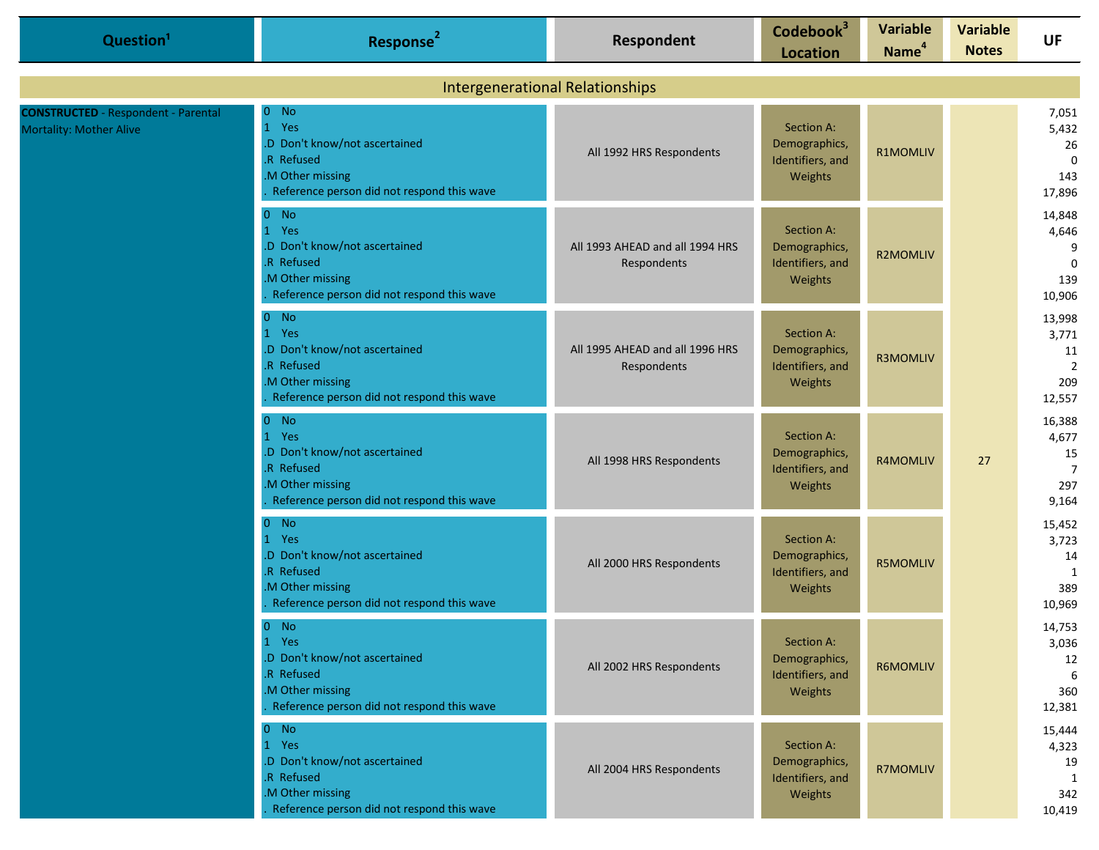| Question <sup>1</sup>                                                        | Response <sup>2</sup>                                                                                                              | Respondent                                     | Codebook <sup>3</sup><br><b>Location</b>                   | <b>Variable</b><br>Name <sup>4</sup> | <b>Variable</b><br><b>Notes</b> | <b>UF</b>                                                |
|------------------------------------------------------------------------------|------------------------------------------------------------------------------------------------------------------------------------|------------------------------------------------|------------------------------------------------------------|--------------------------------------|---------------------------------|----------------------------------------------------------|
|                                                                              |                                                                                                                                    | <b>Intergenerational Relationships</b>         |                                                            |                                      |                                 |                                                          |
| <b>CONSTRUCTED</b> - Respondent - Parental<br><b>Mortality: Mother Alive</b> | $0$ No<br>1 Yes<br>.D Don't know/not ascertained<br>.R Refused<br>.M Other missing<br>Reference person did not respond this wave   | All 1992 HRS Respondents                       | Section A:<br>Demographics,<br>Identifiers, and<br>Weights | <b>R1MOMLIV</b>                      |                                 | 7,051<br>5,432<br>26<br>$\mathbf 0$<br>143<br>17,896     |
|                                                                              | $0$ No<br>1 Yes<br>.D Don't know/not ascertained<br>.R Refused<br>.M Other missing<br>Reference person did not respond this wave   | All 1993 AHEAD and all 1994 HRS<br>Respondents | Section A:<br>Demographics,<br>Identifiers, and<br>Weights | <b>R2MOMLIV</b>                      |                                 | 14,848<br>4,646<br>9<br>$\Omega$<br>139<br>10,906        |
|                                                                              | $0$ No<br>1 Yes<br>.D Don't know/not ascertained<br>.R Refused<br>M Other missing<br>Reference person did not respond this wave    | All 1995 AHEAD and all 1996 HRS<br>Respondents | Section A:<br>Demographics,<br>Identifiers, and<br>Weights | <b>R3MOMLIV</b>                      |                                 | 13,998<br>3,771<br>11<br>$\overline{2}$<br>209<br>12,557 |
|                                                                              | $0$ No<br>Yes<br>.D Don't know/not ascertained<br>.R Refused<br>.M Other missing<br>Reference person did not respond this wave     | All 1998 HRS Respondents                       | Section A:<br>Demographics,<br>Identifiers, and<br>Weights | <b>R4MOMLIV</b>                      | 27                              | 16,388<br>4,677<br>15<br>$\overline{7}$<br>297<br>9,164  |
|                                                                              | $0$ No<br>1 Yes<br>.D Don't know/not ascertained<br>.R Refused<br>M Other missing<br>Reference person did not respond this wave    | All 2000 HRS Respondents                       | Section A:<br>Demographics,<br>Identifiers, and<br>Weights | <b>R5MOMLIV</b>                      |                                 | 15,452<br>3,723<br>14<br>1<br>389<br>10,969              |
|                                                                              | $0$ No<br>Yes<br>1<br>.D Don't know/not ascertained<br>.R Refused<br>M Other missing<br>Reference person did not respond this wave | All 2002 HRS Respondents                       | Section A:<br>Demographics,<br>Identifiers, and<br>Weights | R6MOMLIV                             |                                 | 14,753<br>3,036<br>12<br>6<br>360<br>12,381              |
|                                                                              | $0$ No<br>1 Yes<br>.D Don't know/not ascertained<br>.R Refused<br>.M Other missing<br>Reference person did not respond this wave   | All 2004 HRS Respondents                       | Section A:<br>Demographics,<br>Identifiers, and<br>Weights | <b>R7MOMLIV</b>                      |                                 | 15,444<br>4,323<br>19<br>1<br>342<br>10,419              |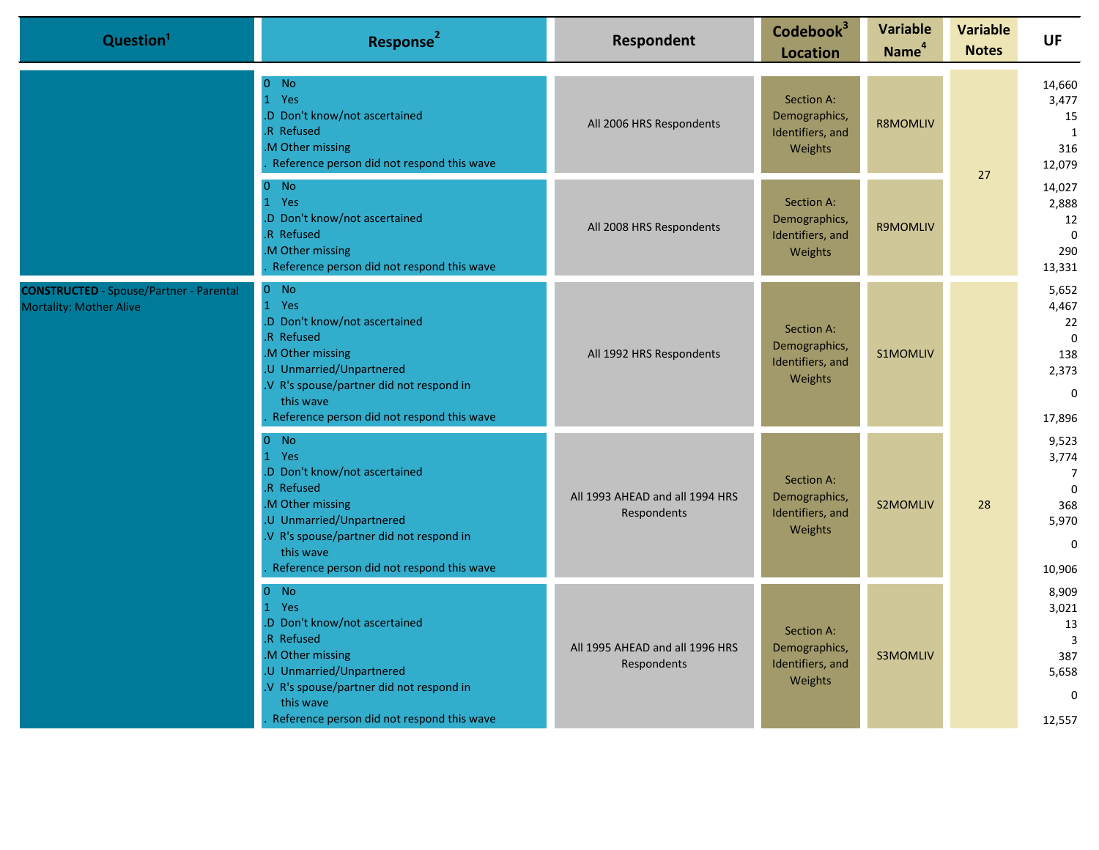| Question <sup>1</sup>                                                            | Response <sup>2</sup>                                                                                                                                                                                                              | <b>Respondent</b>                              | Codebook <sup>3</sup><br><b>Location</b>                   | <b>Variable</b><br>Name <sup>4</sup> | <b>Variable</b><br><b>Notes</b> | <b>UF</b>                                                                              |
|----------------------------------------------------------------------------------|------------------------------------------------------------------------------------------------------------------------------------------------------------------------------------------------------------------------------------|------------------------------------------------|------------------------------------------------------------|--------------------------------------|---------------------------------|----------------------------------------------------------------------------------------|
|                                                                                  | $\Omega$<br><b>No</b><br>1 Yes<br>.D Don't know/not ascertained<br>R Refused<br>M Other missing<br>Reference person did not respond this wave                                                                                      | All 2006 HRS Respondents                       | Section A:<br>Demographics,<br>Identifiers, and<br>Weights | <b>R8MOMLIV</b>                      | 27                              | 14,660<br>3,477<br>15<br>1<br>316<br>12,079                                            |
|                                                                                  | $0$ No<br>1 Yes<br>.D Don't know/not ascertained<br>.R Refused<br>M Other missing<br>Reference person did not respond this wave                                                                                                    | All 2008 HRS Respondents                       | Section A:<br>Demographics,<br>Identifiers, and<br>Weights | <b>R9MOMLIV</b>                      |                                 | 14,027<br>2,888<br>12<br>$\Omega$<br>290<br>13,331                                     |
| <b>CONSTRUCTED</b> - Spouse/Partner - Parental<br><b>Mortality: Mother Alive</b> | $0$ No<br>1 Yes<br>.D Don't know/not ascertained<br>R Refused<br>M Other missing<br>.U Unmarried/Unpartnered<br>V R's spouse/partner did not respond in<br>this wave<br>Reference person did not respond this wave                 | All 1992 HRS Respondents                       | Section A:<br>Demographics,<br>Identifiers, and<br>Weights | <b>S1MOMLIV</b>                      |                                 | 5,652<br>4,467<br>22<br>$\Omega$<br>138<br>2,373<br>$\Omega$<br>17,896                 |
|                                                                                  | $0$ No<br>$\mathbf{1}$<br>Yes<br>.D Don't know/not ascertained<br>R Refused<br>.M Other missing<br>.U Unmarried/Unpartnered<br>.V R's spouse/partner did not respond in<br>this wave<br>Reference person did not respond this wave | All 1993 AHEAD and all 1994 HRS<br>Respondents | Section A:<br>Demographics,<br>Identifiers, and<br>Weights | S2MOMLIV                             | 28                              | 9,523<br>3,774<br>$\overline{7}$<br>$\Omega$<br>368<br>5,970<br>$\mathbf{0}$<br>10,906 |
|                                                                                  | $0$ No<br>1 Yes<br>.D Don't know/not ascertained<br>R Refused<br>M Other missing<br>U Unmarried/Unpartnered<br>.V R's spouse/partner did not respond in<br>this wave<br>Reference person did not respond this wave                 | All 1995 AHEAD and all 1996 HRS<br>Respondents | Section A:<br>Demographics,<br>Identifiers, and<br>Weights | <b>S3MOMLIV</b>                      |                                 | 8,909<br>3,021<br>13<br>$\overline{3}$<br>387<br>5,658<br>$\mathbf 0$<br>12,557        |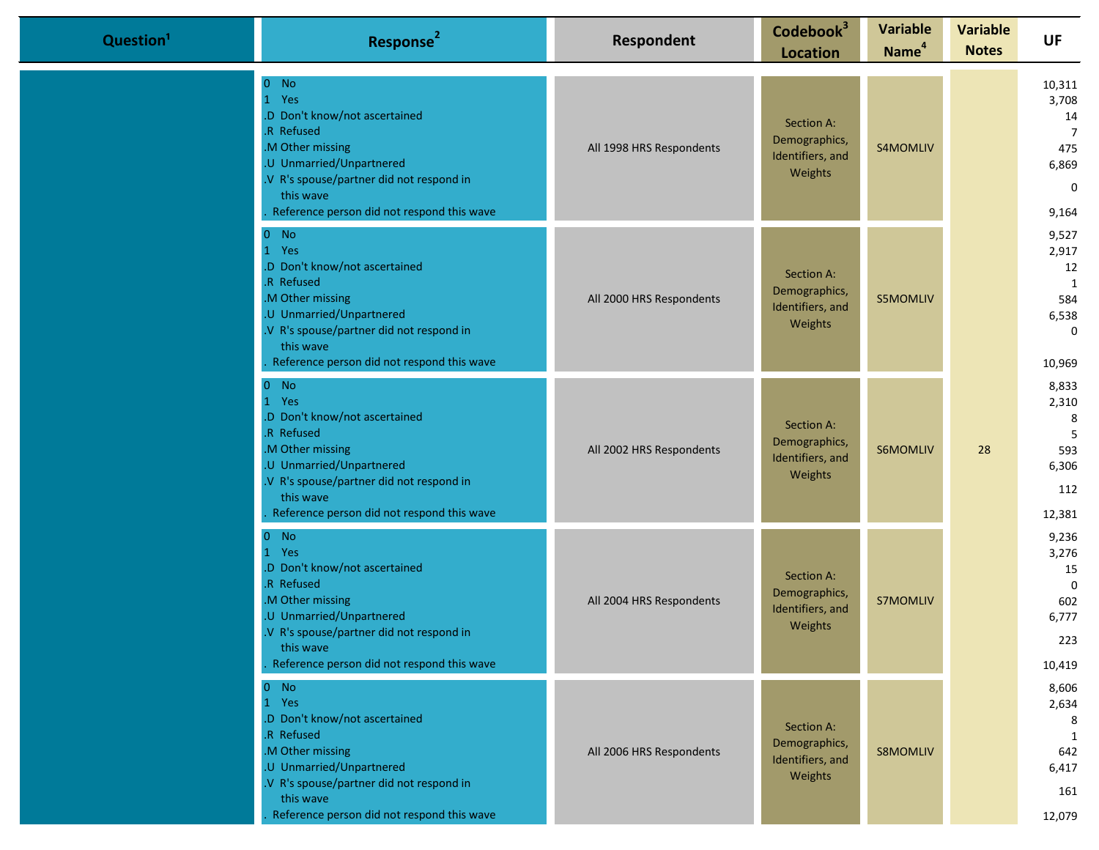| Question <sup>1</sup> | Response <sup>2</sup>                                                                                                                                                                                               | Respondent               | Codebook <sup>3</sup><br><b>Location</b>                   | <b>Variable</b><br>Name <sup>4</sup> | <b>Variable</b><br><b>Notes</b> | <b>UF</b>                                                                       |
|-----------------------|---------------------------------------------------------------------------------------------------------------------------------------------------------------------------------------------------------------------|--------------------------|------------------------------------------------------------|--------------------------------------|---------------------------------|---------------------------------------------------------------------------------|
|                       | $0$ No<br>1 Yes<br>.D Don't know/not ascertained<br>.R Refused<br>M Other missing<br>.U Unmarried/Unpartnered<br>V R's spouse/partner did not respond in<br>this wave<br>Reference person did not respond this wave | All 1998 HRS Respondents | Section A:<br>Demographics,<br>Identifiers, and<br>Weights | S4MOMLIV                             |                                 | 10,311<br>3,708<br>14<br>$\overline{7}$<br>475<br>6,869<br>$\mathbf 0$<br>9,164 |
|                       | $0$ No<br>1 Yes<br>.D Don't know/not ascertained<br>R Refused<br>M Other missing<br>.U Unmarried/Unpartnered<br>V R's spouse/partner did not respond in<br>this wave<br>Reference person did not respond this wave  | All 2000 HRS Respondents | Section A:<br>Demographics,<br>Identifiers, and<br>Weights | <b>S5MOMLIV</b>                      |                                 | 9,527<br>2,917<br>12<br>1<br>584<br>6,538<br>$\mathbf 0$<br>10,969              |
|                       | $0$ No<br>1 Yes<br>.D Don't know/not ascertained<br>R Refused<br>M Other missing<br>.U Unmarried/Unpartnered<br>.V R's spouse/partner did not respond in<br>this wave<br>Reference person did not respond this wave | All 2002 HRS Respondents | Section A:<br>Demographics,<br>Identifiers, and<br>Weights | S6MOMLIV                             | 28                              | 8,833<br>2,310<br>8<br>5<br>593<br>6,306<br>112<br>12,381                       |
|                       | $0$ No<br>1 Yes<br>.D Don't know/not ascertained<br>.R Refused<br>M Other missing<br>.U Unmarried/Unpartnered<br>V R's spouse/partner did not respond in<br>this wave<br>Reference person did not respond this wave | All 2004 HRS Respondents | Section A:<br>Demographics,<br>Identifiers, and<br>Weights | <b>S7MOMLIV</b>                      |                                 | 9,236<br>3,276<br>15<br>$\Omega$<br>602<br>6,777<br>223<br>10,419               |
|                       | $0$ No<br>1 Yes<br>.D Don't know/not ascertained<br>R Refused<br>M Other missing<br>.U Unmarried/Unpartnered<br>V R's spouse/partner did not respond in<br>this wave<br>Reference person did not respond this wave  | All 2006 HRS Respondents | Section A:<br>Demographics,<br>Identifiers, and<br>Weights | S8MOMLIV                             |                                 | 8,606<br>2,634<br>8<br>1<br>642<br>6,417<br>161<br>12,079                       |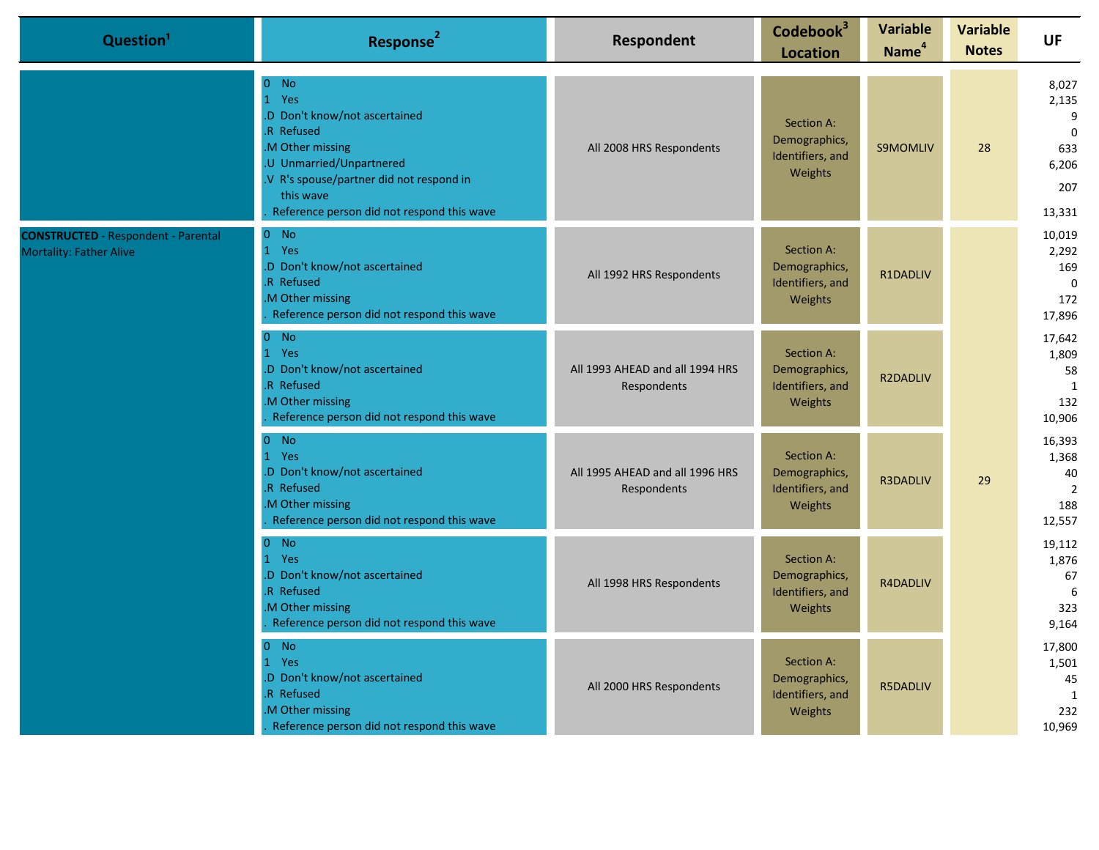| Question <sup>1</sup>                                                 | Response <sup>2</sup>                                                                                                                                                                                                      | Respondent                                     | Codebook <sup>3</sup><br><b>Location</b>                   | <b>Variable</b><br>Name <sup>4</sup> | <b>Variable</b><br><b>Notes</b> | <b>UF</b>                                                           |
|-----------------------------------------------------------------------|----------------------------------------------------------------------------------------------------------------------------------------------------------------------------------------------------------------------------|------------------------------------------------|------------------------------------------------------------|--------------------------------------|---------------------------------|---------------------------------------------------------------------|
|                                                                       | $0$ No<br>1 Yes<br>.D Don't know/not ascertained<br><b>R</b> Refused<br>M Other missing<br>.U Unmarried/Unpartnered<br>.V R's spouse/partner did not respond in<br>this wave<br>Reference person did not respond this wave | All 2008 HRS Respondents                       | Section A:<br>Demographics,<br>Identifiers, and<br>Weights | <b>S9MOMLIV</b>                      | 28                              | 8,027<br>2,135<br>9<br>$\mathbf 0$<br>633<br>6,206<br>207<br>13,331 |
| <b>CONSTRUCTED</b> - Respondent - Parental<br>Mortality: Father Alive | $0$ No<br>1 Yes<br>.D Don't know/not ascertained<br>R Refused<br>M Other missing<br>Reference person did not respond this wave                                                                                             | All 1992 HRS Respondents                       | Section A:<br>Demographics,<br>Identifiers, and<br>Weights | R1DADLIV                             |                                 | 10,019<br>2,292<br>169<br>$\mathbf 0$<br>172<br>17,896              |
|                                                                       | $0$ No<br>1 Yes<br>.D Don't know/not ascertained<br>R Refused<br>M Other missing<br>Reference person did not respond this wave                                                                                             | All 1993 AHEAD and all 1994 HRS<br>Respondents | Section A:<br>Demographics,<br>Identifiers, and<br>Weights | <b>R2DADLIV</b>                      |                                 | 17,642<br>1,809<br>58<br>1<br>132<br>10,906                         |
|                                                                       | $0$ No<br>1 Yes<br>.D Don't know/not ascertained<br>R Refused<br>M Other missing<br>Reference person did not respond this wave                                                                                             | All 1995 AHEAD and all 1996 HRS<br>Respondents | Section A:<br>Demographics,<br>Identifiers, and<br>Weights | R3DADLIV                             | 29                              | 16,393<br>1,368<br>40<br>$\overline{2}$<br>188<br>12,557            |
|                                                                       | $0$ No<br>1 Yes<br>.D Don't know/not ascertained<br>R Refused<br>M Other missing<br>Reference person did not respond this wave                                                                                             | All 1998 HRS Respondents                       | Section A:<br>Demographics,<br>Identifiers, and<br>Weights | R4DADLIV                             |                                 | 19,112<br>1,876<br>67<br>6<br>323<br>9,164                          |
|                                                                       | $0$ No<br>1 Yes<br>.D Don't know/not ascertained<br>R Refused<br>M Other missing<br>Reference person did not respond this wave                                                                                             | All 2000 HRS Respondents                       | Section A:<br>Demographics,<br>Identifiers, and<br>Weights | <b>R5DADLIV</b>                      |                                 | 17,800<br>1,501<br>45<br>1<br>232<br>10,969                         |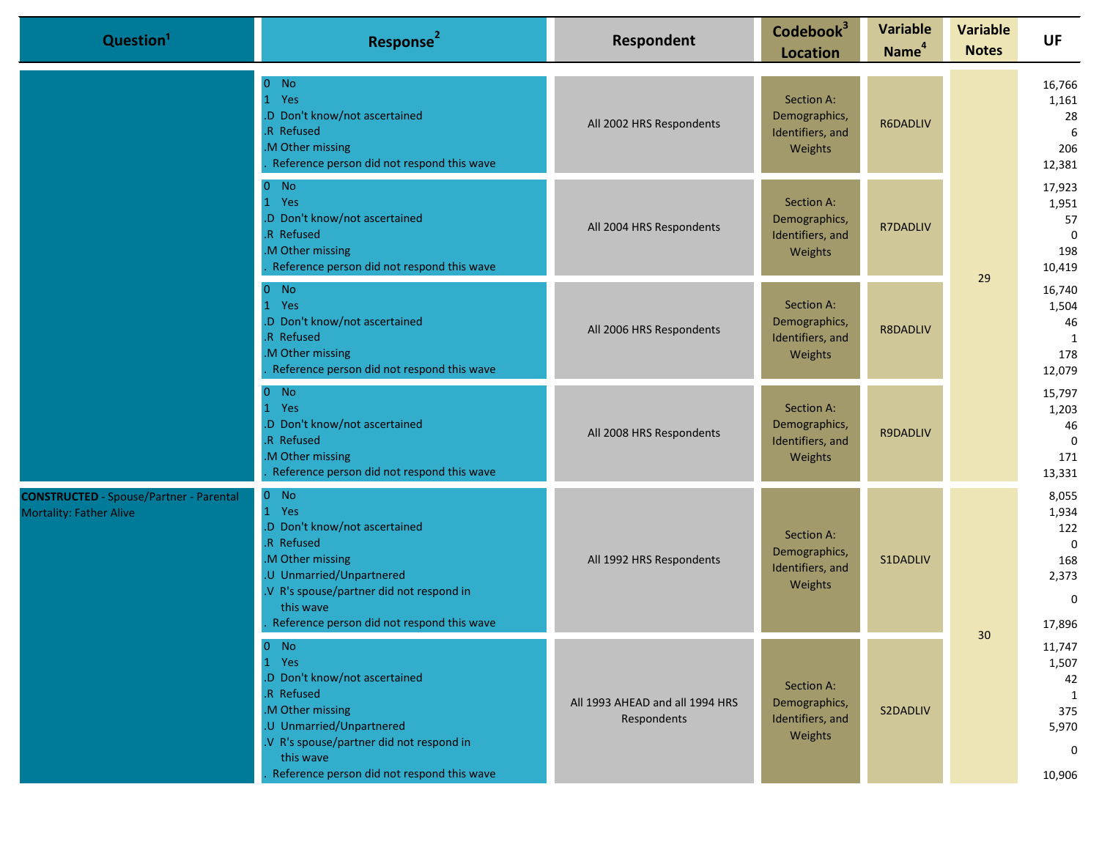| Question <sup>1</sup>                                                            | Response <sup>2</sup>                                                                                                                                                                                               | Respondent                                     | Codebook <sup>3</sup><br><b>Location</b>                   | <b>Variable</b><br>Name <sup>4</sup> | <b>Variable</b><br><b>Notes</b> | <b>UF</b>                                                                     |                                             |
|----------------------------------------------------------------------------------|---------------------------------------------------------------------------------------------------------------------------------------------------------------------------------------------------------------------|------------------------------------------------|------------------------------------------------------------|--------------------------------------|---------------------------------|-------------------------------------------------------------------------------|---------------------------------------------|
|                                                                                  | $0$ No<br>1 Yes<br>.D Don't know/not ascertained<br>R Refused<br>.M Other missing<br>Reference person did not respond this wave                                                                                     | All 2002 HRS Respondents                       | Section A:<br>Demographics,<br>Identifiers, and<br>Weights | R6DADLIV                             |                                 |                                                                               | 16,766<br>1,161<br>28<br>6<br>206<br>12,381 |
|                                                                                  | $0$ No<br>1 Yes<br>D Don't know/not ascertained<br>R Refused<br>M Other missing<br>Reference person did not respond this wave                                                                                       | All 2004 HRS Respondents                       | Section A:<br>Demographics,<br>Identifiers, and<br>Weights | R7DADLIV                             | 29                              | 17,923<br>1,951<br>57<br>$\Omega$<br>198<br>10,419                            |                                             |
|                                                                                  | $0$ No<br>Yes<br>$\mathbf{1}$<br>D Don't know/not ascertained<br>.R Refused<br>M Other missing<br>Reference person did not respond this wave                                                                        | All 2006 HRS Respondents                       | Section A:<br>Demographics,<br>Identifiers, and<br>Weights | <b>R8DADLIV</b>                      |                                 | 16,740<br>1,504<br>46<br>1<br>178<br>12,079                                   |                                             |
|                                                                                  | $0$ No<br>1 Yes<br>.D Don't know/not ascertained<br>R Refused<br>M Other missing<br>Reference person did not respond this wave                                                                                      | All 2008 HRS Respondents                       | Section A:<br>Demographics,<br>Identifiers, and<br>Weights | R9DADLIV                             |                                 | 15,797<br>1,203<br>46<br>$\Omega$<br>171<br>13,331                            |                                             |
| <b>CONSTRUCTED</b> - Spouse/Partner - Parental<br><b>Mortality: Father Alive</b> | $0$ No<br>1 Yes<br>D Don't know/not ascertained<br>R Refused<br>M Other missing<br>.U Unmarried/Unpartnered<br>V R's spouse/partner did not respond in<br>this wave<br>Reference person did not respond this wave   | All 1992 HRS Respondents                       | Section A:<br>Demographics,<br>Identifiers, and<br>Weights | S1DADLIV                             |                                 | 8,055<br>1,934<br>122<br>$\overline{0}$<br>168<br>2,373<br>$\Omega$<br>17,896 |                                             |
|                                                                                  | $0$ No<br>1 Yes<br>.D Don't know/not ascertained<br>.R Refused<br>.M Other missing<br>U Unmarried/Unpartnered<br>V R's spouse/partner did not respond in<br>this wave<br>Reference person did not respond this wave | All 1993 AHEAD and all 1994 HRS<br>Respondents | Section A:<br>Demographics,<br>Identifiers, and<br>Weights | S2DADLIV                             | 30                              | 11,747<br>1,507<br>42<br>1<br>375<br>5,970<br>$\mathbf{0}$<br>10,906          |                                             |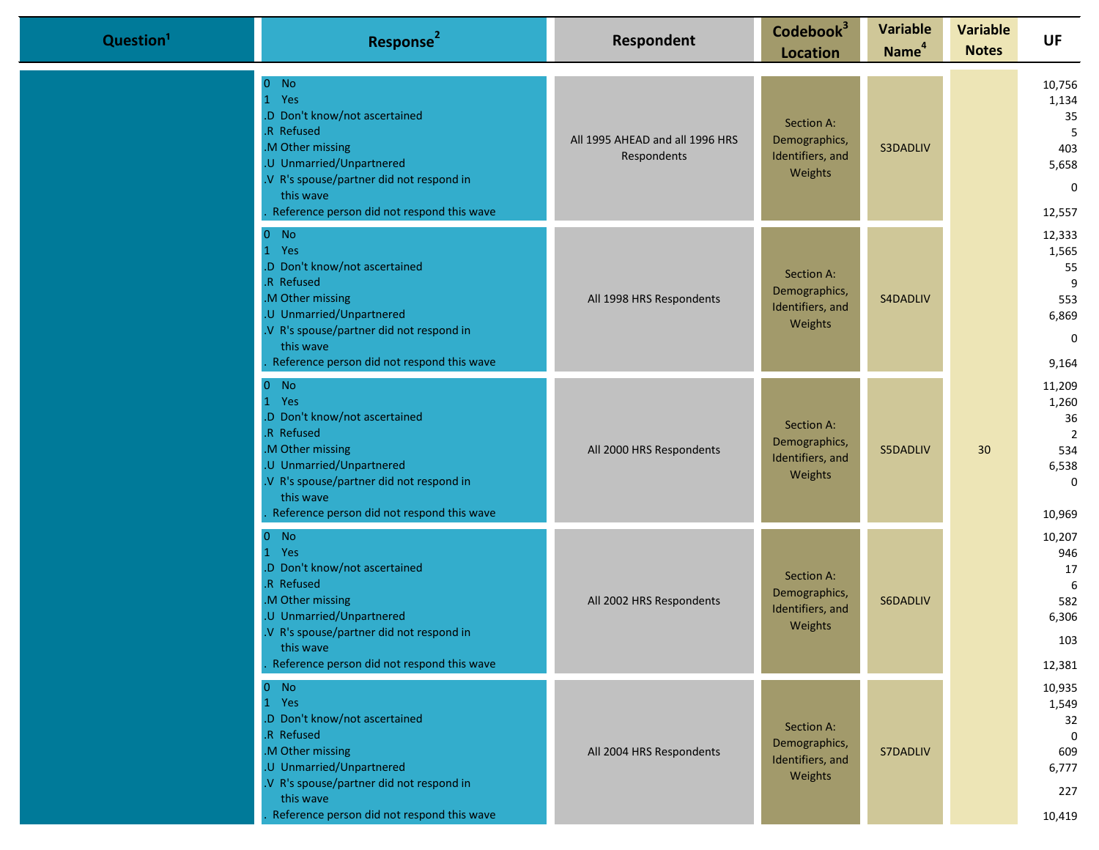| Question <sup>1</sup> | Response <sup>2</sup>                                                                                                                                                                                                | Respondent                                     | Codebook <sup>3</sup><br><b>Location</b>                   | <b>Variable</b><br>Name <sup>4</sup> | <b>Variable</b><br><b>Notes</b> | <b>UF</b>                                                                        |
|-----------------------|----------------------------------------------------------------------------------------------------------------------------------------------------------------------------------------------------------------------|------------------------------------------------|------------------------------------------------------------|--------------------------------------|---------------------------------|----------------------------------------------------------------------------------|
|                       | $0$ No<br>1 Yes<br>.D Don't know/not ascertained<br>R Refused<br>M Other missing<br>.U Unmarried/Unpartnered<br>.V R's spouse/partner did not respond in<br>this wave<br>Reference person did not respond this wave  | All 1995 AHEAD and all 1996 HRS<br>Respondents | Section A:<br>Demographics,<br>Identifiers, and<br>Weights | S3DADLIV                             |                                 | 10,756<br>1,134<br>35<br>5<br>403<br>5,658<br>$\mathbf 0$<br>12,557              |
|                       | $0$ No<br>1 Yes<br>.D Don't know/not ascertained<br>.R Refused<br>M Other missing<br>.U Unmarried/Unpartnered<br>.V R's spouse/partner did not respond in<br>this wave<br>Reference person did not respond this wave | All 1998 HRS Respondents                       | Section A:<br>Demographics,<br>Identifiers, and<br>Weights | S4DADLIV                             |                                 | 12,333<br>1,565<br>55<br>9<br>553<br>6,869<br>$\mathbf 0$<br>9,164               |
|                       | $0$ No<br>1 Yes<br>.D Don't know/not ascertained<br>.R Refused<br>M Other missing<br>.U Unmarried/Unpartnered<br>.V R's spouse/partner did not respond in<br>this wave<br>Reference person did not respond this wave | All 2000 HRS Respondents                       | Section A:<br>Demographics,<br>Identifiers, and<br>Weights | S5DADLIV                             | 30                              | 11,209<br>1,260<br>36<br>$\overline{2}$<br>534<br>6,538<br>$\mathbf 0$<br>10,969 |
|                       | $0$ No<br>1 Yes<br>.D Don't know/not ascertained<br>.R Refused<br>M Other missing<br>.U Unmarried/Unpartnered<br>.V R's spouse/partner did not respond in<br>this wave<br>Reference person did not respond this wave | All 2002 HRS Respondents                       | Section A:<br>Demographics,<br>Identifiers, and<br>Weights | S6DADLIV                             |                                 | 10,207<br>946<br>17<br>6<br>582<br>6,306<br>103<br>12,381                        |
|                       | $0$ No<br>1 Yes<br>.D Don't know/not ascertained<br>R Refused<br>M Other missing<br>.U Unmarried/Unpartnered<br>.V R's spouse/partner did not respond in<br>this wave<br>Reference person did not respond this wave  | All 2004 HRS Respondents                       | Section A:<br>Demographics,<br>Identifiers, and<br>Weights | S7DADLIV                             |                                 | 10,935<br>1,549<br>32<br>$\Omega$<br>609<br>6,777<br>227<br>10,419               |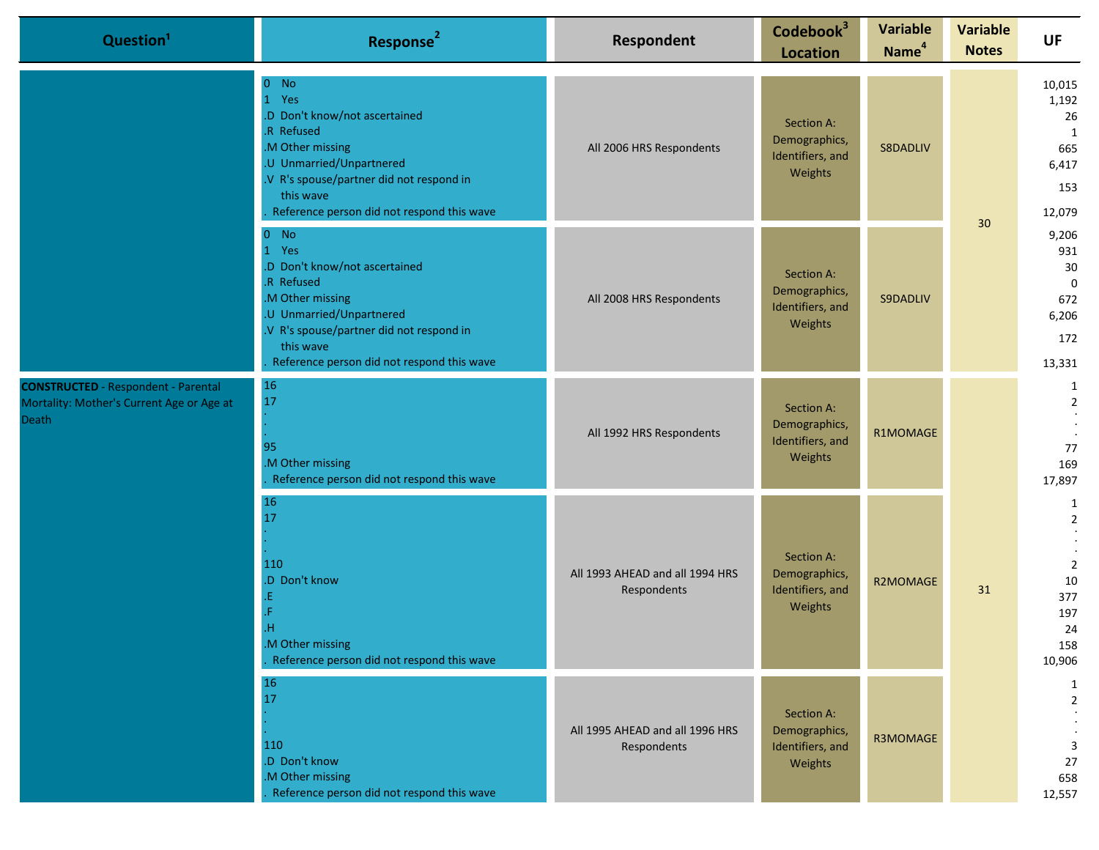| Question <sup>1</sup>                                                                            | Response <sup>2</sup>                                                                                                                                                                                                                           | <b>Respondent</b>                              | Codebook <sup>3</sup><br><b>Location</b>                   | <b>Variable</b><br>Name <sup>4</sup> | <b>Variable</b><br><b>Notes</b> | <b>UF</b>                                                                        |
|--------------------------------------------------------------------------------------------------|-------------------------------------------------------------------------------------------------------------------------------------------------------------------------------------------------------------------------------------------------|------------------------------------------------|------------------------------------------------------------|--------------------------------------|---------------------------------|----------------------------------------------------------------------------------|
|                                                                                                  | $\overline{0}$<br>No.<br>$\bullet$<br>Yes<br>.D Don't know/not ascertained<br>.R Refused<br>.M Other missing<br>.U Unmarried/Unpartnered<br>.V R's spouse/partner did not respond in<br>this wave<br>Reference person did not respond this wave | All 2006 HRS Respondents                       | Section A:<br>Demographics,<br>Identifiers, and<br>Weights | S8DADLIV                             |                                 | 10,015<br>1,192<br>26<br>1<br>665<br>6,417<br>153<br>12,079                      |
|                                                                                                  | $0$ No<br>1 Yes<br>.D Don't know/not ascertained<br>.R Refused<br>.M Other missing<br>.U Unmarried/Unpartnered<br>.V R's spouse/partner did not respond in<br>this wave<br>Reference person did not respond this wave                           | All 2008 HRS Respondents                       | Section A:<br>Demographics,<br>Identifiers, and<br>Weights | S9DADLIV                             | 30                              | 9,206<br>931<br>30<br>$\mathbf 0$<br>672<br>6,206<br>172<br>13,331               |
| <b>CONSTRUCTED</b> - Respondent - Parental<br>Mortality: Mother's Current Age or Age at<br>Death | <b>16</b><br>17<br>95<br>.M Other missing<br>Reference person did not respond this wave                                                                                                                                                         | All 1992 HRS Respondents                       | Section A:<br>Demographics,<br>Identifiers, and<br>Weights | R1MOMAGE                             |                                 | 1<br>$\overline{2}$<br>77<br>169<br>17,897                                       |
|                                                                                                  | 16<br>17<br>110<br>.D Don't know<br>.E<br>.H<br>.M Other missing<br>Reference person did not respond this wave                                                                                                                                  | All 1993 AHEAD and all 1994 HRS<br>Respondents | Section A:<br>Demographics,<br>Identifiers, and<br>Weights | R2MOMAGE                             | 31                              | 1<br>$\overline{2}$<br>$\overline{2}$<br>10<br>377<br>197<br>24<br>158<br>10,906 |
|                                                                                                  | $16\,$<br>17<br>110<br>.D Don't know<br>.M Other missing<br>Reference person did not respond this wave                                                                                                                                          | All 1995 AHEAD and all 1996 HRS<br>Respondents | Section A:<br>Demographics,<br>Identifiers, and<br>Weights | R3MOMAGE                             |                                 | $\mathbf{1}$<br>$\overline{2}$<br>3<br>27<br>658<br>12,557                       |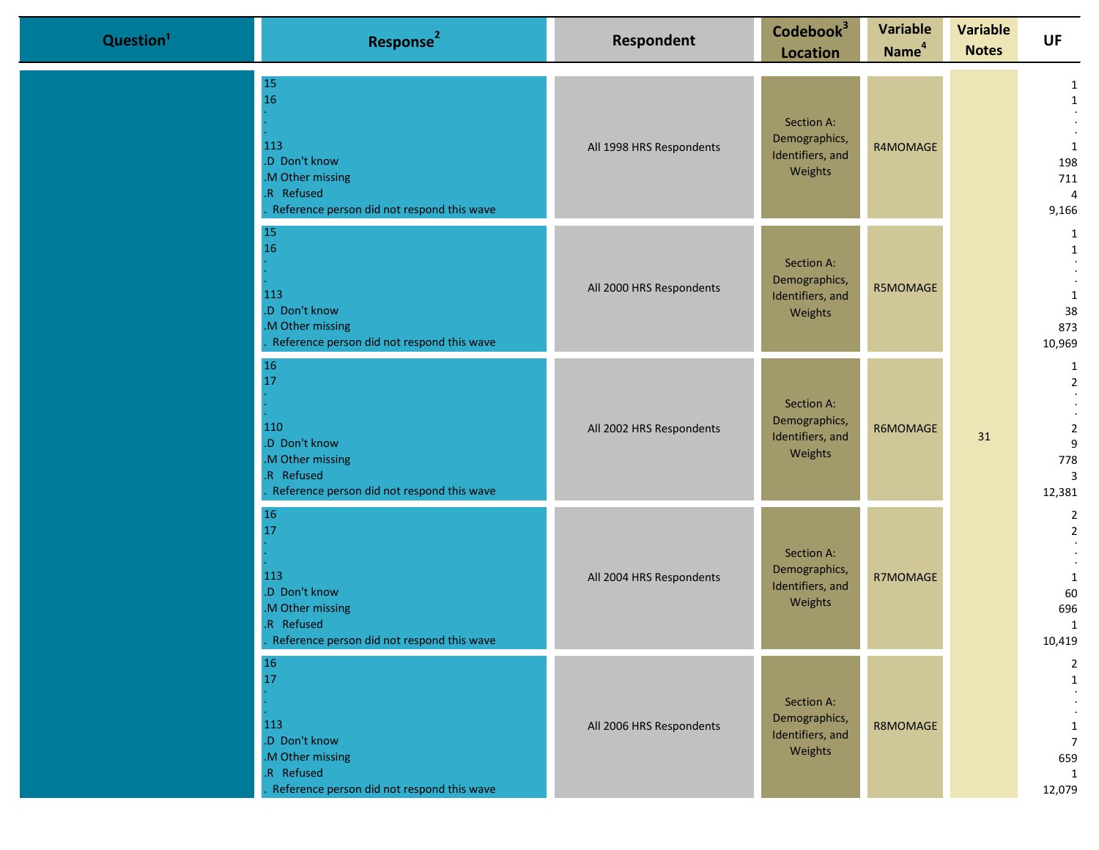| Question <sup>1</sup> | Response <sup>2</sup>                                                                                                 | Respondent               | Codebook <sup>3</sup><br><b>Location</b>                   | <b>Variable</b><br>Name <sup>4</sup> | <b>Variable</b><br><b>Notes</b> | <b>UF</b>                                                                     |
|-----------------------|-----------------------------------------------------------------------------------------------------------------------|--------------------------|------------------------------------------------------------|--------------------------------------|---------------------------------|-------------------------------------------------------------------------------|
|                       | 15<br>16<br>113<br>.D Don't know<br>M Other missing<br>.R Refused<br>Reference person did not respond this wave       | All 1998 HRS Respondents | Section A:<br>Demographics,<br>Identifiers, and<br>Weights | R4MOMAGE                             |                                 | 1<br>$\mathbf{1}$<br>1<br>198<br>711<br>$\overline{4}$<br>9,166               |
|                       | 15<br>16<br>113<br>.D Don't know<br>M Other missing<br>Reference person did not respond this wave                     | All 2000 HRS Respondents | Section A:<br>Demographics,<br>Identifiers, and<br>Weights | R5MOMAGE                             |                                 | 1<br>1<br>1<br>38<br>873<br>10,969                                            |
|                       | 16<br>17<br>110<br>.D Don't know<br>M Other missing<br>.R Refused<br>Reference person did not respond this wave       | All 2002 HRS Respondents | Section A:<br>Demographics,<br>Identifiers, and<br>Weights | R6MOMAGE                             | 31                              | 1<br>$\overline{2}$<br>$\overline{2}$<br>9<br>778<br>$\overline{3}$<br>12,381 |
|                       | 16<br>17<br>113<br>.D Don't know<br>M Other missing<br>R Refused<br>Reference person did not respond this wave        | All 2004 HRS Respondents | Section A:<br>Demographics,<br>Identifiers, and<br>Weights | R7MOMAGE                             |                                 | $\overline{2}$<br>$\overline{2}$<br>1<br>60<br>696<br>1<br>10,419             |
|                       | <b>16</b><br>17<br>113<br>.D Don't know<br>M Other missing<br>R Refused<br>Reference person did not respond this wave | All 2006 HRS Respondents | Section A:<br>Demographics,<br>Identifiers, and<br>Weights | R8MOMAGE                             |                                 | $\overline{2}$<br>1<br>$\mathbf{1}$<br>$\overline{7}$<br>659<br>1<br>12,079   |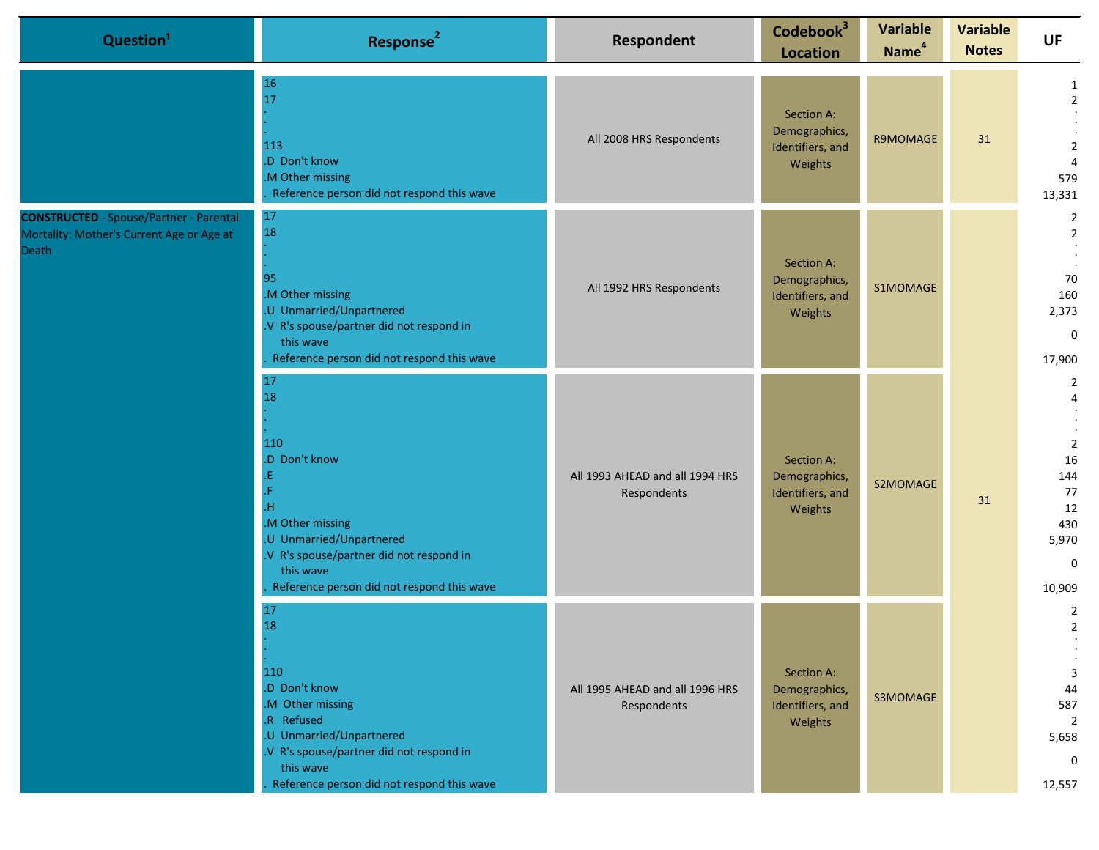| Question <sup>1</sup>                                                                                | Response <sup>2</sup>                                                                                                                                                                                 | Respondent                                     | Codebook <sup>3</sup><br><b>Location</b>                   | <b>Variable</b><br>Name <sup>4</sup> | <b>Variable</b><br><b>Notes</b> | <b>UF</b>                                                                                 |
|------------------------------------------------------------------------------------------------------|-------------------------------------------------------------------------------------------------------------------------------------------------------------------------------------------------------|------------------------------------------------|------------------------------------------------------------|--------------------------------------|---------------------------------|-------------------------------------------------------------------------------------------|
|                                                                                                      | 16<br>17<br>113<br>.D Don't know<br>.M Other missing<br>Reference person did not respond this wave                                                                                                    | All 2008 HRS Respondents                       | Section A:<br>Demographics,<br>Identifiers, and<br>Weights | R9MOMAGE                             | 31                              | 1<br>$\overline{2}$<br>$\overline{2}$<br>$\overline{4}$<br>579<br>13,331                  |
| <b>CONSTRUCTED</b> - Spouse/Partner - Parental<br>Mortality: Mother's Current Age or Age at<br>Death | 17<br>18<br>95<br>.M Other missing<br>.U Unmarried/Unpartnered<br>.V R's spouse/partner did not respond in<br>this wave<br>Reference person did not respond this wave                                 | All 1992 HRS Respondents                       | Section A:<br>Demographics,<br>Identifiers, and<br>Weights | S1MOMAGE                             |                                 | 2<br>$\overline{2}$<br>70<br>160<br>2,373<br>$\mathbf 0$<br>17,900                        |
|                                                                                                      | 17<br>18<br>110<br>.D Don't know<br>Æ.<br>H.<br>.M Other missing<br>.U Unmarried/Unpartnered<br>.V R's spouse/partner did not respond in<br>this wave<br>Reference person did not respond this wave   | All 1993 AHEAD and all 1994 HRS<br>Respondents | Section A:<br>Demographics,<br>Identifiers, and<br>Weights | S2MOMAGE                             | 31                              | 2<br>$\overline{2}$<br>16<br>144<br>77<br>12<br>430<br>5,970<br>0<br>10,909               |
|                                                                                                      | 17<br>18<br>110<br>.D Don't know<br>.M Other missing<br>.R Refused<br>.U Unmarried/Unpartnered<br>.V R's spouse/partner did not respond in<br>this wave<br>Reference person did not respond this wave | All 1995 AHEAD and all 1996 HRS<br>Respondents | Section A:<br>Demographics,<br>Identifiers, and<br>Weights | S3MOMAGE                             |                                 | 2<br>$\overline{2}$<br>3<br>44<br>587<br>$\overline{2}$<br>5,658<br>$\mathbf 0$<br>12,557 |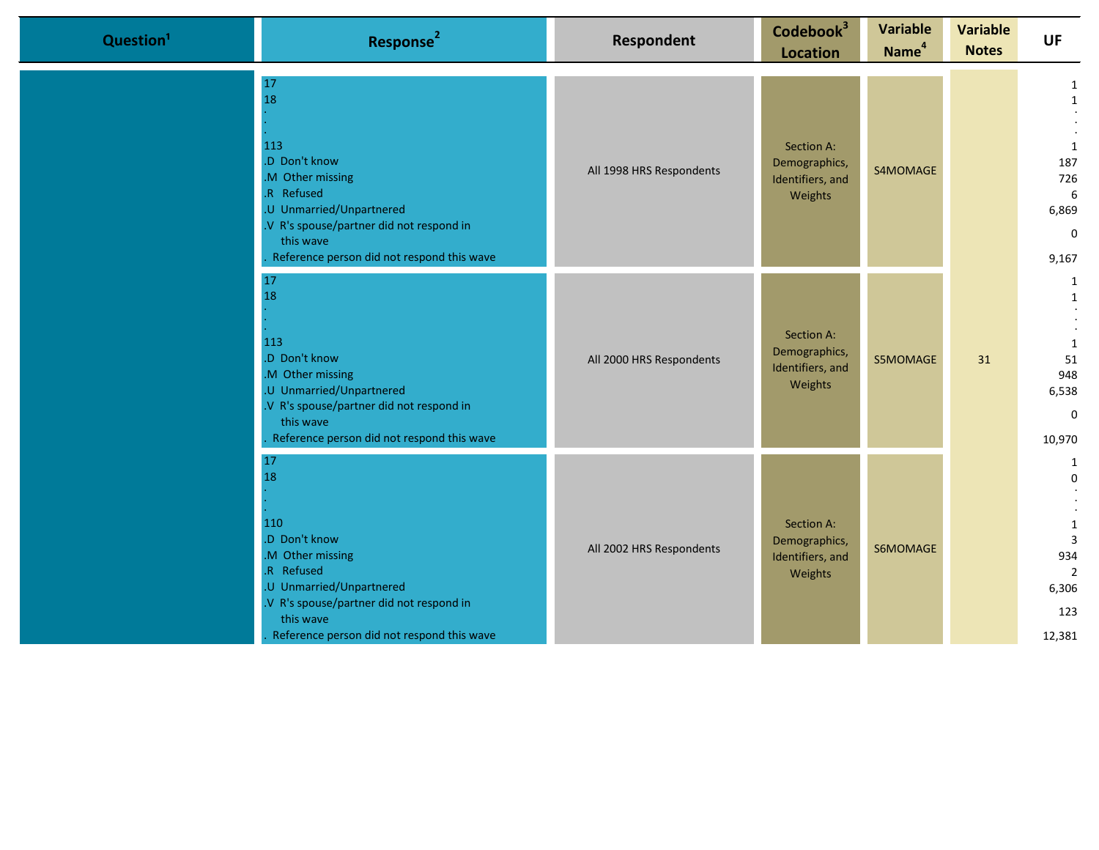| Question <sup>1</sup> | Response <sup>2</sup>                                                                                                                                                                                 | <b>Respondent</b>        | Codebook <sup>3</sup><br><b>Location</b>                   | <b>Variable</b><br>Name <sup>4</sup> | <b>Variable</b><br><b>Notes</b> | <b>UF</b>                                                                     |
|-----------------------|-------------------------------------------------------------------------------------------------------------------------------------------------------------------------------------------------------|--------------------------|------------------------------------------------------------|--------------------------------------|---------------------------------|-------------------------------------------------------------------------------|
|                       | 17<br>18<br>113<br>.D Don't know<br>.M Other missing<br>.R Refused<br>.U Unmarried/Unpartnered<br>.V R's spouse/partner did not respond in<br>this wave<br>Reference person did not respond this wave | All 1998 HRS Respondents | Section A:<br>Demographics,<br>Identifiers, and<br>Weights | S4MOMAGE                             |                                 | 1<br>$\mathbf{1}$<br>1<br>187<br>726<br>6<br>6,869<br>$\mathbf 0$<br>9,167    |
|                       | 17<br>18<br>113<br>.D Don't know<br>.M Other missing<br>.U Unmarried/Unpartnered<br>.V R's spouse/partner did not respond in<br>this wave<br>Reference person did not respond this wave               | All 2000 HRS Respondents | Section A:<br>Demographics,<br>Identifiers, and<br>Weights | S5MOMAGE                             | 31                              | 1<br>1<br>1<br>51<br>948<br>6,538<br>$\Omega$<br>10,970                       |
|                       | 17<br>18<br>110<br>.D Don't know<br>.M Other missing<br>.R Refused<br>.U Unmarried/Unpartnered<br>.V R's spouse/partner did not respond in<br>this wave<br>Reference person did not respond this wave | All 2002 HRS Respondents | Section A:<br>Demographics,<br>Identifiers, and<br>Weights | S6MOMAGE                             |                                 | 1<br>$\mathbf 0$<br>1<br>$\overline{3}$<br>934<br>2<br>6,306<br>123<br>12,381 |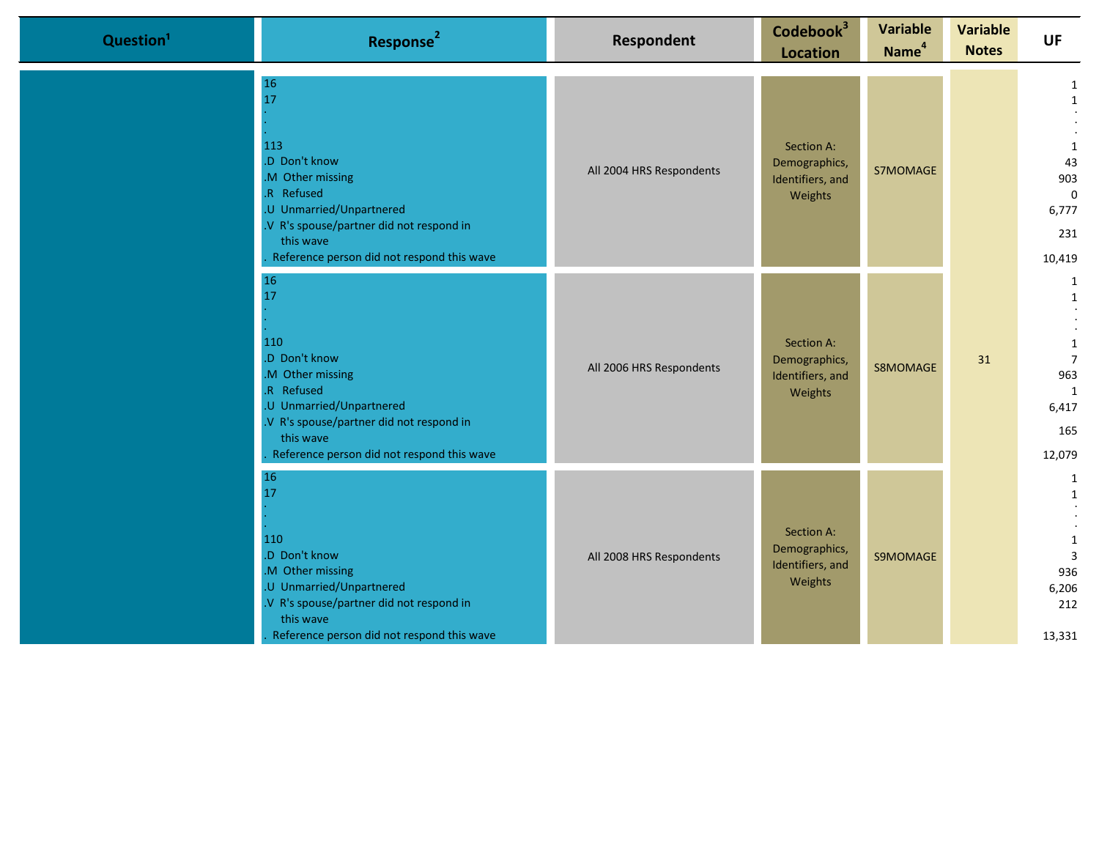| Question <sup>1</sup> | Response <sup>2</sup>                                                                                                                                                                             | <b>Respondent</b>        | Codebook <sup>3</sup><br><b>Location</b>                   | <b>Variable</b><br>Name <sup>4</sup> | <b>Variable</b><br><b>Notes</b> | <b>UF</b>                                                                                |
|-----------------------|---------------------------------------------------------------------------------------------------------------------------------------------------------------------------------------------------|--------------------------|------------------------------------------------------------|--------------------------------------|---------------------------------|------------------------------------------------------------------------------------------|
|                       | 16<br>17<br>113<br>D Don't know<br>M Other missing<br>R Refused<br>.U Unmarried/Unpartnered<br>V R's spouse/partner did not respond in<br>this wave<br>Reference person did not respond this wave | All 2004 HRS Respondents | Section A:<br>Demographics,<br>Identifiers, and<br>Weights | S7MOMAGE                             |                                 | $\mathbf{1}$<br>$\mathbf{1}$<br>1<br>43<br>903<br>$\mathbf{0}$<br>6,777<br>231<br>10,419 |
|                       | 16<br>17<br>110<br>D Don't know<br>M Other missing<br>R Refused<br>.U Unmarried/Unpartnered<br>V R's spouse/partner did not respond in<br>this wave<br>Reference person did not respond this wave | All 2006 HRS Respondents | Section A:<br>Demographics,<br>Identifiers, and<br>Weights | S8MOMAGE                             | 31                              | 1<br>1<br>1<br>$\overline{7}$<br>963<br>1<br>6,417<br>165<br>12,079                      |
|                       | 16<br>17<br>110<br>D Don't know<br>M Other missing<br>.U Unmarried/Unpartnered<br>V R's spouse/partner did not respond in<br>this wave<br>Reference person did not respond this wave              | All 2008 HRS Respondents | Section A:<br>Demographics,<br>Identifiers, and<br>Weights | S9MOMAGE                             |                                 | 1<br>$\mathbf{1}$<br>1<br>$\overline{3}$<br>936<br>6,206<br>212<br>13,331                |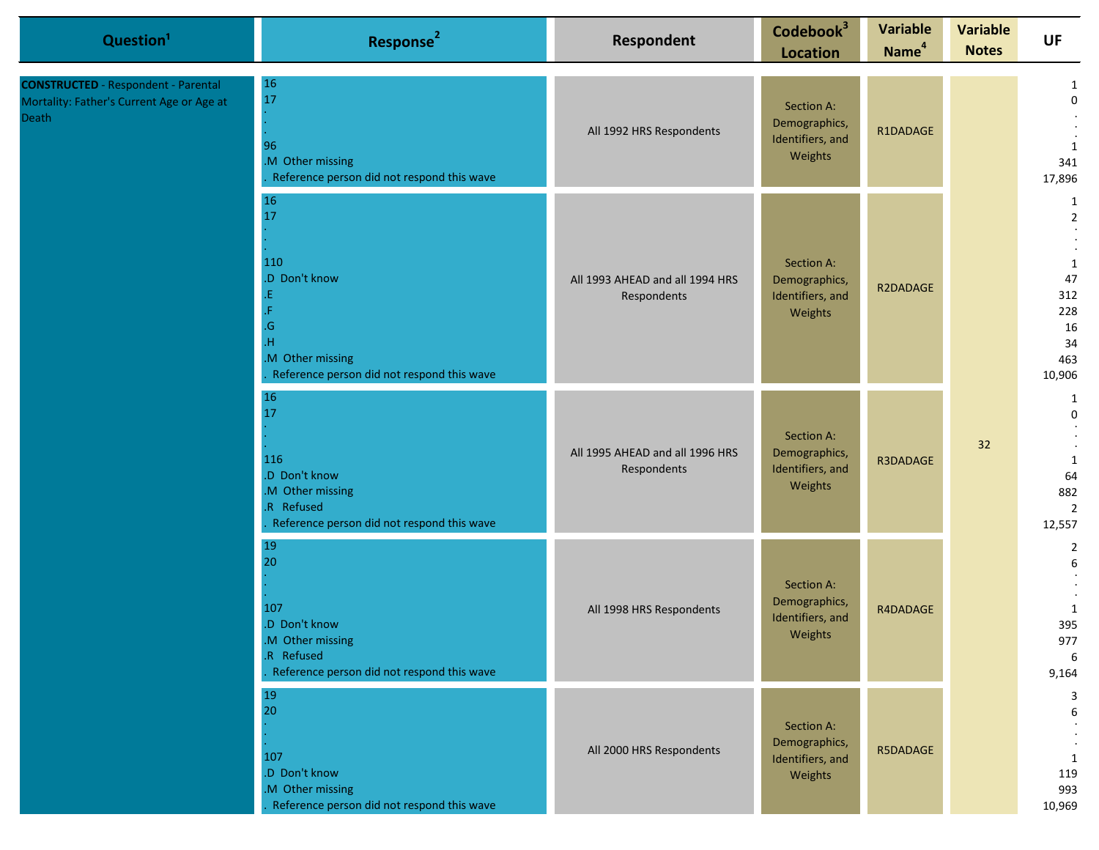| Question <sup>1</sup>                                                                                   | Response <sup>2</sup>                                                                                           | Respondent                                     | Codebook <sup>3</sup><br><b>Location</b>                   | <b>Variable</b><br>Name <sup>4</sup> | <b>Variable</b><br><b>Notes</b> | <b>UF</b>                                                                            |
|---------------------------------------------------------------------------------------------------------|-----------------------------------------------------------------------------------------------------------------|------------------------------------------------|------------------------------------------------------------|--------------------------------------|---------------------------------|--------------------------------------------------------------------------------------|
| <b>CONSTRUCTED</b> - Respondent - Parental<br>Mortality: Father's Current Age or Age at<br><b>Death</b> | 16<br>17<br>96<br>.M Other missing<br>Reference person did not respond this wave                                | All 1992 HRS Respondents                       | Section A:<br>Demographics,<br>Identifiers, and<br>Weights | R1DADAGE                             |                                 | 1<br>$\mathbf 0$<br>$\mathbf{1}$<br>341<br>17,896                                    |
|                                                                                                         | 16<br>17<br>110<br>.D Don't know<br>G<br>Н<br>M Other missing<br>Reference person did not respond this wave     | All 1993 AHEAD and all 1994 HRS<br>Respondents | Section A:<br>Demographics,<br>Identifiers, and<br>Weights | R2DADAGE                             |                                 | 1<br>$\overline{2}$<br>$\mathbf{1}$<br>47<br>312<br>228<br>16<br>34<br>463<br>10,906 |
|                                                                                                         | 16<br>17<br>116<br>.D Don't know<br>M Other missing<br>.R Refused<br>Reference person did not respond this wave | All 1995 AHEAD and all 1996 HRS<br>Respondents | Section A:<br>Demographics,<br>Identifiers, and<br>Weights | R3DADAGE                             | 32                              | 1<br>$\mathbf 0$<br>1<br>64<br>882<br>$\overline{2}$<br>12,557                       |
|                                                                                                         | 19<br>20<br>107<br>.D Don't know<br>M Other missing<br>.R Refused<br>Reference person did not respond this wave | All 1998 HRS Respondents                       | Section A:<br>Demographics,<br>Identifiers, and<br>Weights | R4DADAGE                             |                                 | $\overline{2}$<br>6<br>1<br>395<br>977<br>6<br>9,164                                 |
|                                                                                                         | 19<br>20<br>107<br>.D Don't know<br>.M Other missing<br>Reference person did not respond this wave              | All 2000 HRS Respondents                       | Section A:<br>Demographics,<br>Identifiers, and<br>Weights | R5DADAGE                             |                                 | $\overline{3}$<br>6<br>1<br>119<br>993<br>10,969                                     |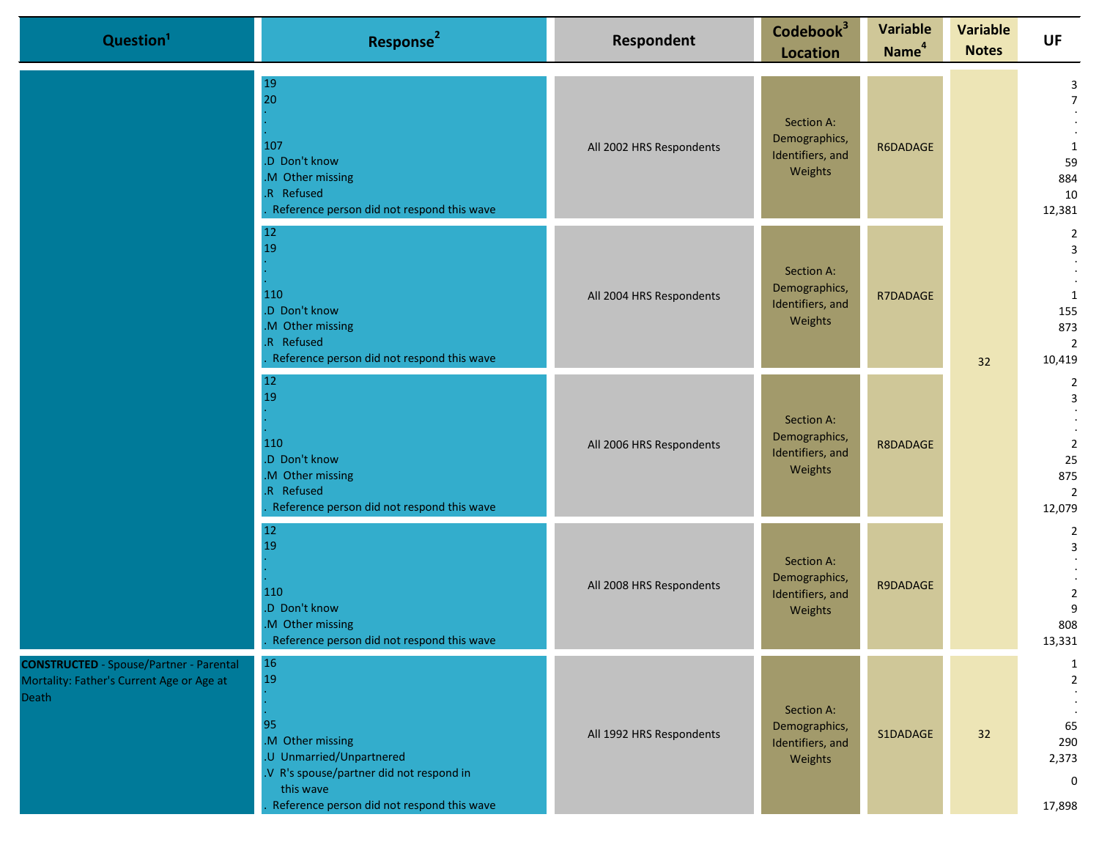| Question <sup>1</sup>                                                                                       | Response <sup>2</sup>                                                                                                                                                        | Respondent               | Codebook <sup>3</sup><br><b>Location</b>                   | <b>Variable</b><br>Name <sup>4</sup> | <b>Variable</b><br><b>Notes</b> | <b>UF</b>                                                          |
|-------------------------------------------------------------------------------------------------------------|------------------------------------------------------------------------------------------------------------------------------------------------------------------------------|--------------------------|------------------------------------------------------------|--------------------------------------|---------------------------------|--------------------------------------------------------------------|
|                                                                                                             | 19<br>20<br>107<br>.D Don't know<br>M Other missing<br>.R Refused<br>Reference person did not respond this wave                                                              | All 2002 HRS Respondents | Section A:<br>Demographics,<br>Identifiers, and<br>Weights | R6DADAGE                             |                                 | 3<br>$\overline{7}$<br>1<br>59<br>884<br>10<br>12,381              |
|                                                                                                             | 12<br>19<br>110<br>.D Don't know<br>M Other missing<br>.R Refused<br>Reference person did not respond this wave                                                              | All 2004 HRS Respondents | Section A:<br>Demographics,<br>Identifiers, and<br>Weights | R7DADAGE                             | 32                              | $\overline{2}$<br>3<br>1<br>155<br>873<br>$\overline{2}$<br>10,419 |
|                                                                                                             | 12<br>19<br>110<br>.D Don't know<br>.M Other missing<br>.R Refused<br>Reference person did not respond this wave                                                             | All 2006 HRS Respondents | Section A:<br>Demographics,<br>Identifiers, and<br>Weights | R8DADAGE                             |                                 | $\overline{2}$<br>3<br>$\overline{2}$<br>25<br>875<br>2<br>12,079  |
|                                                                                                             | 12<br>19<br>110<br>.D Don't know<br>.M Other missing<br>Reference person did not respond this wave                                                                           | All 2008 HRS Respondents | Section A:<br>Demographics,<br>Identifiers, and<br>Weights | R9DADAGE                             |                                 | $\overline{2}$<br>3<br>$\overline{2}$<br>9<br>808<br>13,331        |
| <b>CONSTRUCTED</b> - Spouse/Partner - Parental<br>Mortality: Father's Current Age or Age at<br><b>Death</b> | <b>16</b><br>19<br>95<br>.M Other missing<br>.U Unmarried/Unpartnered<br>.V R's spouse/partner did not respond in<br>this wave<br>Reference person did not respond this wave | All 1992 HRS Respondents | Section A:<br>Demographics,<br>Identifiers, and<br>Weights | S1DADAGE                             | 32                              | 1<br>$\overline{2}$<br>65<br>290<br>2,373<br>$\mathbf 0$<br>17,898 |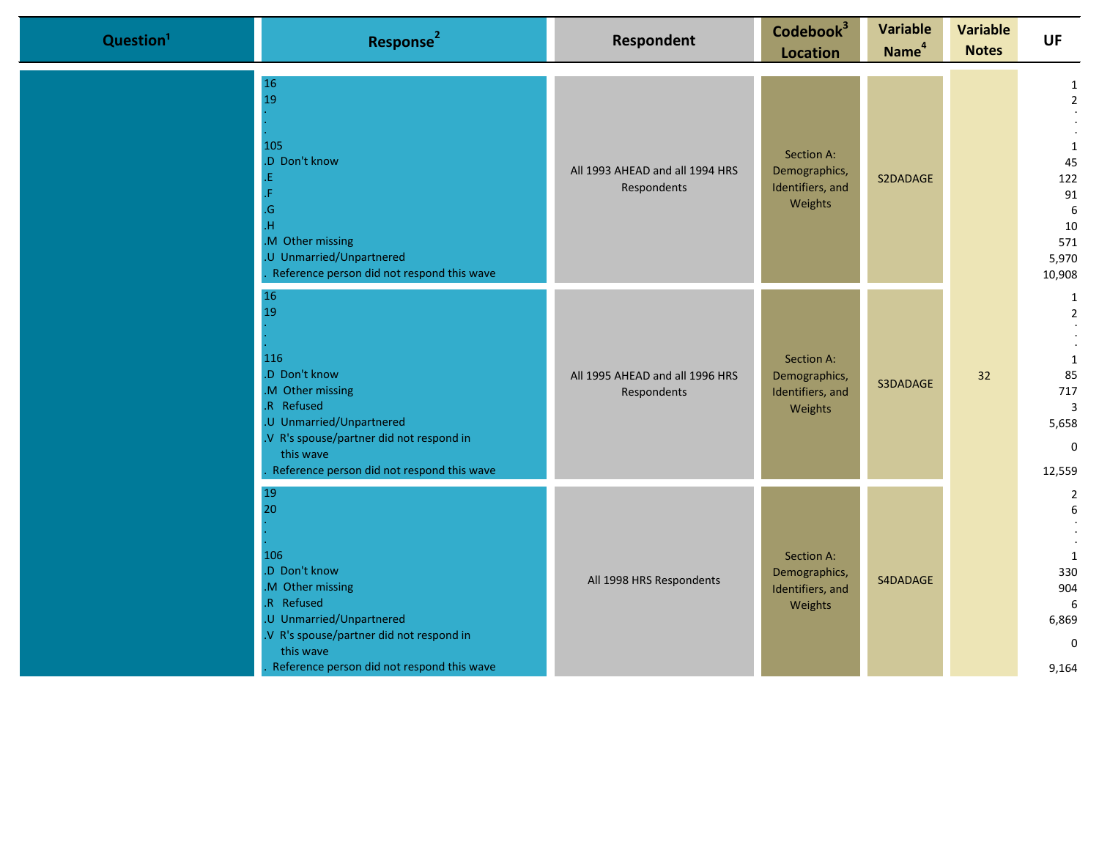| Question <sup>1</sup> | Response <sup>2</sup>                                                                                                                                                                                | <b>Respondent</b>                              | Codebook <sup>3</sup><br><b>Location</b>                   | <b>Variable</b><br>Name <sup>4</sup> | <b>Variable</b><br><b>Notes</b> | <b>UF</b>                                                                        |
|-----------------------|------------------------------------------------------------------------------------------------------------------------------------------------------------------------------------------------------|------------------------------------------------|------------------------------------------------------------|--------------------------------------|---------------------------------|----------------------------------------------------------------------------------|
|                       | 16<br>19<br>105<br>.D Don't know<br>.G<br>M Other missing<br>U Unmarried/Unpartnered<br>Reference person did not respond this wave                                                                   | All 1993 AHEAD and all 1994 HRS<br>Respondents | Section A:<br>Demographics,<br>Identifiers, and<br>Weights | S2DADAGE                             |                                 | 1<br>$\overline{2}$<br>1<br>45<br>122<br>91<br>6<br>10<br>571<br>5,970<br>10,908 |
|                       | 16<br>19<br>116<br>.D Don't know<br>M Other missing<br>.R Refused<br>.U Unmarried/Unpartnered<br>.V R's spouse/partner did not respond in<br>this wave<br>Reference person did not respond this wave | All 1995 AHEAD and all 1996 HRS<br>Respondents | Section A:<br>Demographics,<br>Identifiers, and<br>Weights | S3DADAGE                             | 32                              | 1<br>$\overline{2}$<br>1<br>85<br>717<br>3<br>5,658<br>$\Omega$<br>12,559        |
|                       | 19<br>20<br>106<br>.D Don't know<br>M Other missing<br>.R Refused<br>.U Unmarried/Unpartnered<br>.V R's spouse/partner did not respond in<br>this wave<br>Reference person did not respond this wave | All 1998 HRS Respondents                       | Section A:<br>Demographics,<br>Identifiers, and<br>Weights | S4DADAGE                             |                                 | $\overline{2}$<br>6<br>1<br>330<br>904<br>6<br>6,869<br>$\mathbf{0}$<br>9,164    |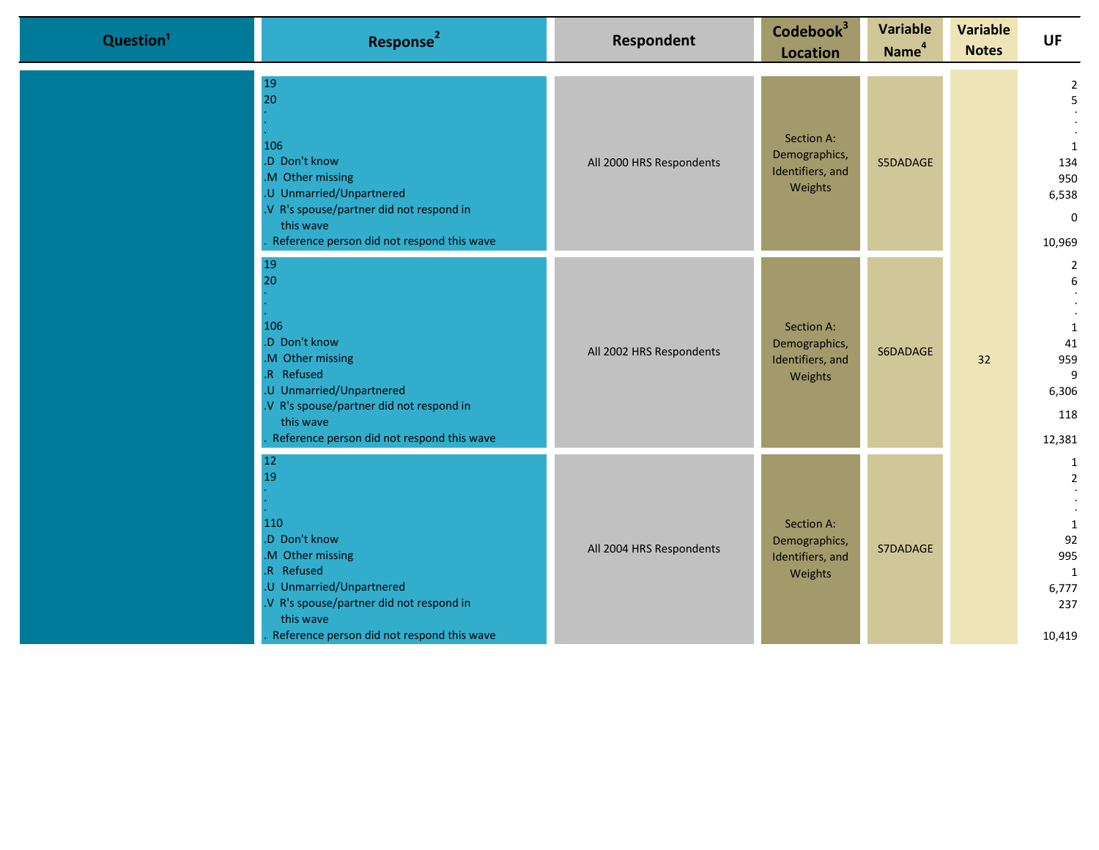| Question <sup>1</sup> | Response <sup>2</sup>                                                                                                                                                                              | Respondent               | Codebook <sup>3</sup><br><b>Location</b>                   | <b>Variable</b><br>Name <sup>4</sup> | <b>Variable</b><br><b>Notes</b> | <b>UF</b>                                                                       |
|-----------------------|----------------------------------------------------------------------------------------------------------------------------------------------------------------------------------------------------|--------------------------|------------------------------------------------------------|--------------------------------------|---------------------------------|---------------------------------------------------------------------------------|
|                       | 19<br>20<br>106<br>.D Don't know<br>M Other missing<br>U Unmarried/Unpartnered<br>.V R's spouse/partner did not respond in<br>this wave<br>Reference person did not respond this wave              | All 2000 HRS Respondents | Section A:<br>Demographics,<br>Identifiers, and<br>Weights | S5DADAGE                             |                                 | $\overline{2}$<br>5<br>1<br>134<br>950<br>6,538<br>$\Omega$<br>10,969           |
|                       | 19<br>20<br>106<br>.D Don't know<br>M Other missing<br>R Refused<br>.U Unmarried/Unpartnered<br>V R's spouse/partner did not respond in<br>this wave<br>Reference person did not respond this wave | All 2002 HRS Respondents | Section A:<br>Demographics,<br>Identifiers, and<br>Weights | S6DADAGE                             | 32                              | $\overline{2}$<br>6<br>1<br>41<br>959<br>9<br>6,306<br>118<br>12,381            |
|                       | 12<br>19<br>110<br>.D Don't know<br>M Other missing<br>R Refused<br>.U Unmarried/Unpartnered<br>V R's spouse/partner did not respond in<br>this wave<br>Reference person did not respond this wave | All 2004 HRS Respondents | Section A:<br>Demographics,<br>Identifiers, and<br>Weights | S7DADAGE                             |                                 | 1<br>$\overline{2}$<br>$\mathbf{1}$<br>92<br>995<br>1<br>6,777<br>237<br>10,419 |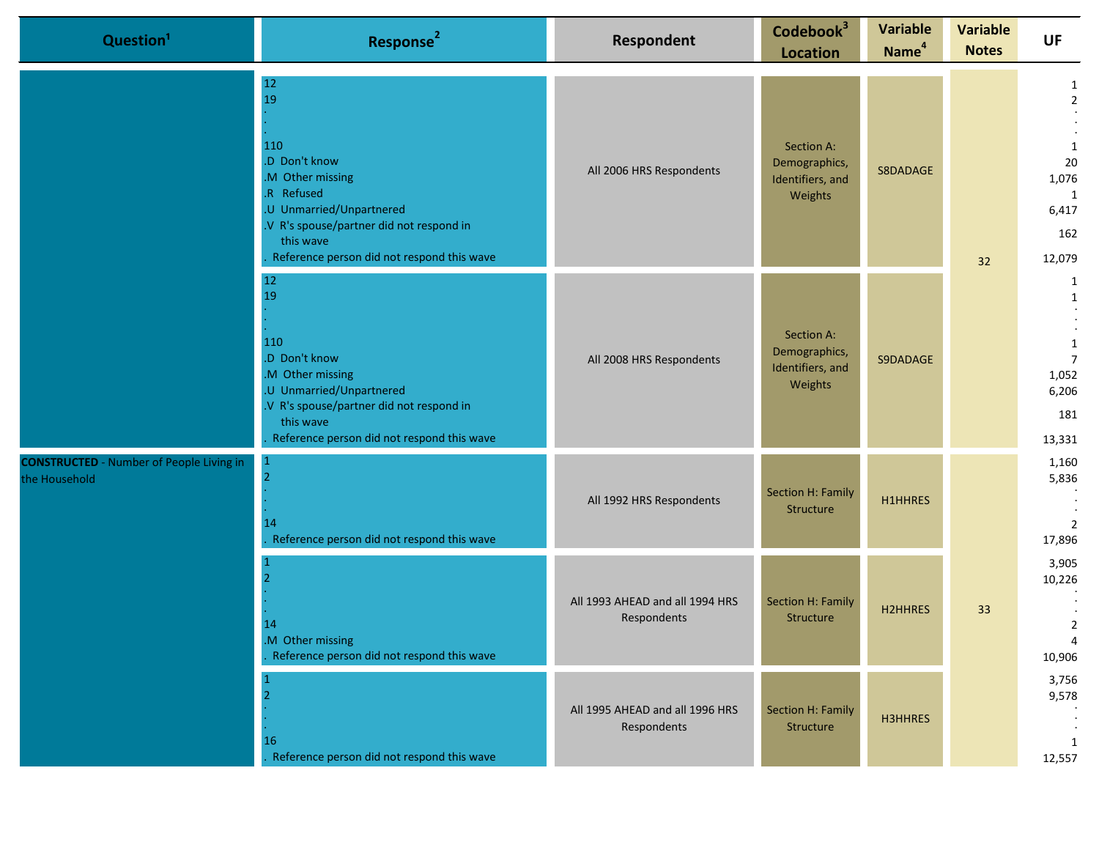|  | Question <sup>1</sup>                                                                                                                                                                                | Response <sup>2</sup>                                                                                                                                                                   | Respondent                                                 | Codebook <sup>3</sup><br><b>Location</b>                   | <b>Variable</b><br>Name <sup>4</sup> | <b>Variable</b><br><b>Notes</b>                                              | <b>UF</b>                                                                              |
|--|------------------------------------------------------------------------------------------------------------------------------------------------------------------------------------------------------|-----------------------------------------------------------------------------------------------------------------------------------------------------------------------------------------|------------------------------------------------------------|------------------------------------------------------------|--------------------------------------|------------------------------------------------------------------------------|----------------------------------------------------------------------------------------|
|  | 12<br>19<br>110<br>.D Don't know<br>M Other missing<br>.R Refused<br>.U Unmarried/Unpartnered<br>.V R's spouse/partner did not respond in<br>this wave<br>Reference person did not respond this wave | All 2006 HRS Respondents                                                                                                                                                                | Section A:<br>Demographics,<br>Identifiers, and<br>Weights | S8DADAGE                                                   | 32                                   | $\overline{2}$<br>$\mathbf{1}$<br>20<br>1,076<br>1<br>6,417<br>162<br>12,079 |                                                                                        |
|  |                                                                                                                                                                                                      | 12<br>19<br>110<br>.D Don't know<br>.M Other missing<br>.U Unmarried/Unpartnered<br>.V R's spouse/partner did not respond in<br>this wave<br>Reference person did not respond this wave | All 2008 HRS Respondents                                   | Section A:<br>Demographics,<br>Identifiers, and<br>Weights | S9DADAGE                             |                                                                              | $\mathbf{1}$<br>$\mathbf{1}$<br>1<br>$\overline{7}$<br>1,052<br>6,206<br>181<br>13,331 |
|  | <b>CONSTRUCTED</b> - Number of People Living in<br>the Household                                                                                                                                     | 14<br>Reference person did not respond this wave                                                                                                                                        | All 1992 HRS Respondents                                   | Section H: Family<br>Structure                             | <b>H1HHRES</b>                       |                                                                              | 1,160<br>5,836<br>$\overline{2}$<br>17,896                                             |
|  | 14<br>M Other missing<br>Reference person did not respond this wave                                                                                                                                  | All 1993 AHEAD and all 1994 HRS<br>Respondents                                                                                                                                          | <b>Section H: Family</b><br>Structure                      | <b>H2HHRES</b>                                             | 33                                   | 3,905<br>10,226<br>$\overline{2}$<br>10,906                                  |                                                                                        |
|  |                                                                                                                                                                                                      | 16<br>Reference person did not respond this wave                                                                                                                                        | All 1995 AHEAD and all 1996 HRS<br>Respondents             | Section H: Family<br>Structure                             | H3HHRES                              |                                                                              | 3,756<br>9,578<br>1<br>12,557                                                          |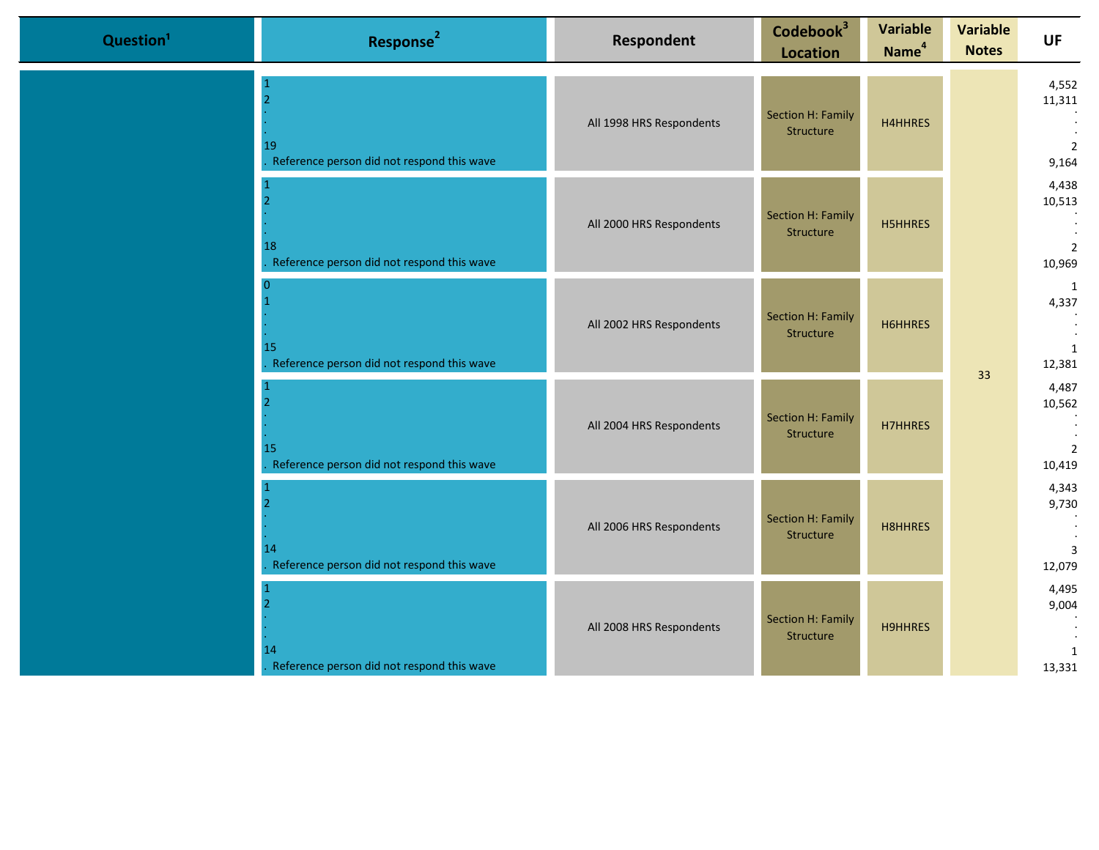| Question <sup>1</sup> | Response <sup>2</sup>                                              | <b>Respondent</b>        | Codebook <sup>3</sup><br><b>Location</b> | <b>Variable</b><br>Name <sup>4</sup> | <b>Variable</b><br><b>Notes</b> | <b>UF</b>                                   |
|-----------------------|--------------------------------------------------------------------|--------------------------|------------------------------------------|--------------------------------------|---------------------------------|---------------------------------------------|
|                       | $\overline{2}$<br>19<br>Reference person did not respond this wave | All 1998 HRS Respondents | Section H: Family<br>Structure           | H4HHRES                              |                                 | 4,552<br>11,311<br>$\overline{2}$<br>9,164  |
|                       | 18<br>Reference person did not respond this wave                   | All 2000 HRS Respondents | Section H: Family<br>Structure           | <b>H5HHRES</b>                       |                                 | 4,438<br>10,513<br>$\overline{2}$<br>10,969 |
|                       | $\overline{0}$<br>15<br>Reference person did not respond this wave | All 2002 HRS Respondents | Section H: Family<br>Structure           | H6HHRES                              | 33                              | $\mathbf{1}$<br>4,337<br>1<br>12,381        |
|                       | 15<br>Reference person did not respond this wave                   | All 2004 HRS Respondents | Section H: Family<br>Structure           | <b>H7HHRES</b>                       |                                 | 4,487<br>10,562<br>$\overline{2}$<br>10,419 |
|                       | $\overline{2}$<br>14<br>Reference person did not respond this wave | All 2006 HRS Respondents | Section H: Family<br>Structure           | <b>H8HHRES</b>                       |                                 | 4,343<br>9,730<br>3<br>12,079               |
|                       | 14<br>Reference person did not respond this wave                   | All 2008 HRS Respondents | Section H: Family<br>Structure           | <b>H9HHRES</b>                       |                                 | 4,495<br>9,004<br>1<br>13,331               |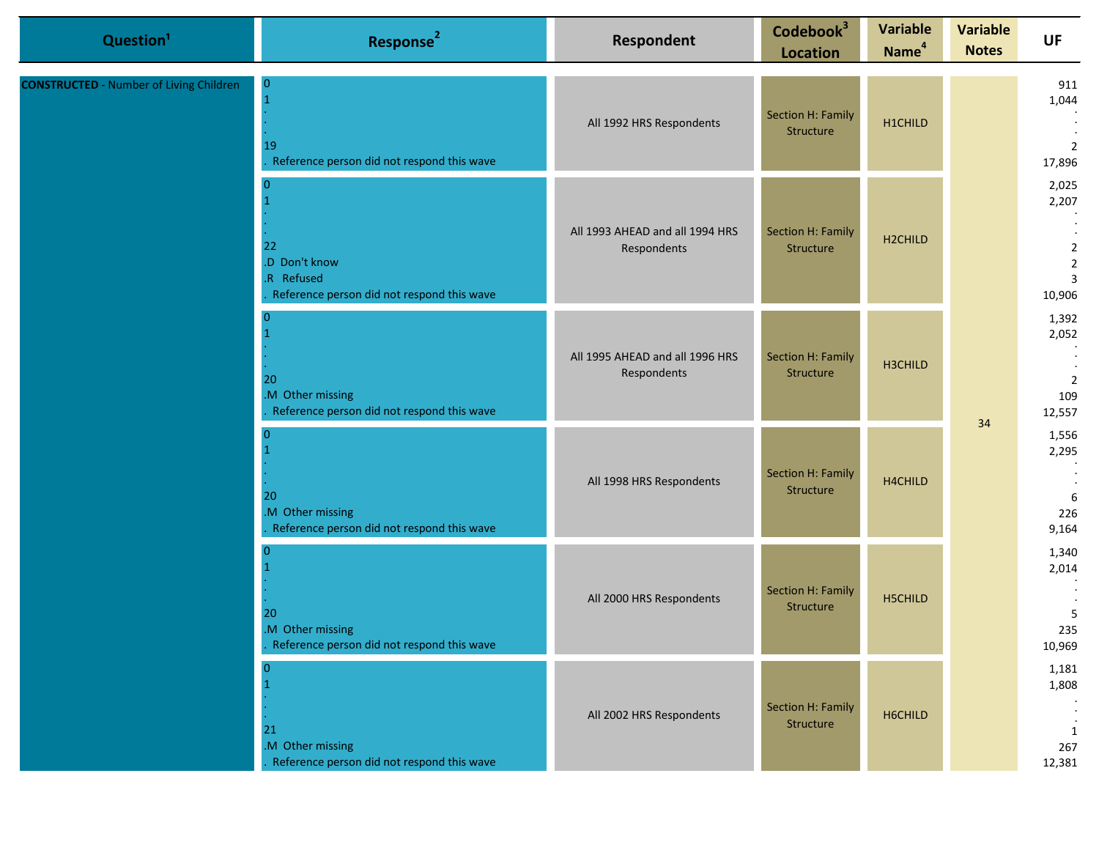| Question <sup>1</sup>                          | Response <sup>2</sup>                                                                             | Respondent                                     | Codebook <sup>3</sup><br><b>Location</b> | <b>Variable</b><br>Name <sup>4</sup> | <b>Variable</b><br><b>Notes</b> | UF                                                                             |                             |
|------------------------------------------------|---------------------------------------------------------------------------------------------------|------------------------------------------------|------------------------------------------|--------------------------------------|---------------------------------|--------------------------------------------------------------------------------|-----------------------------|
| <b>CONSTRUCTED</b> - Number of Living Children | $\bf{0}$<br>19<br>Reference person did not respond this wave                                      | All 1992 HRS Respondents                       | Section H: Family<br>Structure           | H1CHILD                              |                                 |                                                                                | 911<br>1,044<br>2<br>17,896 |
|                                                | $\overline{0}$<br>22<br>.D Don't know<br>.R Refused<br>Reference person did not respond this wave | All 1993 AHEAD and all 1994 HRS<br>Respondents | Section H: Family<br>Structure           | H2CHILD                              |                                 | 2,025<br>2,207<br>$\overline{2}$<br>$\overline{2}$<br>$\overline{3}$<br>10,906 |                             |
|                                                | $\Omega$<br>20<br>.M Other missing<br>Reference person did not respond this wave                  | All 1995 AHEAD and all 1996 HRS<br>Respondents | Section H: Family<br>Structure           | H3CHILD                              | 34                              | 1,392<br>2,052<br>$\overline{2}$<br>109<br>12,557                              |                             |
|                                                | $\Omega$<br>20<br>.M Other missing<br>Reference person did not respond this wave                  | All 1998 HRS Respondents                       | Section H: Family<br>Structure           | H4CHILD                              |                                 | 1,556<br>2,295<br>6<br>226<br>9,164                                            |                             |
|                                                | $\Omega$<br>20<br>.M Other missing<br>Reference person did not respond this wave                  | All 2000 HRS Respondents                       | Section H: Family<br>Structure           | H5CHILD                              |                                 | 1,340<br>2,014<br>5<br>235<br>10,969                                           |                             |
|                                                | $\overline{0}$<br>21<br>.M Other missing<br>Reference person did not respond this wave            | All 2002 HRS Respondents                       | Section H: Family<br>Structure           | H6CHILD                              |                                 | 1,181<br>1,808<br>1<br>267<br>12,381                                           |                             |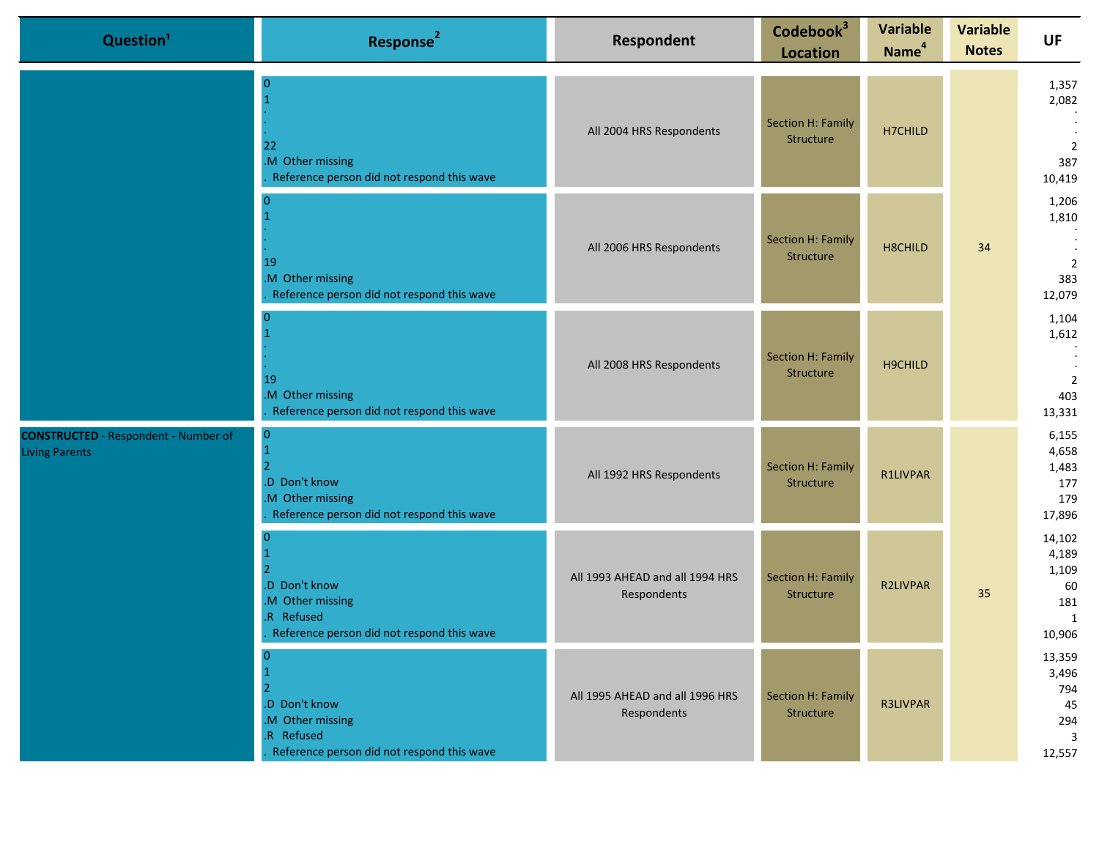| Question <sup>1</sup>                                                | Response <sup>2</sup>                                                                                          | Respondent                                     | Codebook <sup>3</sup><br><b>Location</b> | <b>Variable</b><br>Name <sup>4</sup> | <b>Variable</b><br><b>Notes</b> | <b>UF</b>                                                       |
|----------------------------------------------------------------------|----------------------------------------------------------------------------------------------------------------|------------------------------------------------|------------------------------------------|--------------------------------------|---------------------------------|-----------------------------------------------------------------|
|                                                                      | 22<br>M Other missing<br>Reference person did not respond this wave                                            | All 2004 HRS Respondents                       | Section H: Family<br>Structure           | H7CHILD                              |                                 | 1,357<br>2,082<br>$\overline{2}$<br>387<br>10,419               |
|                                                                      | 19<br>M Other missing<br>Reference person did not respond this wave                                            | All 2006 HRS Respondents                       | Section H: Family<br>Structure           | H8CHILD                              | 34                              | 1,206<br>1,810<br>$\overline{2}$<br>383<br>12,079               |
|                                                                      | 19<br>M Other missing<br>Reference person did not respond this wave                                            | All 2008 HRS Respondents                       | <b>Section H: Family</b><br>Structure    | H9CHILD                              |                                 | 1,104<br>1,612<br>$\overline{2}$<br>403<br>13,331               |
| <b>CONSTRUCTED</b> - Respondent - Number of<br><b>Living Parents</b> | $\mathbf{0}$<br>$\mathbf{1}$<br>.D Don't know<br>M Other missing<br>Reference person did not respond this wave | All 1992 HRS Respondents                       | Section H: Family<br>Structure           | <b>R1LIVPAR</b>                      |                                 | 6,155<br>4,658<br>1,483<br>177<br>179<br>17,896                 |
|                                                                      | .D Don't know<br>M Other missing<br>.R Refused<br>Reference person did not respond this wave                   | All 1993 AHEAD and all 1994 HRS<br>Respondents | Section H: Family<br>Structure           | <b>R2LIVPAR</b>                      | 35                              | 14,102<br>4,189<br>1,109<br>60<br>181<br>$\mathbf{1}$<br>10,906 |
|                                                                      | 0<br>.D Don't know<br>M Other missing<br>R Refused<br>Reference person did not respond this wave               | All 1995 AHEAD and all 1996 HRS<br>Respondents | <b>Section H: Family</b><br>Structure    | <b>R3LIVPAR</b>                      |                                 | 13,359<br>3,496<br>794<br>45<br>294<br>3<br>12,557              |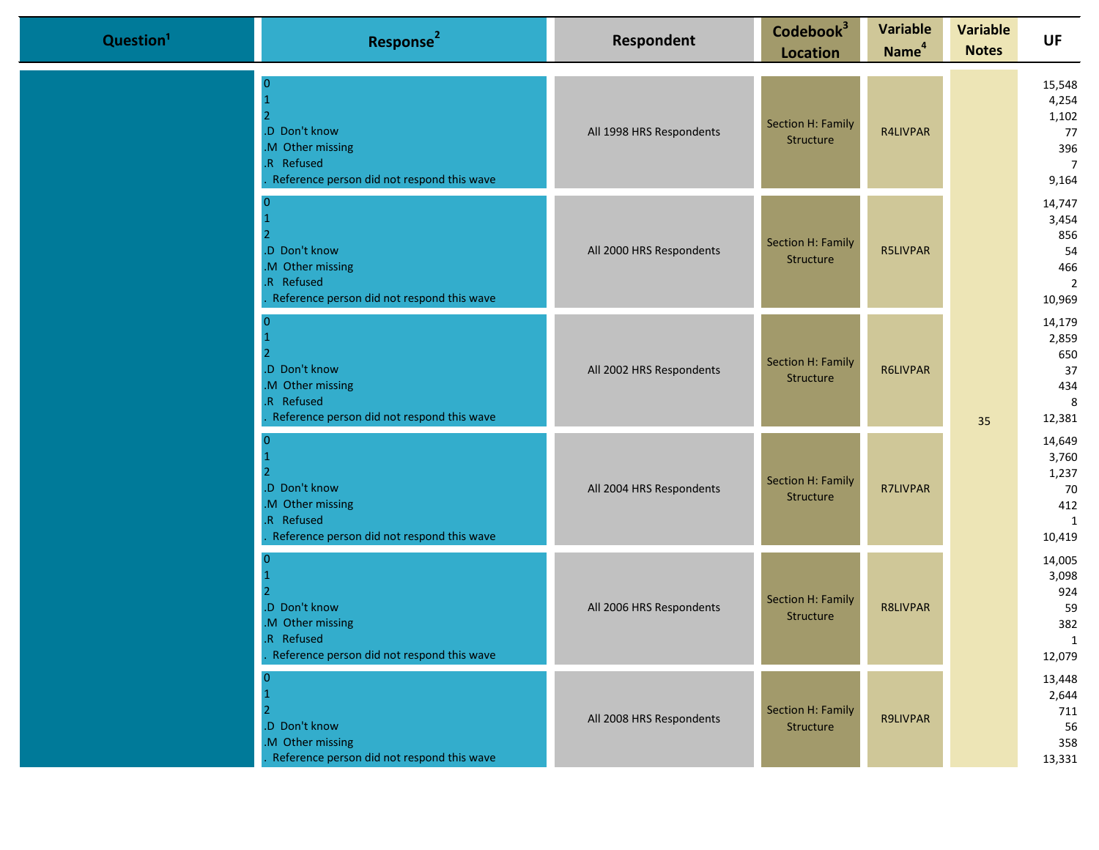| Question <sup>1</sup> | Response <sup>2</sup>                                                                        | <b>Respondent</b>        | Codebook <sup>3</sup><br><b>Location</b> | <b>Variable</b><br>Name <sup>4</sup> | <b>Variable</b><br><b>Notes</b> | <b>UF</b>                                                        |
|-----------------------|----------------------------------------------------------------------------------------------|--------------------------|------------------------------------------|--------------------------------------|---------------------------------|------------------------------------------------------------------|
|                       | .D Don't know<br>M Other missing<br>R Refused<br>Reference person did not respond this wave  | All 1998 HRS Respondents | Section H: Family<br>Structure           | R4LIVPAR                             |                                 | 15,548<br>4,254<br>1,102<br>77<br>396<br>$\overline{7}$<br>9,164 |
|                       | .D Don't know<br>M Other missing<br>R Refused<br>Reference person did not respond this wave  | All 2000 HRS Respondents | Section H: Family<br>Structure           | <b>R5LIVPAR</b>                      |                                 | 14,747<br>3,454<br>856<br>54<br>466<br>$\overline{2}$<br>10,969  |
|                       | .D Don't know<br>.M Other missing<br>R Refused<br>Reference person did not respond this wave | All 2002 HRS Respondents | Section H: Family<br>Structure           | R6LIVPAR                             | 35                              | 14,179<br>2,859<br>650<br>37<br>434<br>8<br>12,381               |
|                       | .D Don't know<br>M Other missing<br>R Refused<br>Reference person did not respond this wave  | All 2004 HRS Respondents | Section H: Family<br>Structure           | <b>R7LIVPAR</b>                      |                                 | 14,649<br>3,760<br>1,237<br>70<br>412<br>1<br>10,419             |
|                       | .D Don't know<br>M Other missing<br>R Refused<br>Reference person did not respond this wave  | All 2006 HRS Respondents | Section H: Family<br>Structure           | <b>R8LIVPAR</b>                      |                                 | 14,005<br>3,098<br>924<br>59<br>382<br>$\overline{1}$<br>12,079  |
|                       | .D Don't know<br>M Other missing<br>Reference person did not respond this wave               | All 2008 HRS Respondents | Section H: Family<br>Structure           | <b>R9LIVPAR</b>                      |                                 | 13,448<br>2,644<br>711<br>56<br>358<br>13,331                    |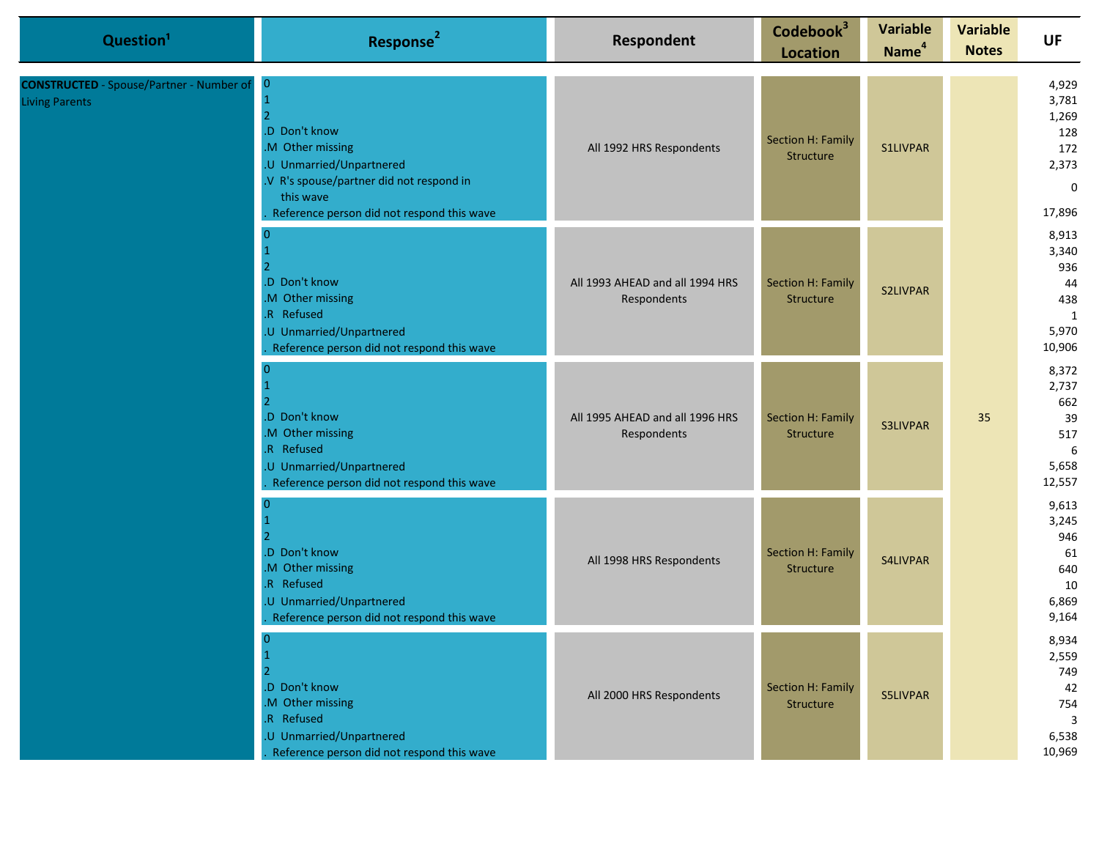| Question <sup>1</sup>                                                    | Response <sup>2</sup>                                                                                                                                                                  | Respondent                                     | Codebook <sup>3</sup><br><b>Location</b> | <b>Variable</b><br>Name <sup>4</sup> | <b>Variable</b><br><b>Notes</b> | UF                                                                       |
|--------------------------------------------------------------------------|----------------------------------------------------------------------------------------------------------------------------------------------------------------------------------------|------------------------------------------------|------------------------------------------|--------------------------------------|---------------------------------|--------------------------------------------------------------------------|
| <b>CONSTRUCTED</b> - Spouse/Partner - Number of<br><b>Living Parents</b> | $\overline{0}$<br>.D Don't know<br>.M Other missing<br>.U Unmarried/Unpartnered<br>.V R's spouse/partner did not respond in<br>this wave<br>Reference person did not respond this wave | All 1992 HRS Respondents                       | Section H: Family<br>Structure           | <b>S1LIVPAR</b>                      |                                 | 4,929<br>3,781<br>1,269<br>128<br>172<br>2,373<br>$\mathbf{0}$<br>17,896 |
|                                                                          | .D Don't know<br>.M Other missing<br>.R Refused<br>U Unmarried/Unpartnered<br>Reference person did not respond this wave                                                               | All 1993 AHEAD and all 1994 HRS<br>Respondents | Section H: Family<br>Structure           | <b>S2LIVPAR</b>                      |                                 | 8,913<br>3,340<br>936<br>44<br>438<br>1<br>5,970<br>10,906               |
|                                                                          | 0<br>.D Don't know<br>.M Other missing<br>.R Refused<br>.U Unmarried/Unpartnered<br>Reference person did not respond this wave                                                         | All 1995 AHEAD and all 1996 HRS<br>Respondents | Section H: Family<br>Structure           | <b>S3LIVPAR</b>                      | 35                              | 8,372<br>2,737<br>662<br>39<br>517<br>6<br>5,658<br>12,557               |
|                                                                          | n<br>.D Don't know<br>.M Other missing<br>R Refused<br>.U Unmarried/Unpartnered<br>Reference person did not respond this wave                                                          | All 1998 HRS Respondents                       | Section H: Family<br>Structure           | S4LIVPAR                             |                                 | 9,613<br>3,245<br>946<br>61<br>640<br>10<br>6,869<br>9,164               |
|                                                                          | $\overline{0}$<br>.D Don't know<br>M Other missing<br>.R Refused<br>.U Unmarried/Unpartnered<br>Reference person did not respond this wave                                             | All 2000 HRS Respondents                       | Section H: Family<br>Structure           | <b>S5LIVPAR</b>                      |                                 | 8,934<br>2,559<br>749<br>42<br>754<br>3<br>6,538<br>10,969               |